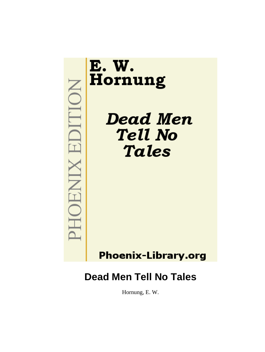

Hornung, E. W.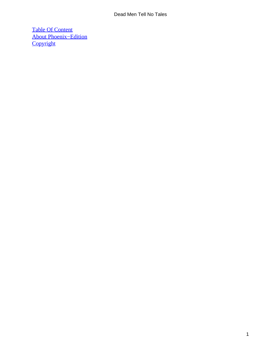[Table Of Content](#page-131-0) [About Phoenix−Edition](#page-132-0) **[Copyright](#page-133-0)**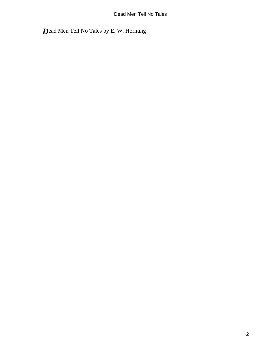*D*ead Men Tell No Tales by E. W. Hornung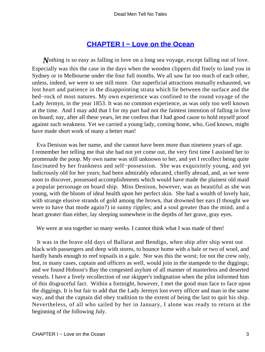### **CHAPTER I – Love on the Ocean**

*Nothing is so easy as falling in love on a long sea voyage, except falling out of love.* Especially was this the case in the days when the wooden clippers did finely to land you in Sydney or in Melbourne under the four full months. We all saw far too much of each other, unless, indeed, we were to see still more. Our superficial attractions mutually exhausted, we lost heart and patience in the disappointing strata which lie between the surface and the bed−rock of most natures. My own experience was confined to the round voyage of the Lady Jermyn, in the year 1853. It was no common experience, as was only too well known at the time. And I may add that I for my part had not the faintest intention of falling in love on board; nay, after all these years, let me confess that I had good cause to hold myself proof against such weakness. Yet we carried a young lady, coming home, who, God knows, might have made short work of many a better man!

 Eva Denison was her name, and she cannot have been more than nineteen years of age. I remember her telling me that she had not yet come out, the very first time I assisted her to promenade the poop. My own name was still unknown to her, and yet I recollect being quite fascinated by her frankness and self−possession. She was exquisitely young, and yet ludicrously old for her years; had been admirably educated, chiefly abroad, and, as we were soon to discover, possessed accomplishments which would have made the plainest old maid a popular personage on board ship. Miss Denison, however, was as beautiful as she was young, with the bloom of ideal health upon her perfect skin. She had a wealth of lovely hair, with strange elusive strands of gold among the brown, that drowned her ears (I thought we were to have that mode again?) in sunny ripples; and a soul greater than the mind, and a heart greater than either, lay sleeping somewhere in the depths of her grave, gray eyes.

We were at sea together so many weeks. I cannot think what I was made of then!

 It was in the brave old days of Ballarat and Bendigo, when ship after ship went out black with passengers and deep with stores, to bounce home with a bale or two of wool, and hardly hands enough to reef topsails in a gale. Nor was this the worst; for not the crew only, but, in many cases, captain and officers as well, would join in the stampede to the diggings; and we found Hobson's Bay the congested asylum of all manner of masterless and deserted vessels. I have a lively recollection of our skipper's indignation when the pilot informed him of this disgraceful fact. Within a fortnight, however, I met the good man face to face upon the diggings. It is but fair to add that the Lady Jermyn lost every officer and man in the same way, and that the captain did obey tradition to the extent of being the last to quit his ship. Nevertheless, of all who sailed by her in January, I alone was ready to return at the beginning of the following July.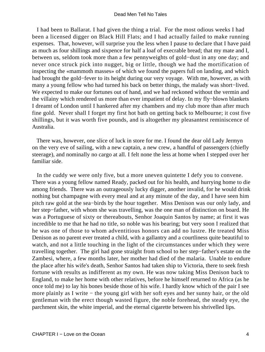I had been to Ballarat. I had given the thing a trial. For the most odious weeks I had been a licensed digger on Black Hill Flats; and I had actually failed to make running expenses. That, however, will surprise you the less when I pause to declare that I have paid as much as four shillings and sixpence for half a loaf of execrable bread; that my mate and I, between us, seldom took more than a few pennyweights of gold−dust in any one day; and never once struck pick into nugget, big or little, though we had the mortification of inspecting the «mammoth masses» of which we found the papers full on landing, and which had brought the gold−fever to its height during our very voyage. With me, however, as with many a young fellow who had turned his back on better things, the malady was short−lived. We expected to make our fortunes out of hand, and we had reckoned without the vermin and the villainy which rendered us more than ever impatient of delay. In my fly−blown blankets I dreamt of London until I hankered after my chambers and my club more than after much fine gold. Never shall I forget my first hot bath on getting back to Melbourne; it cost five shillings, but it was worth five pounds, and is altogether my pleasantest reminiscence of Australia.

 There was, however, one slice of luck in store for me. I found the dear old Lady Jermyn on the very eve of sailing, with a new captain, a new crew, a handful of passengers (chiefly steerage), and nominally no cargo at all. I felt none the less at home when I stepped over her familiar side.

 In the cuddy we were only five, but a more uneven quintette I defy you to convene. There was a young fellow named Ready, packed out for his health, and hurrying home to die among friends. There was an outrageously lucky digger, another invalid, for he would drink nothing but champagne with every meal and at any minute of the day, and I have seen him pitch raw gold at the sea−birds by the hour together. Miss Denison was our only lady, and her step−father, with whom she was travelling, was the one man of distinction on board. He was a Portuguese of sixty or thereabouts, Senhor Joaquin Santos by name; at first it was incredible to me that he had no title, so noble was his bearing; but very soon I realized that he was one of those to whom adventitious honors can add no lustre. He treated Miss Denison as no parent ever treated a child, with a gallantry and a courtliness quite beautiful to watch, and not a little touching in the light of the circumstances under which they were travelling together. The girl had gone straight from school to her step−father's estate on the Zambesi, where, a few months later, her mother had died of the malaria. Unable to endure the place after his wife's death, Senhor Santos had taken ship to Victoria, there to seek fresh fortune with results as indifferent as my own. He was now taking Miss Denison back to England, to make her home with other relatives, before he himself returned to Africa (as he once told me) to lay his bones beside those of his wife. I hardly know which of the pair I see more plainly as I write − the young girl with her soft eyes and her sunny hair, or the old gentleman with the erect though wasted figure, the noble forehead, the steady eye, the parchment skin, the white imperial, and the eternal cigarette between his shrivelled lips.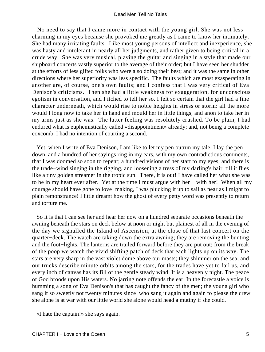No need to say that I came more in contact with the young girl. She was not less charming in my eyes because she provoked me greatly as I came to know her intimately. She had many irritating faults. Like most young persons of intellect and inexperience, she was hasty and intolerant in nearly all her judgments, and rather given to being critical in a crude way. She was very musical, playing the guitar and singing in a style that made our shipboard concerts vastly superior to the average of their order; but I have seen her shudder at the efforts of less gifted folks who were also doing their best; and it was the same in other directions where her superiority was less specific. The faults which are most exasperating in another are, of course, one's own faults; and I confess that I was very critical of Eva Denison's criticisms. Then she had a little weakness for exaggeration, for unconscious egotism in conversation, and I itched to tell her so. I felt so certain that the girl had a fine character underneath, which would rise to noble heights in stress or storm: all the more would I long now to take her in hand and mould her in little things, and anon to take her in my arms just as she was. The latter feeling was resolutely crushed. To be plain, I had endured what is euphemistically called «disappointment» already; and, not being a complete coxcomb, I had no intention of courting a second.

 Yet, when I write of Eva Denison, I am like to let my pen outrun my tale. I lay the pen down, and a hundred of her sayings ring in my ears, with my own contradictious comments, that I was doomed so soon to repent; a hundred visions of her start to my eyes; and there is the trade−wind singing in the rigging, and loosening a tress of my darling's hair, till it flies like a tiny golden streamer in the tropic sun. There, it is out! I have called her what she was to be in my heart ever after. Yet at the time I must argue with her − with her! When all my courage should have gone to love−making, I was plucking it up to sail as near as I might to plain remonstrance! I little dreamt how the ghost of every petty word was presently to return and torture me.

 So it is that I can see her and hear her now on a hundred separate occasions beneath the awning beneath the stars on deck below at noon or night but plainest of all in the evening of the day we signalled the Island of Ascension, at the close of that last concert on the quarter−deck. The watch are taking down the extra awning; they are removing the bunting and the foot−lights. The lanterns are trailed forward before they are put out; from the break of the poop we watch the vivid shifting patch of deck that each lights up on its way. The stars are very sharp in the vast violet dome above our masts; they shimmer on the sea; and our trucks describe minute orbits among the stars, for the trades have yet to fail us, and every inch of canvas has its fill of the gentle steady wind. It is a heavenly night. The peace of God broods upon His waters. No jarring note offends the ear. In the forecastle a voice is humming a song of Eva Denison's that has caught the fancy of the men; the young girl who sang it so sweetly not twenty minutes since who sang it again and again to please the crew she alone is at war with our little world she alone would head a mutiny if she could.

«I hate the captain!» she says again.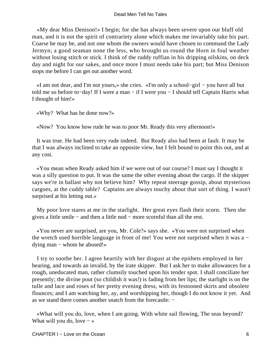«My dear Miss Denison!» I begin; for she has always been severe upon our bluff old man, and it is not the spirit of contrariety alone which makes me invariably take his part. Coarse he may be, and not one whom the owners would have chosen to command the Lady Jermyn; a good seaman none the less, who brought us round the Horn in foul weather without losing stitch or stick. I think of the ruddy ruffian in his dripping oilskins, on deck day and night for our sakes, and once more I must needs take his part; but Miss Denison stops me before I can get out another word.

 «I am not dear, and I'm not yours,» she cries. «I'm only a school−girl − you have all but told me so before to−day! If I were a man − if I were you − I should tell Captain Harris what I thought of him!»

«Why? What has he done now?»

«Now? You know how rude he was to poor Mr. Ready this very afternoon!»

 It was true. He had been very rude indeed. But Ready also had been at fault. It may be that I was always inclined to take an opposite view, but I felt bound to point this out, and at any cost.

 «You mean when Ready asked him if we were out of our course? I must say I thought it was a silly question to put. It was the same the other evening about the cargo. If the skipper says we're in ballast why not believe him? Why repeat steerage gossip, about mysterious cargoes, at the cuddy table? Captains are always touchy about that sort of thing. I wasn't surprised at his letting out.»

 My poor love stares at me in the starlight. Her great eyes flash their scorn. Then she gives a little smile − and then a little nod − more scornful than all the rest.

 «You never are surprised, are you, Mr. Cole?» says she. «You were not surprised when the wretch used horrible language in front of me! You were not surprised when it was a − dying man − whom he abused!»

 I try to soothe her. I agree heartily with her disgust at the epithets employed in her hearing, and towards an invalid, by the irate skipper. But I ask her to make allowances for a rough, uneducated man, rather clumsily touched upon his tender spot. I shall conciliate her presently; the divine pout (so childish it was!) is fading from her lips; the starlight is on the tulle and lace and roses of her pretty evening dress, with its festooned skirts and obsolete flounces; and I am watching her, ay, and worshipping her, though I do not know it yet. And as we stand there comes another snatch from the forecastle: −

 «What will you do, love, when I am going. With white sail flowing, The seas beyond? What will you do, love  $-\infty$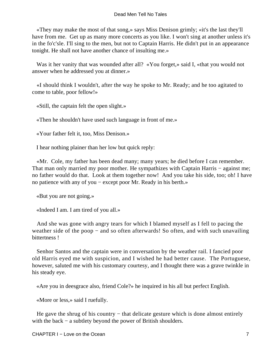«They may make the most of that song,» says Miss Denison grimly; «it's the last they'll have from me. Get up as many more concerts as you like. I won't sing at another unless it's in the fo'c'sle. I'll sing to the men, but not to Captain Harris. He didn't put in an appearance tonight. He shall not have another chance of insulting me.»

Was it her vanity that was wounded after all? «You forget,» said I, «that you would not answer when he addressed you at dinner.»

 «I should think I wouldn't, after the way he spoke to Mr. Ready; and he too agitated to come to table, poor fellow!»

«Still, the captain felt the open slight.»

«Then he shouldn't have used such language in front of me.»

«Your father felt it, too, Miss Denison.»

I hear nothing plainer than her low but quick reply:

 «Mr. Cole, my father has been dead many; many years; he died before I can remember. That man only married my poor mother. He sympathizes with Captain Harris – against me; no father would do that. Look at them together now! And you take his side, too; oh! I have no patience with any of you − except poor Mr. Ready in his berth.»

«But you are not going.»

«Indeed I am. I am tired of you all.»

 And she was gone with angry tears for which I blamed myself as I fell to pacing the weather side of the poop – and so often afterwards! So often, and with such unavailing bittertness !

 Senhor Santos and the captain were in conversation by the weather rail. I fancied poor old Harris eyed me with suspicion, and I wished he had better cause. The Portuguese, however, saluted me with his customary courtesy, and I thought there was a grave twinkle in his steady eye.

«Are you in deesgrace also, friend Cole?» he inquired in his all but perfect English.

«More or less,» said I ruefully.

He gave the shrug of his country – that delicate gesture which is done almost entirely with the back – a subtlety beyond the power of British shoulders.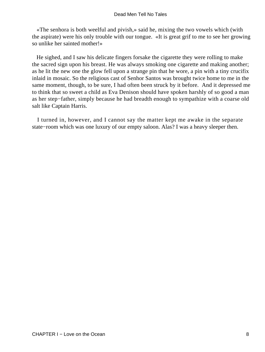«The senhora is both weelful and pivish,» said he, mixing the two vowels which (with the aspirate) were his only trouble with our tongue. «It is great grif to me to see her growing so unlike her sainted mother!»

 He sighed, and I saw his delicate fingers forsake the cigarette they were rolling to make the sacred sign upon his breast. He was always smoking one cigarette and making another; as he lit the new one the glow fell upon a strange pin that he wore, a pin with a tiny crucifix inlaid in mosaic. So the religious cast of Senhor Santos was brought twice home to me in the same moment, though, to be sure, I had often been struck by it before. And it depressed me to think that so sweet a child as Eva Denison should have spoken harshly of so good a man as her step−father, simply because he had breadth enough to sympathize with a coarse old salt like Captain Harris.

 I turned in, however, and I cannot say the matter kept me awake in the separate state−room which was one luxury of our empty saloon. Alas? I was a heavy sleeper then.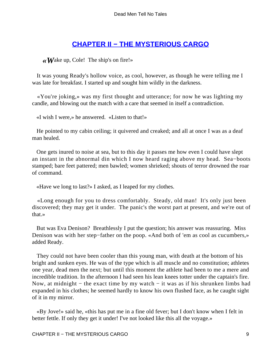### **[CHAPTER II − THE MYSTERIOUS CARGO](#page-131-0)**

*«W*ake up, Cole! The ship's on fire!»

 It was young Ready's hollow voice, as cool, however, as though he were telling me I was late for breakfast. I started up and sought him wildly in the darkness.

 «You're joking,» was my first thought and utterance; for now he was lighting my candle, and blowing out the match with a care that seemed in itself a contradiction.

«I wish I were,» he answered. «Listen to that!»

 He pointed to my cabin ceiling; it quivered and creaked; and all at once I was as a deaf man healed.

 One gets inured to noise at sea, but to this day it passes me how even I could have slept an instant in the abnormal din which I now heard raging above my head. Sea−boots stamped; bare feet pattered; men bawled; women shrieked; shouts of terror drowned the roar of command.

«Have we long to last?» I asked, as I leaped for my clothes.

 «Long enough for you to dress comfortably. Steady, old man! It's only just been discovered; they may get it under. The panic's the worst part at present, and we're out of that.»

 But was Eva Denison? Breathlessly I put the question; his answer was reassuring. Miss Denison was with her step−father on the poop. «And both of 'em as cool as cucumbers,» added Ready.

 They could not have been cooler than this young man, with death at the bottom of his bright and sunken eyes. He was of the type which is all muscle and no constitution; athletes one year, dead men the next; but until this moment the athlete had been to me a mere and incredible tradition. In the afternoon I had seen his lean knees totter under the captain's fire. Now, at midnight − the exact time by my watch − it was as if his shrunken limbs had expanded in his clothes; he seemed hardly to know his own flushed face, as he caught sight of it in my mirror.

 «By Jove!» said he, «this has put me in a fine old fever; but I don't know when I felt in better fettle. If only they get it under! I've not looked like this all the voyage.»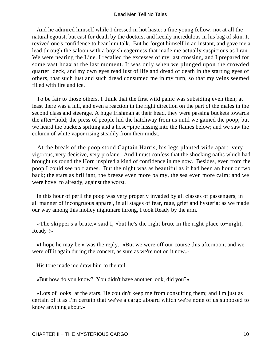And he admired himself while I dressed in hot haste: a fine young fellow; not at all the natural egotist, but cast for death by the doctors, and keenly incredulous in his bag of skin. It revived one's confidence to hear him talk. But he forgot himself in an instant, and gave me a lead through the saloon with a boyish eagerness that made me actually suspicious as I ran. We were nearing the Line. I recalled the excesses of my last crossing, and I prepared for some vast hoax at the last moment. It was only when we plunged upon the crowded quarter−deck, and my own eyes read lust of life and dread of death in the starting eyes of others, that such lust and such dread consumed me in my turn, so that my veins seemed filled with fire and ice.

 To be fair to those others, I think that the first wild panic was subsiding even then; at least there was a lull, and even a reaction in the right direction on the part of the males in the second class and steerage. A huge Irishman at their head, they were passing buckets towards the after−hold; the press of people hid the hatchway from us until we gained the poop; but we heard the buckets spitting and a hose−pipe hissing into the flames below; and we saw the column of white vapor rising steadily from their midst.

 At the break of the poop stood Captain Harris, his legs planted wide apart, very vigorous, very decisive, very profane. And I must confess that the shocking oaths which had brought us round the Horn inspired a kind of confidence in me now. Besides, even from the poop I could see no flames. But the night was as beautiful as it had been an hour or two back; the stars as brilliant, the breeze even more balmy, the sea even more calm; and we were hove−to already, against the worst.

 In this hour of peril the poop was very properly invaded by all classes of passengers, in all manner of incongruous apparel, in all stages of fear, rage, grief and hysteria; as we made our way among this motley nightmare throng, I took Ready by the arm.

 «The skipper's a brute,» said I, «but he's the right brute in the right place to−night, Ready !»

 «I hope he may be,» was the reply. «But we were off our course this afternoon; and we were off it again during the concert, as sure as we're not on it now.»

His tone made me draw him to the rail.

«But how do you know? You didn't have another look, did you?»

 «Lots of looks−at the stars. He couldn't keep me from consulting them; and I'm just as certain of it as I'm certain that we've a cargo aboard which we're none of us supposed to know anything about.»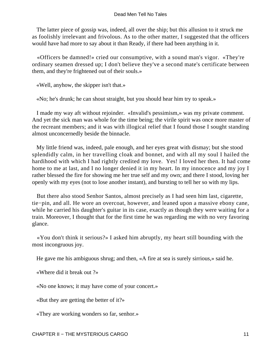The latter piece of gossip was, indeed, all over the ship; but this allusion to it struck me as foolishly irrelevant and frivolous. As to the other matter, I suggested that the officers would have had more to say about it than Ready, if there had been anything in it.

 «Officers be damned!» cried our consumptive, with a sound man's vigor. «They're ordinary seamen dressed up; I don't believe they've a second mate's certificate between them, and they're frightened out of their souls.»

«Well, anyhow, the skipper isn't that.»

«No; he's drunk; he can shout straight, but you should hear him try to speak.»

 I made my way aft without rejoinder. «Invalid's pessimism,» was my private comment. And yet the sick man was whole for the time being; the virile spirit was once more master of the recreant members; and it was with illogical relief that I found those I sought standing almost unconcernedly beside the binnacle.

 My little friend was, indeed, pale enough, and her eyes great with dismay; but she stood splendidly calm, in her travelling cloak and bonnet, and with all my soul I hailed the hardihood with which I had rightly credited my love. Yes! I loved her then. It had come home to me at last, and I no longer denied it in my heart. In my innocence and my joy I rather blessed the fire for showing me her true self and my own; and there I stood, loving her openly with my eyes (not to lose another instant), and bursting to tell her so with my lips.

 But there also stood Senhor Santos, almost precisely as I had seen him last, cigarette, tie−pin, and all. He wore an overcoat, however, and leaned upon a massive ebony cane, while he carried his daughter's guitar in its case, exactly as though they were waiting for a train. Moreover, I thought that for the first time he was regarding me with no very favoring glance.

 «You don't think it serious?» I asked him abruptly, my heart still bounding with the most incongruous joy.

He gave me his ambiguous shrug; and then, «A fire at sea is surely sirrious,» said he.

«Where did it break out ?»

«No one knows; it may have come of your concert.»

«But they are getting the better of it?»

«They are working wonders so far, senhor.»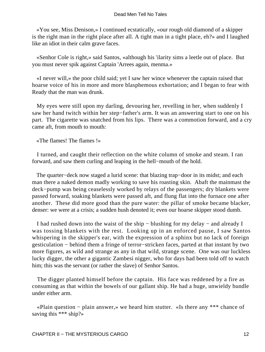«You see, Miss Denison,» I continued ecstatically, «our rough old diamond of a skipper is the right man in the right place after all. A tight man in a tight place, eh?» and I laughed like an idiot in their calm grave faces.

 «Senhor Cole is right,» said Santos, «although his 'ilarity sims a leetle out of place. But you must never spik against Captain 'Arrees again, menma.»

 «I never will,» the poor child said; yet I saw her wince whenever the captain raised that hoarse voice of his in more and more blasphemous exhortation; and I began to fear with Ready that the man was drunk.

 My eyes were still upon my darling, devouring her, revelling in her, when suddenly I saw her hand twitch within her step−father's arm. It was an answering start to one on his part. The cigarette was snatched from his lips. There was a commotion forward, and a cry came aft, from mouth to mouth:

«The flames! The flames !»

 I turned, and caught their reflection on the white column of smoke and steam. I ran forward, and saw them curling and leaping in the hell−mouth of the hold.

 The quarter−deck now staged a lurid scene: that blazing trap−door in its midst; and each man there a naked demon madly working to save his roasting skin. Abaft the mainmast the deck−pump was being ceaselessly worked by relays of the passengers; dry blankets were passed forward, soaking blankets were passed aft, and flung flat into the furnace one after another. These did more good than the pure water: the pillar of smoke became blacker, denser: we were at a crisis; a sudden hush denoted it; even our hoarse skipper stood dumb.

 I had rushed down into the waist of the ship − blushing for my delay − and already I was tossing blankets with the rest. Looking up in an enforced pause, I saw Santos whispering in the skipper's ear, with the expression of a sphinx but no lack of foreign gesticulation − behind them a fringe of terror−stricken faces, parted at that instant by two more figures, as wild and strange as any in that wild, strange scene. One was our luckless lucky digger, the other a gigantic Zambesi nigger, who for days had been told off to watch him; this was the servant (or rather the slave) of Senhor Santos.

 The digger planted himself before the captain. His face was reddened by a fire as consuming as that within the bowels of our gallant ship. He had a huge, unwieldy bundle under either arm.

 «Plain question − plain answer,» we heard him stutter. «Is there any \*\*\* chance of saving this \*\*\* ship?»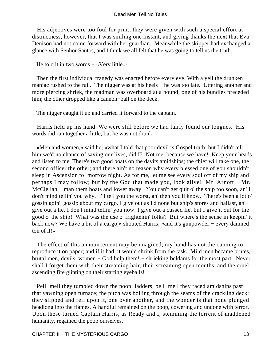His adjectives were too foul for print; they were given with such a special effort at distinctness, however, that I was smiling one instant, and giving thanks the next that Eva Denison had not come forward with her guardian. Meanwhile the skipper had exchanged a glance with Senhor Santos, and I think we all felt that he was going to tell us the truth.

He told it in two words – «Very little.»

 Then the first individual tragedy was enacted before every eye. With a yell the drunken maniac rushed to the rail. The nigger was at his heels – he was too late. Uttering another and more piercing shriek, the madman was overboard at a bound; one of his bundles preceded him; the other dropped like a cannon−ball on the deck.

The nigger caught it up and carried it forward to the captain.

 Harris held up his hand. We were still before we had fairly found our tongues. His words did run together a little, but he was not drunk.

 «Men and women,» said he, «what I told that poor devil is Gospel truth; but I didn't tell him we'd no chance of saving our lives, did I? Not me, because we have! Keep your heads and listen to me. There's two good boats on the davits amidships; the chief will take one, the second officer the other; and there ain't no reason why every blessed one of you shouldn't sleep in Ascension to−morrow night. As for me, let me see every soul off of my ship and perhaps I may follow; but by the God that made you, look alive! Mr. Arnott − Mr. McClellan − man them boats and lower away. You can't get quit o' the ship too soon, an' I don't mind tellin' you why. I'll tell you the worst, an' then you'll know. There's been a lot o' gossip goin', gossip about my cargo. I give out as I'd none but ship's stores and ballast, an' I give out a lie. I don't mind tellin' you now. I give out a cussed lie, but I give it out for the good o' the ship! What was the use o' frightenin' folks? But where's the sense in keepin' it back now? We have a bit of a cargo,» shouted Harris; «and it's gunpowder − every damned ton of it!»

 The effect of this announcement may be imagined; my hand has not the cunning to reproduce it on paper; and if it had, it would shrink from the task. Mild men became brutes, brutal men, devils, women − God help them! − shrieking beldams for the most part. Never shall I forget them with their streaming hair, their screaming open mouths, and the cruel ascending fire glinting on their starting eyeballs!

Pell–mell they tumbled down the poop–ladders; pell–mell they raced amidships past that yawning open furnace; the pitch was boiling through the seams of the crackling deck; they slipped and fell upon it, one over another, and the wonder is that none plunged headlong into the flames. A handful remained on the poop, cowering and undone with terror. Upon these turned Captain Harris, as Ready and I, stemming the torrent of maddened humanity, regained the poop ourselves.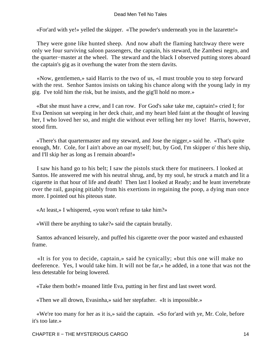«For'ard with ye!» yelled the skipper. «The powder's underneath you in the lazarette!»

 They were gone like hunted sheep. And now abaft the flaming hatchway there were only we four surviving saloon passengers, the captain, his steward, the Zambesi negro, and the quarter−master at the wheel. The steward and the black I observed putting stores aboard the captain's gig as it overhung the water from the stern davits.

 «Now, gentlemen,» said Harris to the two of us, «I must trouble you to step forward with the rest. Senhor Santos insists on taking his chance along with the young lady in my gig. I've told him the risk, but he insists, and the gig'll hold no more.»

 «But she must have a crew, and I can row. For God's sake take me, captain!» cried I; for Eva Denison sat weeping in her deck chair, and my heart bled faint at the thought of leaving her, I who loved her so, and might die without ever telling her my love! Harris, however, stood firm.

 «There's that quartermaster and my steward, and Jose the nigger,» said he. «That's quite enough, Mr. Cole, for I ain't above an oar myself; but, by God, I'm skipper o' this here ship, and I'll skip her as long as I remain aboard!»

 I saw his hand go to his belt; I saw the pistols stuck there for mutineers. I looked at Santos. He answered me with his neutral shrug, and, by my soul, he struck a match and lit a cigarette in that hour of life and death! Then last I looked at Ready; and he leant invertebrate over the rail, gasping pitiably from his exertions in regaining the poop, a dying man once more. I pointed out his piteous state.

«At least,» I whispered, «you won't refuse to take him?»

«Will there be anything to take?» said the captain brutally.

 Santos advanced leisurely, and puffed his cigarette over the poor wasted and exhausted frame.

 «It is for you to decide, captain,» said he cynically; «but this one will make no deeference. Yes, I would take him. It will not be far,» he added, in a tone that was not the less detestable for being lowered.

«Take them both!» moaned little Eva, putting in her first and last sweet word.

«Then we all drown, Evasinha,» said her stepfather. «It is impossible.»

 «We're too many for her as it is,» said the captain. «So for'ard with ye, Mr. Cole, before it's too late.»

CHAPTER II – THE MYSTERIOUS CARGO 14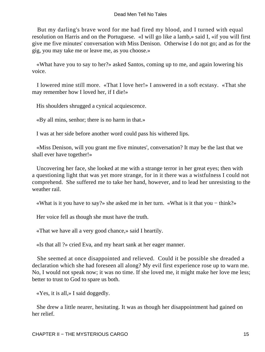But my darling's brave word for me had fired my blood, and I turned with equal resolution on Harris and on the Portuguese. «I will go like a lamb,» said I, «if you will first give me five minutes' conversation with Miss Denison. Otherwise I do not go; and as for the gig, you may take me or leave me, as you choose.»

 «What have you to say to her?» asked Santos, coming up to me, and again lowering his voice.

 I lowered mine still more. «That I love her!» I answered in a soft ecstasy. «That she may remember how I loved her, if I die!»

His shoulders shrugged a cynical acquiescence.

«By all mins, senhor; there is no harm in that.»

I was at her side before another word could pass his withered lips.

 «Miss Denison, will you grant me five minutes', conversation? It may be the last that we shall ever have together!»

 Uncovering her face, she looked at me with a strange terror in her great eyes; then with a questioning light that was yet more strange, for in it there was a wistfulness I could not comprehend. She suffered me to take her hand, however, and to lead her unresisting to the weather rail.

«What is it you have to say?» she asked me in her turn. «What is it that you − think?»

Her voice fell as though she must have the truth.

«That we have all a very good chance,» said I heartily.

«Is that all ?» cried Eva, and my heart sank at her eager manner.

 She seemed at once disappointed and relieved. Could it be possible she dreaded a declaration which she had foreseen all along? My evil first experience rose up to warn me. No, I would not speak now; it was no time. If she loved me, it might make her love me less; better to trust to God to spare us both.

«Yes, it is all,» I said doggedly.

 She drew a little nearer, hesitating. It was as though her disappointment had gained on her relief.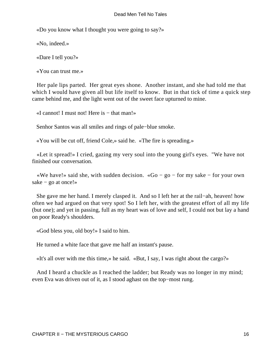«Do you know what I thought you were going to say?»

«No, indeed.»

«Dare I tell you?»

«You can trust me.»

 Her pale lips parted. Her great eyes shone. Another instant, and she had told me that which I would have given all but life itself to know. But in that tick of time a quick step came behind me, and the light went out of the sweet face upturned to mine.

«I cannot! I must not! Here is − that man!»

Senhor Santos was all smiles and rings of pale−blue smoke.

«You will be cut off, friend Cole,» said he. «The fire is spreading.»

 «Let it spread!» I cried, gazing my very soul into the young girl's eyes. "We have not finished our conversation.

 «We have!» said she, with sudden decision. «Go − go − for my sake − for your own sake − go at once!»

 She gave me her hand. I merely clasped it. And so I left her at the rail−ah, heaven! how often we had argued on that very spot! So I left her, with the greatest effort of all my life (but one); and yet in passing, full as my heart was of love and self, I could not but lay a hand on poor Ready's shoulders.

«God bless you, old boy!» I said to him.

He turned a white face that gave me half an instant's pause.

«It's all over with me this time,» he said. «But, I say, I was right about the cargo?»

 And I heard a chuckle as I reached the ladder; but Ready was no longer in my mind; even Eva was driven out of it, as I stood aghast on the top−most rung.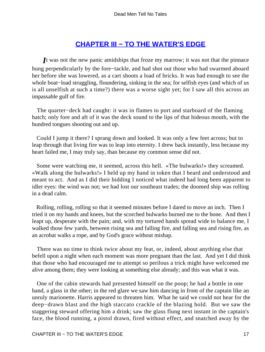## **[CHAPTER III − TO THE WATER'S EDGE](#page-131-0)**

*I*t was not the new panic amidships that froze my marrow; it was not that the pinnace hung perpendicularly by the fore−tackle, and had shot out those who had swarmed aboard her before she was lowered, as a cart shoots a load of bricks. It was bad enough to see the whole boat−load struggling, floundering, sinking in the sea; for selfish eyes (and which of us is all unselfish at such a time?) there was a worse sight yet; for I saw all this across an impassable gulf of fire.

 The quarter−deck had caught: it was in flames to port and starboard of the flaming hatch; only fore and aft of it was the deck sound to the lips of that hideous mouth, with the hundred tongues shooting out and up.

 Could I jump it there? I sprang down and looked. It was only a few feet across; but to leap through that living fire was to leap into eternity. I drew back instantly, less because my heart failed me, I may truly say, than because my common sense did not.

 Some were watching me, it seemed, across this hell. «The bulwarks!» they screamed. «Walk along the bulwarks!» I held up my hand in token that I heard and understood and meant to act. And as I did their bidding I noticed what indeed had long been apparent to idler eyes: the wind was not; we had lost our southeast trades; the doomed ship was rolling in a dead calm.

 Rolling, rolling, rolling so that it seemed minutes before I dared to move an inch. Then I tried it on my hands and knees, but the scorched bulwarks burned me to the bone. And then I leapt up, desperate with the pain; and, with my tortured hands spread wide to balance me, I walked those few yards, between rising sea and falling fire, and falling sea and rising fire, as an acrobat walks a rope, and by God's grace without mishap.

 There was no time to think twice about my feat, or, indeed, about anything else that befell upon a night when each moment was more pregnant than the last. And yet I did think that those who had encouraged me to attempt so perilous a trick might have welcomed me alive among them; they were looking at something else already; and this was what it was.

 One of the cabin stewards had presented himself on the poop; he had a bottle in one hand, a glass in the other; in the red glare we saw him dancing in front of the captain like an unruly marionette. Harris appeared to threaten him. What he said we could not hear for the deep−drawn blast and the high staccato crackle of the blazing hold. But we saw the staggering steward offering him a drink; saw the glass flung next instant in the captain's face, the blood running, a pistol drawn, fired without effect, and snatched away by the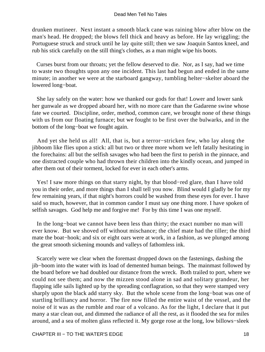drunken mutineer. Next instant a smooth black cane was raining blow after blow on the man's head. He dropped; the blows fell thick and heavy as before. He lay wriggling; the Portuguese struck and struck until he lay quite still; then we saw Joaquin Santos kneel, and rub his stick carefully on the still thing's clothes, as a man might wipe his boots.

 Curses burst from our throats; yet the fellow deserved to die. Nor, as I say, had we time to waste two thoughts upon any one incident. This last had begun and ended in the same minute; in another we were at the starboard gangway, tumbling helter−skelter aboard the lowered long−boat.

 She lay safely on the water: how we thanked our gods for that! Lower and lower sank her gunwale as we dropped aboard her, with no more care than the Gadarene swine whose fate we courted. Discipline, order, method, common care, we brought none of these things with us from our floating furnace; but we fought to be first over the bulwarks, and in the bottom of the long−boat we fought again.

 And yet she held us all! All, that is, but a terror−stricken few, who lay along the jibboom like flies upon a stick: all but two or three more whom we left fatally hesitating in the forechains: all but the selfish savages who had been the first to perish in the pinnace, and one distracted couple who had thrown their children into the kindly ocean, and jumped in after them out of their torment, locked for ever in each other's arms.

 Yes! I saw more things on that starry night, by that blood−red glare, than I have told you in their order, and more things than I shall tell you now. Blind would I gladly be for my few remaining years, if that night's horrors could be washed from these eyes for ever. I have said so much, however, that in common candor I must say one thing more. I have spoken of selfish savages. God help me and forgive me! For by this time I was one myself.

 In the long−boat we cannot have been less than thirty; the exact number no man will ever know. But we shoved off without mischance; the chief mate had the tiller; the third mate the boat−hook; and six or eight oars were at work, in a fashion, as we plunged among the great smooth sickening mounds and valleys of fathomless ink.

 Scarcely were we clear when the foremast dropped down on the fastenings, dashing the jib−boom into the water with its load of demented human beings. The mainmast followed by the board before we had doubled our distance from the wreck. Both trailed to port, where we could not see them; and now the mizzen stood alone in sad and solitary grandeur, her flapping idle sails lighted up by the spreading conflagration, so that they were stamped very sharply upon the black add starry sky. But the whole scene from the long−boat was one of startling brilliancy and horror. The fire now filled the entire waist of the vessel, and the noise of it was as the rumble and roar of a volcano. As for the light, I declare that it put many a star clean out, and dimmed the radiance of all the rest, as it flooded the sea for miles around, and a sea of molten glass reflected it. My gorge rose at the long, low billows−sleek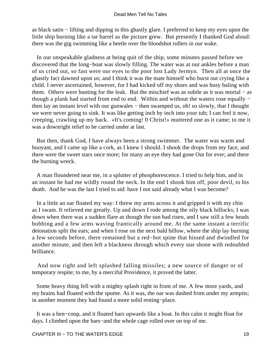as black satin − lifting and dipping in this ghastly glare. I preferred to keep my eyes upon the little ship burning like a tar barrel as the picture grew. But presently I thanked God aloud: there was the gig swimming like a beetle over the bloodshot rollers in our wake.

 In our unspeakable gladness at being quit of the ship, some minutes passed before we discovered that the long−boat was slowly filling. The water was at our ankles before a man of us cried out, so fast were our eyes to the poor lost Lady Jermyn. Then all at once the ghastly fact dawned upon us; and I think it was the mate himself who burst out crying like a child. I never ascertained, however, for I had kicked off my shoes and was busy baling with them. Others were hunting for the leak. But the mischief was as subtle as it was mortal − as though a plank had started from end to end. Within and without the waters rose equally − then lay an instant level with our gunwales − then swamped us, oh! so slowly, that I thought we were never going to sink. It was like getting inch by inch into your tub; I can feel it now, creeping, crawling up my back. «It's coming! 0 Christ!» muttered one as it came; to me it was a downright relief to be carried under at last.

 But then, thank God, I have always been a strong swimmer. The water was warm and buoyant, and I came up like a cork, as I knew I should. I shook the drops from my face, and there were the sweet stars once more; for many an eye they had gone Out for ever; and there the burning wreck.

 A man floundered near me, in a splutter of phosphorescence. I tried to help him, and in an instant he had me wildly round the neck. In the end I shook him off, poor devil, to his death. And he was the last I tried to aid: have I not said already what I was become?

 In a little an oar floated my way: I threw my arms across it and gripped it with my chin as I swam. It relieved me greatly. Up and down I rode among the oily black hillocks; I was down when there was a sudden flare as though the sun had risen, and I saw still a few heads bobbing and a few arms waving frantically around me. At the same instant a terrific detonation split the ears; and when I rose on the next bald billow, where the ship lay burning a few seconds before, there remained but a red−hot spine that hissed and dwindled for another minute, and then left a blackness through which every star shone with redoubled brilliance.

 And now right and left splashed falling missiles; a new source of danger or of temporary respite; to me, by a merciful Providence, it proved the latter.

 Some heavy thing fell with a mighty splash right in front of me. A few more yards, and my brains had floated with the spume. As it was, the oar was dashed from under my armpits; in another moment they had found a more solid resting−place.

 It was a hen−coop, and it floated bars upwards like a boat. In this calm it might float for days. I climbed upon the bars−and the whole cage rolled over on top of me.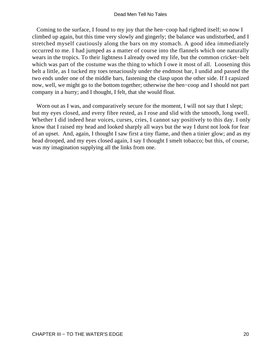Coming to the surface, I found to my joy that the hen−coop had righted itself; so now I climbed up again, but this time very slowly and gingerly; the balance was undisturbed, and I stretched myself cautiously along the bars on my stomach. A good idea immediately occurred to me. I had jumped as a matter of course into the flannels which one naturally wears in the tropics. To their lightness I already owed my life, but the common cricket−belt which was part of the costume was the thing to which I owe it most of all. Loosening this belt a little, as I tucked my toes tenaciously under the endmost bar, I undid and passed the two ends under one of the middle bars, fastening the clasp upon the other side. If I capsized now, well, we might go to the bottom together; otherwise the hen−coop and I should not part company in a hurry; and I thought, I felt, that she would float.

Worn out as I was, and comparatively secure for the moment, I will not say that I slept; but my eyes closed, and every fibre rested, as I rose and slid with the smooth, long swell. Whether I did indeed hear voices, curses, cries, I cannot say positively to this day. I only know that I raised my head and looked sharply all ways but the way I durst not look for fear of an upset. And, again, I thought I saw first a tiny flame, and then a tinier glow; and as my head drooped, and my eyes closed again, I say I thought I smelt tobacco; but this, of course, was my imagination supplying all the links from one.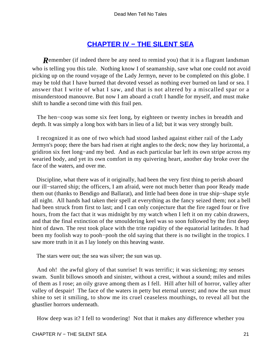## **[CHAPTER IV − THE SILENT SEA](#page-131-0)**

**R**emember (if indeed there be any need to remind you) that it is a flagrant landsman who is telling you this tale. Nothing know I of seamanship, save what one could not avoid picking up on the round voyage of the Lady Jermyn, never to be completed on this globe. I may be told that I have burned that devoted vessel as nothing ever burned on land or sea. I answer that I write of what I saw, and that is not altered by a miscalled spar or a misunderstood manouvre. But now I am aboard a craft I handle for myself, and must make shift to handle a second time with this frail pen.

The hen–coop was some six feet long, by eighteen or twenty inches in breadth and depth. It was simply a long box with bars in lieu of a lid; but it was very strongly built.

 I recognized it as one of two which had stood lashed against either rail of the Lady Jermyn's poop; there the bars had risen at right angles to the deck; now they lay horizontal, a gridiron six feet long−and my bed. And as each particular bar left its own stripe across my wearied body, and yet its own comfort in my quivering heart, another day broke over the face of the waters, and over me.

 Discipline, what there was of it originally, had been the very first thing to perish aboard our ill−starred ship; the officers, I am afraid, were not much better than poor Ready made them out (thanks to Bendigo and Ballarat), and little had been done in true ship−shape style all night. All hands had taken their spell at everything as the fancy seized them; not a bell had been struck from first to last; and I can only conjecture that the fire raged four or five hours, from the fact that it was midnight by my watch when I left it on my cabin drawers, and that the final extinction of the smouldering keel was so soon followed by the first deep hint of dawn. The rest took place with the trite rapidity of the equatorial latitudes. It had been my foolish way to pooh−pooh the old saying that there is no twilight in the tropics. I saw more truth in it as I lay lonely on this heaving waste.

The stars were out; the sea was silver; the sun was up.

 And oh! the awful glory of that sunrise! It was terrific; it was sickening; my senses swam. Sunlit billows smooth and sinister, without a crest, without a sound; miles and miles of them as I rose; an oily grave among them as I fell. Hill after hill of horror, valley after valley of despair! The face of the waters in petty but eternal unrest; and now the sun must shine to set it smiling, to show me its cruel ceaseless mouthings, to reveal all but the ghastlier horrors underneath.

How deep was it? I fell to wondering! Not that it makes any difference whether you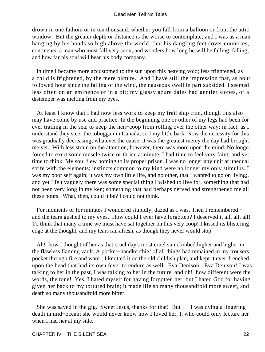drown in one fathom or in ten thousand, whether you fall from a balloon or from the attic window. But the greater depth or distance is the worse to contemplate; and I was as a man hanging by his hands so high above the world, that his dangling feet cover countries, continents; a man who must fall very soon, and wonders how long he will be falling, falling; and how far his soul will bear his body company.

 In time I became more accustomed to the sun upon this heaving void; less frightened, as a child is frightened, by the mere picture. And I have still the impression that, as hour followed hour since the falling of the wind, the nauseous swell in part subsided. I seemed less often on an eminence or in a pit; my glassy azure dales had gentler slopes, or a distemper was melting from my eyes.

 At least I know that I had now less work to keep my frail ship trim, though this also may have come by use and practice. In the beginning one or other of my legs had been for ever trailing in the sea, to keep the hen−coop from rolling over the other way; in fact, as I understand they steer the toboggan in Canada, so I my little bark. Now the necessity for this was gradually decreasing; whatever the cause, it was the greatest mercy the day had brought me yet. With less strain on the attention, however, there was more upon the mind. No longer forced to exert some muscle twice or thrice a minute, I had time to feel very faint, and yet time to think. My soul flew homing to its proper prison. I was no longer any unit at unequal strife with the elements; instincts common to my kind were no longer my only stimulus. I was my poor self again; it was my own little life, and no other, that I wanted to go on living; and yet I felt vaguely there was some special thing I wished to live for, something that had not been very long in my ken; something that had perhaps nerved and strengthened me all these hours. What, then, could it be? I could not think.

 For moments or for minutes I wondered stupidly, dazed as I was. Then I remembered − and the tears gushed to my eyes. How could I ever have forgotten? I deserved it all, all, all! To think that many a time we must have sat together on this very coop! I kissed its blistering edge at the thought, and my tears ran afresh, as though they never would stop.

 Ah! how I thought of her as that cruel day's most cruel sun climbed higher and higher in the flawless flaming vault. A pocket−handkerchief of all things had remained in my trousers pocket through fire and water; I knotted it on the old childish plan, and kept it ever drenched upon the head that had its own fever to endure as well. Eva Denison! Eva Denison! I was talking to her in the past, I was talking to her in the future, and oh! how different were the words, the tone! Yes, I hated myself for having forgotten her; but I hated God for having given her back to my tortured brain; it made life so many thousandfold more sweet, and death so many thousandfold more bitter.

 She was saved in the gig. Sweet Jesus, thanks for that! But I − I was dying a lingering death in mid−ocean; she would never know how I loved her, I, who could only lecture her when I had her at my side.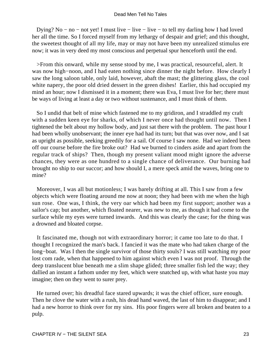Dying? No − no − not yet! I must live − live − live − to tell my darling how I had loved her all the time. So I forced myself from my lethargy of despair and grief; and this thought, the sweetest thought of all my life, may or may not have been my unrealized stimulus ere now; it was in very deed my most conscious and perpetual spur henceforth until the end.

 >From this onward, while my sense stood by me, I was practical, resourceful, alert. It was now high−noon, and I had eaten nothing since dinner the night before. How clearly I saw the long saloon table, only laid, however, abaft the mast; the glittering glass, the cool white napery, the poor old dried dessert in the green dishes! Earlier, this had occupied my mind an hour; now I dismissed it in a moment; there was Eva, I must live for her; there must be ways of living at least a day or two without sustenance, and I must think of them.

 So I undid that belt of mine which fastened me to my gridiron, and I straddled my craft with a sudden keen eye for sharks, of which I never once had thought until now. Then I tightened the belt about my hollow body, and just sat there with the problem. The past hour I had been wholly unobservant; the inner eye had had its turn; but that was over now, and I sat as upright as possible, seeking greedily for a sail. Of course I saw none. Had we indeed been off our course before the fire broke out? Had we burned to cinders aside and apart from the regular track of ships? Then, though my present valiant mood might ignore the adverse chances, they were as one hundred to a single chance of deliverance. Our burning had brought no ship to our succor; and how should I, a mere speck amid the waves, bring one to mine?

 Moreover, I was all but motionless; I was barely drifting at all. This I saw from a few objects which were floating around me now at noon; they had been with me when the high sun rose. One was, I think, the very oar which had been my first support; another was a sailor's cap; but another, which floated nearer, was new to me, as though it had come to the surface while my eyes were turned inwards. And this was clearly the case; for the thing was a drowned and bloated corpse.

 It fascinated me, though not with extraordinary horror; it came too late to do that. I thought I recognized the man's back. I fancied it was the mate who had taken charge of the long−boat. Was I then the single survivor of those thirty souls? I was still watching my poor lost com rade, when that happened to him against which even I was not proof. Through the deep translucent blue beneath me a slim shape glided; three smaller fish led the way; they dallied an instant a fathom under my feet, which were snatched up, with what haste you may imagine; then on they went to surer prey.

 He turned over; his dreadful face stared upwards; it was the chief officer, sure enough. Then he clove the water with a rush, his dead hand waved, the last of him to disappear; and I had a new horror to think over for my sins. His poor fingers were all broken and beaten to a pulp.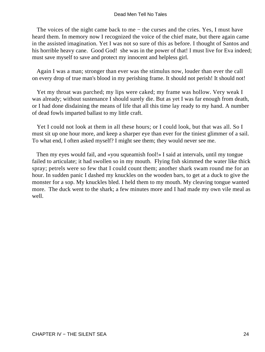The voices of the night came back to me − the curses and the cries. Yes, I must have heard them. In memory now I recognized the voice of the chief mate, but there again came in the assisted imagination. Yet I was not so sure of this as before. I thought of Santos and his horrible heavy cane. Good God! she was in the power of that! I must live for Eva indeed; must save myself to save and protect my innocent and helpless girl.

 Again I was a man; stronger than ever was the stimulus now, louder than ever the call on every drop of true man's blood in my perishing frame. It should not perish! It should not!

 Yet my throat was parched; my lips were caked; my frame was hollow. Very weak I was already; without sustenance I should surely die. But as yet I was far enough from death, or I had done disdaining the means of life that all this time lay ready to my hand. A number of dead fowls imparted ballast to my little craft.

 Yet I could not look at them in all these hours; or I could look, but that was all. So I must sit up one hour more, and keep a sharper eye than ever for the tiniest glimmer of a sail. To what end, I often asked myself? I might see them; they would never see me.

 Then my eyes would fail, and «you squeamish fool!» I said at intervals, until my tongue failed to articulate; it had swollen so in my mouth. Flying fish skimmed the water like thick spray; petrels were so few that I could count them; another shark swam round me for an hour. In sudden panic I dashed my knuckles on the wooden bars, to get at a duck to give the monster for a sop. My knuckles bled. I held them to my mouth. My cleaving tongue wanted more. The duck went to the shark; a few minutes more and I had made my own vile meal as well.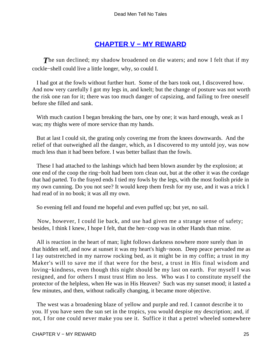### **[CHAPTER V − MY REWARD](#page-131-0)**

**The sun declined; my shadow broadened on die waters; and now I felt that if my** cockle−shell could live a little longer, why, so could I.

 I had got at the fowls without further hurt. Some of the bars took out, I discovered how. And now very carefully I got my legs in, and knelt; but the change of posture was not worth the risk one ran for it; there was too much danger of capsizing, and failing to free oneself before she filled and sank.

With much caution I began breaking the bars, one by one; it was hard enough, weak as I was; my thighs were of more service than my hands.

 But at last I could sit, the grating only covering me from the knees downwards. And the relief of that outweighed all the danger, which, as I discovered to my untold joy, was now much less than it had been before. I was better ballast than the fowls.

 These I had attached to the lashings which had been blown asunder by the explosion; at one end of the coop the ring−bolt had been torn clean out, but at the other it was the cordage that had parted. To the frayed ends I tied my fowls by the legs, with the most foolish pride in my own cunning. Do you not see? It would keep them fresh for my use, and it was a trick I had read of in no book; it was all my own.

So evening fell and found me hopeful and even puffed up; but yet, no sail.

 Now, however, I could lie back, and use had given me a strange sense of safety; besides, I think I knew, I hope I felt, that the hen−coop was in other Hands than mine.

 All is reaction in the heart of man; light follows darkness nowhere more surely than in that hidden self, and now at sunset it was my heart's high−noon. Deep peace pervaded me as I lay outstretched in my narrow rocking bed, as it might be in my coffin; a trust in my Maker's will to save me if that were for the best, a trust in His final wisdom and loving−kindness, even though this night should be my last on earth. For myself I was resigned, and for others I must trust Him no less. Who was I to constitute myself the protector of the helpless, when He was in His Heaven? Such was my sunset mood; it lasted a few minutes, and then, without radically changing, it became more objective.

 The west was a broadening blaze of yellow and purple and red. I cannot describe it to you. If you have seen the sun set in the tropics, you would despise my description; and, if not, I for one could never make you see it. Suffice it that a petrel wheeled somewhere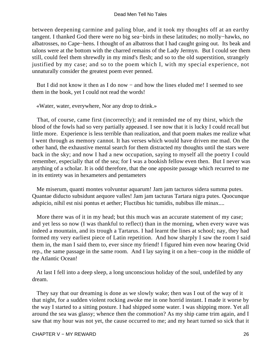between deepening carmine and paling blue, and it took my thoughts off at an earthy tangent. I thanked God there were no big sea−birds in these latitudes; no molly−hawks, no albatrosses, no Cape−hens. I thought of an albatross that I had caught going out. Its beak and talons were at the bottom with the charred remains of the Lady Jermyn. But I could see them still, could feel them shrewdly in my mind's flesh; and so to the old superstition, strangely justified by my case; and so to the poem which I, with my special experience, not unnaturally consider the greatest poem ever penned.

 But I did not know it then as I do now − and how the lines eluded me! I seemed to see them in the book, yet I could not read the words!

«Water, water, everywhere, Nor any drop to drink.»

 That, of course, came first (incorrectly); and it reminded me of my thirst, which the blood of the fowls had so very partially appeased. I see now that it is lucky I could recall but little more. Experience is less terrible than realization, and that poem makes me realize what I went through as memory cannot. It has verses which would have driven me mad. On the other hand, the exhaustive mental search for them distracted my thoughts until the stars were back in the sky; and now I had a new occupation, saying to myself all the poetry I could remember, especially that of the sea; for I was a bookish fellow even then. But I never was anything of a scholar. It is odd therefore, that the one apposite passage which recurred to me in its entirety was in hexameters and pentameters

 Me miserum, quanti montes volvuntur aquarum! Jam jam tacturos sidera summa putes. Quantae diducto subsidunt aequore valles! Jam jam tacturas Tartara nigra putes. Quocunque adspicio, nihil est nisi pontus et aether; Fluctibus hic tumidis, nubibus ille minax....

 More there was of it in my head; but this much was an accurate statement of my case; and yet less so now (I was thankful to reflect) than in the morning, when every wave was indeed a mountain, and its trough a Tartarus. I had learnt the lines at school; nay, they had formed my very earliest piece of Latin repetition. And how sharply I saw the room I said them in, the man I said them to, ever since my friend! I figured him even now hearing Ovid rep., the same passage in the same room. And I lay saying it on a hen−coop in the middle of the Atlantic Ocean!

 At last I fell into a deep sleep, a long unconscious holiday of the soul, undefiled by any dream.

 They say that our dreaming is done as we slowly wake; then was I out of the way of it that night, for a sudden violent rocking awoke me in one horrid instant. I made it worse by the way I started to a sitting posture. I had shipped some water. I was shipping more. Yet all around the sea was glassy; whence then the commotion? As my ship came trim again, and I saw that my hour was not yet, the cause occurred to me; and my heart turned so sick that it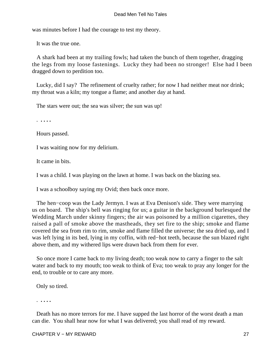was minutes before I had the courage to test my theory.

It was the true one.

 A shark had been at my trailing fowls; had taken the bunch of them together, dragging the legs from my loose fastenings. Lucky they had been no stronger! Else had I been dragged down to perdition too.

 Lucky, did I say? The refinement of cruelty rather; for now I had neither meat nor drink; my throat was a kiln; my tongue a flame; and another day at hand.

The stars were out; the sea was silver; the sun was up!

. **. . . .**

Hours passed.

I was waiting now for my delirium.

It came in bits.

I was a child. I was playing on the lawn at home. I was back on the blazing sea.

I was a schoolboy saying my Ovid; then back once more.

The hen–coop was the Lady Jermyn. I was at Eva Denison's side. They were marrying us on board. The ship's bell was ringing for us; a guitar in the background burlesqued the Wedding March under skinny fingers; the air was poisoned by a million cigarettes, they raised a pall of smoke above the mastheads, they set fire to the ship; smoke and flame covered the sea from rim to rim, smoke and flame filled the universe; the sea dried up, and I was left lying in its bed, lying in my coffin, with red−hot teeth, because the sun blazed right above them, and my withered lips were drawn back from them for ever.

 So once more I came back to my living death; too weak now to carry a finger to the salt water and back to my mouth; too weak to think of Eva; too weak to pray any longer for the end, to trouble or to care any more.

Only so tired.

. **. . . .**

 Death has no more terrors for me. I have supped the last horror of the worst death a man can die. You shall hear now for what I was delivered; you shall read of my reward.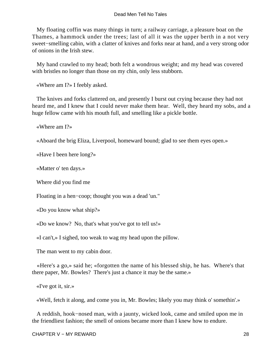My floating coffin was many things in turn; a railway carriage, a pleasure boat on the Thames, a hammock under the trees; last of all it was the upper berth in a not very sweet−smelling cabin, with a clatter of knives and forks near at hand, and a very strong odor of onions in the Irish stew.

 My hand crawled to my head; both felt a wondrous weight; and my head was covered with bristles no longer than those on my chin, only less stubborn.

«Where am I?» I feebly asked.

 The knives and forks clattered on, and presently I burst out crying because they had not heard me, and I knew that I could never make them hear. Well, they heard my sobs, and a huge fellow came with his mouth full, and smelling like a pickle bottle.

«Where am I?»

«Aboard the brig Eliza, Liverpool, homeward bound; glad to see them eyes open.»

«Have I been here long?»

«Matter o' ten days.»

Where did you find me

Floating in a hen−coop; thought you was a dead 'un."

«Do you know what ship?»

«Do we know? No, that's what you've got to tell us!»

«I can't,» I sighed, too weak to wag my head upon the pillow.

The man went to my cabin door.

 «Here's a go,» said he; «forgotten the name of his blessed ship, he has. Where's that there paper, Mr. Bowles? There's just a chance it may be the same.»

«I've got it, sir.»

«Well, fetch it along, and come you in, Mr. Bowles; likely you may think o' somethin'.»

 A reddish, hook−nosed man, with a jaunty, wicked look, came and smiled upon me in the friendliest fashion; the smell of onions became more than I knew how to endure.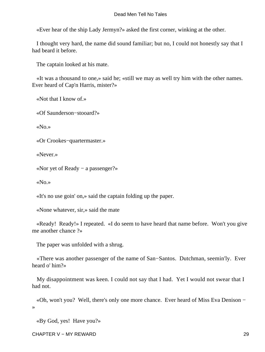«Ever hear of the ship Lady Jermyn?» asked the first corner, winking at the other.

 I thought very hard, the name did sound familiar; but no, I could not honestly say that I had beard it before.

The captain looked at his mate.

 «It was a thousand to one,» said he; «still we may as well try him with the other names. Ever heard of Cap'n Harris, mister?»

«Not that I know of.»

«Of Saunderson−stooard?»

«No.»

«Or Crookes−quartermaster.»

«Never.»

«Nor yet of Ready − a passenger?»

«No.»

«It's no use goin' on,» said the captain folding up the paper.

«None whatever, sir,» said the mate

 «Ready! Ready!» I repeated. «I do seem to have heard that name before. Won't you give me another chance ?»

The paper was unfolded with a shrug.

 «There was another passenger of the name of San−Santos. Dutchman, seemin'ly. Ever heard o' him?»

 My disappointment was keen. I could not say that I had. Yet I would not swear that I had not.

 «Oh, won't you? Well, there's only one more chance. Ever heard of Miss Eva Denison − »

«By God, yes! Have you?»

CHAPTER V − MY REWARD 29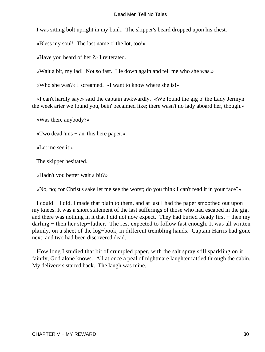I was sitting bolt upright in my bunk. The skipper's beard dropped upon his chest.

«Bless my soul! The last name o' the lot, too!»

«Have you heard of her ?» I reiterated.

«Wait a bit, my lad! Not so fast. Lie down again and tell me who she was.»

«Who she was?» I screamed. «I want to know where she is!»

 «I can't hardly say,» said the captain awkwardly. «We found the gig o' the Lady Jermyn the week arter we found you, bein' becalmed like; there wasn't no lady aboard her, though.»

«Was there anybody?»

«Two dead 'uns − an' this here paper.»

«Let me see it!»

The skipper hesitated.

«Hadn't you better wait a bit?»

«No, no; for Christ's sake let me see the worst; do you think I can't read it in your face?»

 I could − I did. I made that plain to them, and at last I had the paper smoothed out upon my knees. It was a short statement of the last sufferings of those who had escaped in the gig, and there was nothing in it that I did not now expect. They had buried Ready first − then my darling − then her step−father. The rest expected to follow fast enough. It was all written plainly, on a sheet of the log−book, in different trembling hands. Captain Harris had gone next; and two had been discovered dead.

 How long I studied that bit of crumpled paper, with the salt spray still sparkling on it faintly, God alone knows. All at once a peal of nightmare laughter rattled through the cabin. My deliverers started back. The laugh was mine.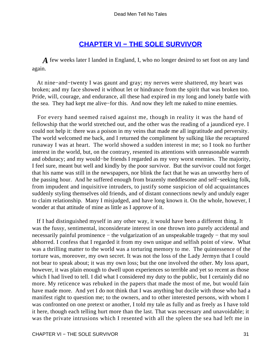### **[CHAPTER VI − THE SOLE SURVIVOR](#page-131-0)**

*A* few weeks later I landed in England, I, who no longer desired to set foot on any land again.

 At nine−and−twenty I was gaunt and gray; my nerves were shattered, my heart was broken; and my face showed it without let or hindrance from the spirit that was broken too. Pride, will, courage, and endurance, all these had expired in my long and lonely battle with the sea. They had kept me alive−for this. And now they left me naked to mine enemies.

 For every hand seemed raised against me, though in reality it was the hand of fellowship that the world stretched out, and the other was the reading of a jaundiced eye. I could not help it: there was a poison in my veins that made me all ingratitude and perversity. The world welcomed me back, and I returned the compliment by sulking like the recaptured runaway I was at heart. The world showed a sudden interest in me; so I took no further interest in the world, but, on the contrary, resented its attentions with unreasonable warmth and obduracy; and my would−be friends I regarded as my very worst enemies. The majority, I feel sure, meant but well and kindly by the poor survivor. But the survivor could not forget that his name was still in the newspapers, nor blink the fact that he was an unworthy hero of the passing hour. And he suffered enough from brazenly meddlesome and self−seeking folk, from impudent and inquisitive intruders, to justify some suspicion of old acquaintances suddenly styling themselves old friends, and of distant connections newly and unduly eager to claim relationship. Many I misjudged, and have long known it. On the whole, however, I wonder at that attitude of mine as little as I approve of it.

 If I had distinguished myself in any other way, it would have been a different thing. It was the fussy, sentimental, inconsiderate interest in one thrown into purely accidental and necessarily painful prominence – the vulgarization of an unspeakable tragedy – that my soul abhorred. I confess that I regarded it from my own unique and selfish point of view. What was a thrilling matter to the world was a torturing memory to me. The quintessence of the torture was, moreover, my own secret. It was not the loss of the Lady Jermyn that I could not bear to speak about; it was my own loss; but the one involved the other. My loss apart, however, it was plain enough to dwell upon experiences so terrible and yet so recent as those which I had lived to tell. I did what I considered my duty to the public, but I certainly did no more. My reticence was rebuked in the papers that made the most of me, but would fain have made more. And yet I do not think that I was anything but docile with those who had a manifest right to question me; to the owners, and to other interested persons, with whom I was confronted on one pretext or another, I told my tale as fully and as freely as I have told it here, though each telling hurt more than the last. That was necessary and unavoidable; it was the private intrusions which I resented with all the spleen the sea had left me in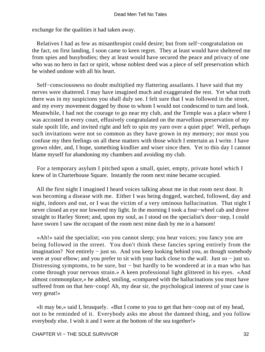exchange for the qualities it had taken away.

 Relatives I had as few as misanthropist could desire; but from self−congratulation on the fact, on first landing, I soon came to keen regret. They at least would have sheltered me from spies and busybodies; they at least would have secured the peace and privacy of one who was no hero in fact or spirit, whose noblest deed was a piece of self preservation which he wished undone with all his heart.

 Self−consciousness no doubt multiplied my flattering assailants. I have said that my nerves were shattered. I may have imagined much and exaggerated the rest. Yet what truth there was in my suspicions you shall duly see. I felt sure that I was followed in the street, and my every movement dogged by those to whom I would not condescend to turn and look. Meanwhile, I had not the courage to go near my club, and the Temple was a place where I was accosted in every court, effusively congratulated on the marvellous preservation of my stale spoilt life, and invited right and left to spin my yarn over a quiet pipe! Well, perhaps such invitations were not so common as they have grown in my memory; nor must you confuse my then feelings on all these matters with those which I entertain as I write. I have grown older, and, I hope, something kindlier and wiser since then. Yet to this day I cannot blame myself for abandoning my chambers and avoiding my club.

 For a temporary asylum I pitched upon a small, quiet, empty, private hotel which I knew of in Charterhouse Square. Instantly the room next mine became occupied.

 All the first night I imagined I heard voices talking about me in that room next door. It was becoming a disease with me. Either I was being dogged, watched, followed, day and night, indoors and out, or I was the victim of a very ominous hallucination. That night I never closed an eye nor lowered my light. In the morning I took a four−wheel cab and drove straight to Harley Street; and, upon my soul, as I stood on the specialist's door−step, I could have sworn I saw the occupant of the room next mine dash by me in a hansom!

 «Ah!» said the specialist; «so you cannot sleep; you hear voices; you fancy you are being followed in the street. You don't think these fancies spring entirely from the imagination? Not entirely − just so. And you keep looking behind you, as though somebody were at your elbow; and you prefer to sit with your back close to the wall. Just so − just so. Distressing symptoms, to be sure, but − but hardly to be wondered at in a man who has come through your nervous strain.» A keen professional light glittered in his eyes. «And almost commonplace,» he added, smiling, «compared with the hallucinations you must have suffered from on that hen–coop! Ah, my dear sir, the psychological interest of your case is very great!»

 «It may be,» said I, brusquely. «But I come to you to get that hen−coop out of my head, not to be reminded of it. Everybody asks me about the damned thing, and you follow everybody else. I wish it and I were at the bottom of the sea together!»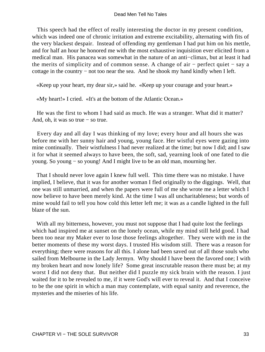This speech had the effect of really interesting the doctor in my present condition, which was indeed one of chronic irritation and extreme excitability, alternating with fits of the very blackest despair. Instead of offending my gentleman I had put him on his mettle, and for half an hour he honored me with the most exhaustive inquisition ever elicited from a medical man. His panacea was somewhat in the nature of an anti−climax, but at least it had the merits of simplicity and of common sense. A change of air − perfect quiet − say a cottage in the country − not too near the sea. And he shook my hand kindly when I left.

«Keep up your heart, my dear sir,» said he. «Keep up your courage and your heart.»

«My heart!» I cried. «It's at the bottom of the Atlantic Ocean.»

 He was the first to whom I had said as much. He was a stranger. What did it matter? And, oh, it was so true − so true.

 Every day and all day I was thinking of my love; every hour and all hours she was before me with her sunny hair and young, young face. Her wistful eyes were gazing into mine continually. Their wistfulness I had never realized at the time; but now I did; and I saw it for what it seemed always to have been, the soft, sad, yearning look of one fated to die young. So young − so young! And I might live to be an old man, mourning her.

 That I should never love again I knew full well. This time there was no mistake. I have implied, I believe, that it was for another woman I fled originally to the diggings. Well, that one was still unmarried, and when the papers were full of me she wrote me a letter which I now believe to have been merely kind. At the time I was all uncharitableness; but words of mine would fail to tell you how cold this letter left me; it was as a candle lighted in the full blaze of the sun.

With all my bitterness, however, you must not suppose that I had quite lost the feelings which had inspired me at sunset on the lonely ocean, while my mind still held good. I had been too near my Maker ever to lose those feelings altogether. They were with me in the better moments of these my worst days. I trusted His wisdom still. There was a reason for everything; there were reasons for all this. I alone had been saved out of all those souls who sailed from Melbourne in the Lady Jermyn. Why should I have been the favored one; I with my broken heart and now lonely life? Some great inscrutable reason there must be; at my worst I did not deny that. But neither did I puzzle my sick brain with the reason. I just waited for it to be revealed to me, if it were God's will ever to reveal it. And that I conceive to be the one spirit in which a man may contemplate, with equal sanity and reverence, the mysteries and the miseries of his life.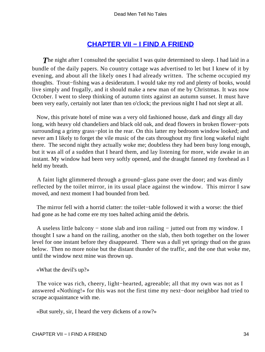## **[CHAPTER VII − I FIND A FRIEND](#page-131-0)**

**The night after I consulted the specialist I was quite determined to sleep. I had laid in a** bundle of the daily papers. No country cottage was advertised to let but I knew of it by evening, and about all the likely ones I had already written. The scheme occupied my thoughts. Trout−fishing was a desideratum. I would take my rod and plenty of books, would live simply and frugally, and it should make a new man of me by Christmas. It was now October. I went to sleep thinking of autumn tints against an autumn sunset. It must have been very early, certainly not later than ten o'clock; the previous night I had not slept at all.

 Now, this private hotel of mine was a very old fashioned house, dark and dingy all day long, with heavy old chandeliers and black old oak, and dead flowers in broken flower−pots surrounding a grimy grass−plot in the rear. On this latter my bedroom window looked; and never am I likely to forget the vile music of the cats throughout my first long wakeful night there. The second night they actually woke me; doubtless they had been busy long enough, but it was all of a sudden that I heard them, and lay listening for more, wide awake in an instant. My window had been very softly opened, and the draught fanned my forehead as I held my breath.

 A faint light glimmered through a ground−glass pane over the door; and was dimly reflected by the toilet mirror, in its usual place against the window. This mirror I saw moved, and next moment I had bounded from bed.

 The mirror fell with a horrid clatter: the toilet−table followed it with a worse: the thief had gone as he had come ere my toes halted aching amid the debris.

 A useless little balcony − stone slab and iron railing − jutted out from my window. I thought I saw a hand on the railing, another on the slab, then both together on the lower level for one instant before they disappeared. There was a dull yet springy thud on the grass below. Then no more noise but the distant thunder of the traffic, and the one that woke me, until the window next mine was thrown up.

«What the devil's up?»

 The voice was rich, cheery, light−hearted, agreeable; all that my own was not as I answered «Nothing!» for this was not the first time my next−door neighbor had tried to scrape acquaintance with me.

«But surely, sir, I heard the very dickens of a row?»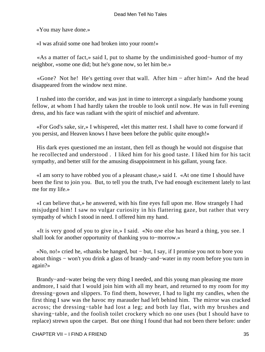«You may have done.»

«I was afraid some one had broken into your room!»

 «As a matter of fact,» said I, put to shame by the undiminished good−humor of my neighbor, «some one did; but he's gone now, so let him be.»

 «Gone? Not he! He's getting over that wall. After him − after him!» And the head disappeared from the window next mine.

 I rushed into the corridor, and was just in time to intercept a singularly handsome young fellow, at whom I had hardly taken the trouble to look until now. He was in full evening dress, and his face was radiant with the spirit of mischief and adventure.

 «For God's sake, sir,» I whispered, «let this matter rest. I shall have to come forward if you persist, and Heaven knows I have been before the public quite enough!»

 His dark eyes questioned me an instant, then fell as though he would not disguise that he recollected and understood . I liked him for his good taste. I liked him for his tacit sympathy, and better still for the amusing disappointment in his gallant, young face.

 «I am sorry to have robbed you of a pleasant chase,» said I. «At one time I should have been the first to join you. But, to tell you the truth, I've had enough excitement lately to last me for my life.»

 «I can believe that,» he answered, with his fine eyes full upon me. How strangely I had misjudged him! I saw no vulgar curiosity in his flattering gaze, but rather that very sympathy of which I stood in need. I offered him my hand.

 «It is very good of you to give in,» I said. «No one else has heard a thing, you see. I shall look for another opportunity of thanking you to−morrow.»

 «No, no!» cried he, «thanks be hanged, but − but, I say, if I promise you not to bore you about things − won't you drink a glass of brandy−and−water in my room before you turn in again?»

 Brandy−and−water being the very thing I needed, and this young man pleasing me more andmore, I said that I would join him with all my heart, and returned to my room for my dressing−gown and slippers. To find them, however, I had to light my candles, when the first thing I saw was the havoc my marauder had left behind him. The mirror was cracked across; the dressing−table had lost a leg; and both lay flat, with my brushes and shaving−table, and the foolish toilet crockery which no one uses (but I should have to replace) strewn upon the carpet. But one thing I found that had not been there before: under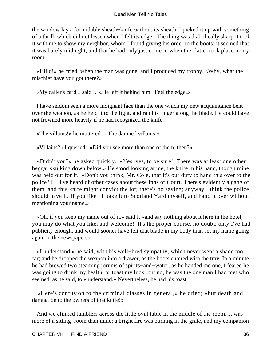the window lay a formidable sheath−knife without its sheath. I picked it up with something of a thrill, which did not lessen when I felt its edge. The thing was diabolically sharp. I took it with me to show my neighbor, whom I found giving his order to the boots; it seemed that it was barely midnight, and that he had only just come in when the clatter took place in my room.

 «Hillo!» he cried, when the man was gone, and I produced my trophy. «Why, what the mischief have you got there?»

«My caller's card,» said I. «He left it behind him. Feel the edge.»

 I have seldom seen a more indignant face than the one which my new acquaintance bent over the weapon, as he held it to the light, and ran his finger along the blade. He could have not frowned more heavily if he had recognized the knife.

«The villains!» he muttered. «The damned villains!»

«Villains?» I queried. «Did you see more than one of them, then?»

 «Didn't you?» he asked quickly. «Yes, yes, to be sure! There was at least one other beggar skulking down below.» He stood looking at me, the knife in his hand, though mine was held out for it. «Don't you think, Mr. Cole, that it's our duty to hand this over to the police? I − I've heard of other cases about these Inns of Court. There's evidently a gang of them, and this knife might convict the lot; there's no saying; anyway I think the police should have it. If you like I'll take it to Scotland Yard myself, and hand it over without mentioning your name.»

 «Oh, if you keep my name out of it,» said I, «and say nothing about it here in the hotel, you may do what you like, and welcome! It's the proper course, no doubt; only I've had publicity enough, and would sooner have felt that blade in my body than set my name going again in the newspapers.»

 «I understand,» he said, with his well−bred sympathy, which never went a shade too far; and he dropped the weapon into a drawer, as the boots entered with the tray. In a minute he had brewed two steaming jorums of spirits−and−water; as he handed me one, I feared he was going to drink my health, or toast my luck; but no, he was the one man I had met who seemed, as he said, to «understand.» Nevertheless, he had his toast.

 «Here's confusion to the criminal classes in general,» he cried; «but death and damnation to the owners of that knife!»

 And we clinked tumblers across the little oval table in the middle of the room. It was more of a sitting−room than mine; a bright fire was burning in the grate, and my companion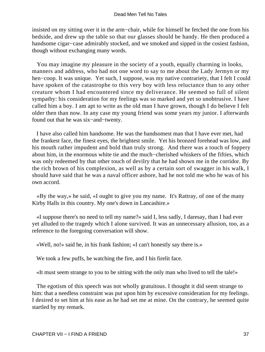insisted on my sitting over it in the arm−chair, while for himself he fetched the one from his bedside, and drew up the table so that our glasses should be handy. He then produced a handsome cigar−case admirably stocked, and we smoked and sipped in the cosiest fashion, though without exchanging many words.

 You may imagine my pleasure in the society of a youth, equally charming in looks, manners and address, who had not one word to say to me about the Lady Jermyn or my hen–coop. It was unique. Yet such, I suppose, was my native contrariety, that I felt I could have spoken of the catastrophe to this very boy with less reluctance than to any other creature whom I had encountered since my deliverance. He seemed so full of silent sympathy: his consideration for my feelings was so marked and yet so unobtrusive. I have called him a boy. I am apt to write as the old man I have grown, though I do believe I felt older then than now. In any case my young friend was some years my junior. I afterwards found out that he was six−and−twenty.

 I have also called him handsome. He was the handsomest man that I have ever met, had the frankest face, the finest eyes, the brightest smile. Yet his bronzed forehead was low, and his mouth rather impudent and bold than truly strong. And there was a touch of foppery about him, in the enormous white tie and the much−cherished whiskers of the fifties, which was only redeemed by that other touch of devilry that he had shown me in the corridor. By the rich brown of his complexion, as well as by a certain sort of swagger in his walk, I should have said that he was a naval officer ashore, had he not told me who he was of his own accord.

 «By the way,» he said, «I ought to give you my name. It's Rattray, of one of the many Kirby Halls in this country. My one's down in Lancashire.»

 «I suppose there's no need to tell my name?» said I, less sadly, I daresay, than I had ever yet alluded to the tragedy which I alone survived. It was an unnecessary allusion, too, as a reference to the foregoing conversation will show.

«Well, no!» said he, in his frank fashion; «I can't honestly say there is.»

We took a few puffs, he watching the fire, and I his firelit face.

«It must seem strange to you to be sitting with the only man who lived to tell the tale!»

 The egotism of this speech was not wholly gratuitous. I thought it did seem strange to him: that a needless constraint was put upon him by excessive consideration for my feelings. I desired to set him at his ease as he had set me at mine. On the contrary, he seemed quite startled by my remark.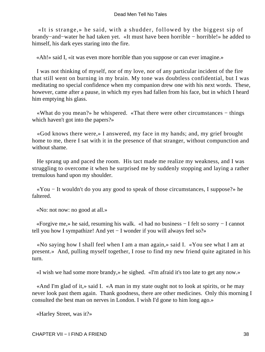«It is strange,» he said, with a shudder, followed by the biggest sip of brandy−and−water he had taken yet. «It must have been horrible − horrible!» he added to himself, his dark eyes staring into the fire.

«Ah!» said I, «it was even more horrible than you suppose or can ever imagine.»

 I was not thinking of myself, nor of my love, nor of any particular incident of the fire that still went on burning in my brain. My tone was doubtless confidential, but I was meditating no special confidence when my companion drew one with his next words. These, however, came after a pause, in which my eyes had fallen from his face, but in which I heard him emptying his glass.

 «What do you mean?» he whispered. «That there were other circumstances − things which haven't got into the papers?»

 «God knows there were,» I answered, my face in my hands; and, my grief brought home to me, there I sat with it in the presence of that stranger, without compunction and without shame.

 He sprang up and paced the room. His tact made me realize my weakness, and I was struggling to overcome it when he surprised me by suddenly stopping and laying a rather tremulous hand upon my shoulder.

 «You − It wouldn't do you any good to speak of those circumstances, I suppose?» he faltered.

«No: not now: no good at all.»

 «Forgive me,» he said, resuming his walk. «I had no business − I felt so sorry − I cannot tell you how I sympathize! And yet − I wonder if you will always feel so?»

 «No saying how I shall feel when I am a man again,» said I. «You see what I am at present.» And, pulling myself together, I rose to find my new friend quite agitated in his turn.

«I wish we had some more brandy,» he sighed. «I'm afraid it's too late to get any now.»

 «And I'm glad of it,» said I. «A man in my state ought not to look at spirits, or he may never look past them again. Thank goodness, there are other medicines. Only this morning I consulted the best man on nerves in London. I wish I'd gone to him long ago.»

«Harley Street, was it?»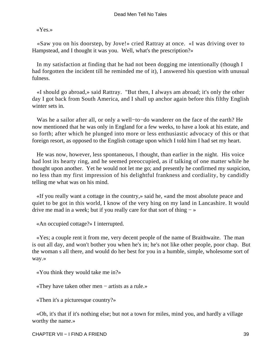«Yes.»

 «Saw you on his doorstep, by Jove!» cried Rattray at once. «I was driving over to Hampstead, and I thought it was you. Well, what's the prescription?»

 In my satisfaction at finding that he had not been dogging me intentionally (though I had forgotten the incident till he reminded me of it), I answered his question with unusual fulness.

 «I should go abroad,» said Rattray. "But then, I always am abroad; it's only the other day I got back from South America, and I shall up anchor again before this filthy English winter sets in.

 Was he a sailor after all, or only a well−to−do wanderer on the face of the earth? He now mentioned that he was only in England for a few weeks, to have a look at his estate, and so forth; after which he plunged into more or less enthusiastic advocacy of this or that foreign resort, as opposed to the English cottage upon which I told him I had set my heart.

 He was now, however, less spontaneous, I thought, than earlier in the night. His voice had lost its hearty ring, and he seemed preoccupied, as if talking of one matter while he thought upon another. Yet he would not let me go; and presently he confirmed my suspicion, no less than my first impression of his delightful frankness and cordiality, by candidly telling me what was on his mind.

 «If you really want a cottage in the country,» said he, «and the most absolute peace and quiet to be got in this world, I know of the very hing on my land in Lancashire. It would drive me mad in a week; but if you really care for that sort of thing  $-\infty$ 

«An occupied cottage?» I interrupted.

 «Yes; a couple rent it from me, very decent people of the name of Braithwaite. The man is out all day, and won't bother you when he's in; he's not like other people, poor chap. But the woman s all there, and would do her best for you in a humble, simple, wholesome sort of way.»

«You think they would take me in?»

«They have taken other men − artists as a rule.»

«Then it's a picturesque country?»

 «Oh, it's that if it's nothing else; but not a town for miles, mind you, and hardly a village worthy the name.»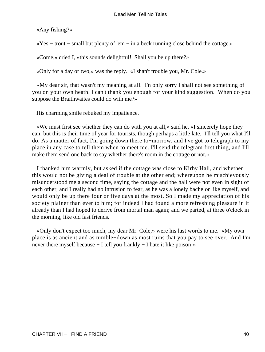«Any fishing?»

«Yes − trout − small but plenty of 'em − in a beck running close behind the cottage.»

«Come,» cried I, «this sounds delightful! Shall you be up there?»

«Only for a day or two,» was the reply. «I shan't trouble you, Mr. Cole.»

 «My dear sir, that wasn't my meaning at all. I'n only sorry I shall not see something of you on your own heath. I can't thank you enough for your kind suggestion. When do you suppose the Braithwaites could do with me?»

His charming smile rebuked my impatience.

 «We must first see whether they can do with you at all,» said he. «I sincerely hope they can; but this is their time of year for tourists, though perhaps a little late. I'll tell you what I'll do. As a matter of fact, I'm going down there to−morrow, and I've got to telegraph to my place in any case to tell them when to meet me. I'll send the telegram first thing, and I'll make them send one back to say whether there's room in the cottage or not.»

 I thanked him warmly, but asked if the cottage was close to Kirby Hall, and whether this would not be giving a deal of trouble at the other end; whereupon he mischievously misunderstood me a second time, saying the cottage and the hall were not even in sight of each other, and I really had no intrusion to fear, as he was a lonely bachelor like myself, and would only be up there four or five days at the most. So I made my appreciation of his society plainer than ever to him; for indeed I had found a more refreshing pleasure in it already than I had hoped to derive from mortal man again; and we parted, at three o'clock in the morning, like old fast friends.

 «Only don't expect too much, my dear Mr. Cole,» were his last words to me. «My own place is as ancient and as tumble−down as most ruins that you pay to see over. And I'm never there myself because − I tell you frankly − I hate it like poison!»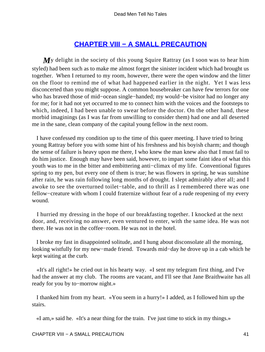# **[CHAPTER VIII − A SMALL PRECAUTION](#page-131-0)**

*My* delight in the society of this young Squire Rattray (as I soon was to hear him styled) had been such as to make me almost forget the sinister incident which had brought us together. When I returned to my room, however, there were the open window and the litter on the floor to remind me of what had happened earlier in the night. Yet I was less disconcerted than you might suppose. A common housebreaker can have few terrors for one who has braved those of mid−ocean single−handed; my would−be visitor had no longer any for me; for it had not yet occurred to me to connect him with the voices and the footsteps to which, indeed, I had been unable to swear before the doctor. On the other hand, these morbid imaginings (as I was far from unwilling to consider them) had one and all deserted me in the sane, clean company of the capital young fellow in the next room.

 I have confessed my condition up to the time of this queer meeting. I have tried to bring young Rattray before you with some hint of his freshness and his boyish charm; and though the sense of failure is heavy upon me there, I who knew the man knew also that I must fail to do him justice. Enough may have been said, however, to impart some faint idea of what this youth was to me in the bitter and embittering anti−climax of my life. Conventional figures spring to my pen, but every one of them is true; he was flowers in spring, he was sunshine after rain, he was rain following long months of drought. I slept admirably after all; and I awoke to see the overturned toilet−table, and to thrill as I remembered there was one fellow−creature with whom I could fraternize without fear of a rude reopening of my every wound.

 I hurried my dressing in the hope of our breakfasting together. I knocked at the next door, and, receiving no answer, even ventured to enter, with the same idea. He was not there. He was not in the coffee−room. He was not in the hotel.

 I broke my fast in disappointed solitude, and I hung about disconsolate all the morning, looking wistfully for my new−made friend. Towards mid−day he drove up in a cab which he kept waiting at the curb.

 «It's all right!» he cried out in his hearty way. «I sent my telegram first thing, and I've had the answer at my club. The rooms are vacant, and I'll see that Jane Braithwaite has all ready for you by to−morrow night.»

 I thanked him from my heart. «You seem in a hurry!» I added, as I followed him up the stairs.

«I am,» said he. «It's a near thing for the train. I've just time to stick in my things.»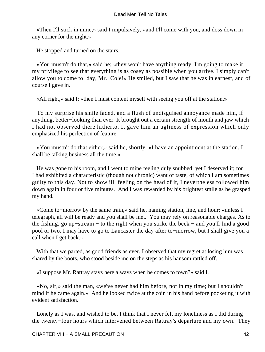«Then I'll stick in mine,» said I impulsively, «and I'll come with you, and doss down in any corner for the night.»

He stopped and turned on the stairs.

 «You mustn't do that,» said he; «they won't have anything ready. I'm going to make it my privilege to see that everything is as cosey as possible when you arrive. I simply can't allow you to come to−day, Mr. Cole!» He smiled, but I saw that he was in earnest, and of course I gave in.

«All right,» said I; «then I must content myself with seeing you off at the station.»

 To my surprise his smile faded, and a flush of undisguised annoyance made him, if anything, better−looking than ever. It brought out a certain strength of mouth and jaw which I had not observed there hitherto. It gave him an ugliness of expression which only emphasized his perfection of feature.

 «You mustn't do that either,» said he, shortly. «I have an appointment at the station. I shall be talking business all the time.»

 He was gone to his room, and I went to mine feeling duly snubbed; yet I deserved it; for I had exhibited a characteristic (though not chronic) want of taste, of which I am sometimes guilty to this day. Not to show ill−feeling on the head of it, I nevertheless followed him down again in four or five minutes. And I was rewarded by his brightest smile as he grasped my hand.

 «Come to−morrow by the same train,» said he, naming station, line, and hour; «unless I telegraph, all will be ready and you shall be met. You may rely on reasonable charges. As to the fishing, go up−stream − to the right when you strike the beck − and you'll find a good pool or two. I may have to go to Lancaster the day after to−morrow, but I shall give you a call when I get back.»

With that we parted, as good friends as ever. I observed that my regret at losing him was shared by the boots, who stood beside me on the steps as his hansom rattled off.

«I suppose Mr. Rattray stays here always when he comes to town?» said I.

 «No, sir,» said the man, «we've never had him before, not in my time; but I shouldn't mind if he came again.» And he looked twice at the coin in his hand before pocketing it with evident satisfaction.

 Lonely as I was, and wished to be, I think that I never felt my loneliness as I did during the twenty−four hours which intervened between Rattray's departure and my own. They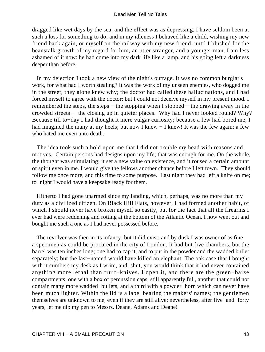dragged like wet days by the sea, and the effect was as depressing. I have seldom been at such a loss for something to do; and in my idleness I behaved like a child, wishing my new friend back again, or myself on the railway with my new friend, until I blushed for the beanstalk growth of my regard for him, an utter stranger, and a younger man. I am less ashamed of it now: he had come into my dark life like a lamp, and his going left a darkness deeper than before.

 In my dejection I took a new view of the night's outrage. It was no common burglar's work, for what had I worth stealing? It was the work of my unseen enemies, who dogged me in the street; they alone knew why; the doctor had called these hallucinations, and I had forced myself to agree with the doctor; but I could not deceive myself in my present mood. I remembered the steps, the steps − the stopping when I stopped − the drawing away in the crowded streets − the closing up in quieter places. Why had I never looked round? Why? Because till to−day I had thought it mere vulgar curiosity; because a few had bored me, I had imagined the many at my heels; but now I knew − I knew! It was the few again: a few who hated me even unto death.

 The idea took such a hold upon me that I did not trouble my head with reasons and motives. Certain persons had designs upon my life; that was enough for me. On the whole, the thought was stimulating; it set a new value on existence, and it roused a certain amount of spirit even in me. I would give the fellows another chance before I left town. They should follow me once more, and this time to some purpose. Last night they had left a knife on me; to−night I would have a keepsake ready for them.

 Hitherto I had gone unarmed since my landing, which, perhaps, was no more than my duty as a civilized citizen. On Black Hill Flats, however, I had formed another habit, of which I should never have broken myself so easily, but for the fact that all the firearms I ever had were reddening and rotting at the bottom of the Atlantic Ocean. I now went out and bought me such a one as I had never possessed before.

 The revolver was then in its infancy; but it did exist; and by dusk I was owner of as fine a specimen as could be procured in the city of London. It had but five chambers, but the barrel was ten inches long; one had to cap it, and to put in the powder and the wadded bullet separately; but the last−named would have killed an elephant. The oak case that I bought with it cumbers my desk as I write, and, shut, you would think that it had never contained anything more lethal than fruit−knives. I open it, and there are the green−baize compartments, one with a box of percussion caps, still apparently full, another that could not contain many more wadded−bullets, and a third with a powder−horn which can never have been much lighter. Within the lid is a label bearing the makers' names; the gentlemen themselves are unknown to me, even if they are still alive; nevertheless, after five−and−forty years, let me dip my pen to Messrs. Deane, Adams and Deane!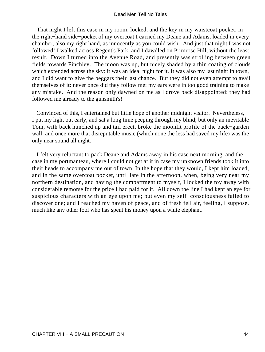That night I left this case in my room, locked, and the key in my waistcoat pocket; in the right−hand side−pocket of my overcoat I carried my Deane and Adams, loaded in every chamber; also my right hand, as innocently as you could wish. And just that night I was not followed! I walked across Regent's Park, and I dawdled on Primrose Hill, without the least result. Down I turned into the Avenue Road, and presently was strolling between green fields towards Finchley. The moon was up, but nicely shaded by a thin coating of clouds which extended across the sky: it was an ideal night for it. It was also my last night in town, and I did want to give the beggars their last chance. But they did not even attempt to avail themselves of it: never once did they follow me: my ears were in too good training to make any mistake. And the reason only dawned on me as I drove back disappointed: they had followed me already to the gunsmith's!

 Convinced of this, I entertained but little hope of another midnight visitor. Nevertheless, I put my light out early, and sat a long time peeping through my blind; but only an inevitable Tom, with back hunched up and tail erect, broke the moonlit profile of the back−garden wall; and once more that disreputable music (which none the less had saved my life) was the only near sound all night.

 I felt very reluctant to pack Deane and Adams away in his case next morning, and the case in my portmanteau, where I could not get at it in case my unknown friends took it into their heads to accompany me out of town. In the hope that they would, I kept him loaded, and in the same overcoat pocket, until late in the afternoon, when, being very near my northern destination, and having the compartment to myself, I locked the toy away with considerable remorse for the price I had paid for it. All down the line I had kept an eye for suspicious characters with an eye upon me; but even my self−consciousness failed to discover one; and I reached my haven of peace, and of fresh fell air, feeling, I suppose, much like any other fool who has spent his money upon a white elephant.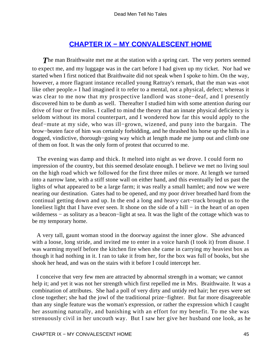# **[CHAPTER IX − MY CONVALESCENT HOME](#page-131-0)**

**The man Braithwaite met me at the station with a spring cart. The very porters seemed** to expect me, and my luggage was in the cart before I had given up my ticket. Nor had we started when I first noticed that Braithwaite did not speak when I spoke to him. On the way, however, a more flagrant instance recalled young Rattray's remark, that the man was «not like other people.» I had imagined it to refer to a mental, not a physical, defect; whereas it was clear to me now that my prospective landlord was stone−deaf, and I presently discovered him to be dumb as well. Thereafter I studied him with some attention during our drive of four or five miles. I called to mind the theory that an innate physical deficiency is seldom without its moral counterpart, and I wondered how far this would apply to the deaf−mute at my side, who was ill−grown, wizened, and puny into the bargain. The brow−beaten face of him was certainly forbidding, and he thrashed his horse up the hills in a dogged, vindictive, thorough−going way which at length made me jump out and climb one of them on foot. It was the only form of protest that occurred to me.

 The evening was damp and thick. It melted into night as we drove. I could form no impression of the country, but this seemed desolate enough. I believe we met no living soul on the high road which we followed for the first three miles or more. At length we turned into a narrow lane, with a stiff stone wall on either hand, and this eventually led us past the lights of what appeared to be a large farm; it was really a small hamlet; and now we were nearing our destination. Gates had to be opened, and my poor driver breathed hard from the continual getting down and up. In the end a long and heavy cart−track brought us to the loneliest light that I have ever seen. It shone on the side of a hill − in the heart of an open wilderness − as solitary as a beacon−light at sea. It was the light of the cottage which was to be my temporary home.

 A very tall, gaunt woman stood in the doorway against the inner glow. She advanced with a loose, long stride, and invited me to enter in a voice harsh (I took it) from disuse. I was warming myself before the kitchen fire when she came in carrying my heaviest box as though it had nothing in it. I ran to take it from her, for the box was full of books, but she shook her head, and was on the stairs with it before I could intercept her.

 I conceive that very few men are attracted by abnormal strength in a woman; we cannot help it; and yet it was not her strength which first repelled me in Mrs. Braithwaite. It was a combination of attributes. She had a poll of very dirty and untidy red hair; her eyes were set close together; she had the jowl of the traditional prize−fighter. But far more disagreeable than any single feature was the woman's expression, or rather the expression which I caught her assuming naturally, and banishing with an effort for my benefit. To me she was strenuously civil in her uncouth way. But I saw her give her husband one look, as he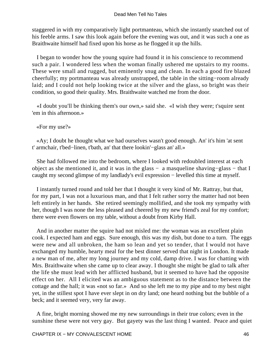staggered in with my comparatively light portmanteau, which she instantly snatched out of his feeble arms. I saw this look again before the evening was out, and it was such a one as Braithwaite himself had fixed upon his horse as he flogged it up the hills.

 I began to wonder how the young squire had found it in his conscience to recommend such a pair. I wondered less when the woman finally ushered me upstairs to my rooms. These were small and rugged, but eminently snug and clean. In each a good fire blazed cheerfully; my portmanteau was already unstrapped, the table in the sitting−room already laid; and I could not help looking twice at the silver and the glass, so bright was their condition, so good their quality. Mrs. Braithwaite watched me from the door.

 «I doubt you'll be thinking them's our own,» said she. «I wish they were; t'squire sent 'em in this afternoon.»

«For my use?»

 «Ay; I doubt he thought what we had ourselves wasn't good enough. An' it's him 'at sent t' armchair, t'bed−linen, t'bath, an' that there lookin'−glass an' all.»

 She had followed me into the bedroom, where I looked with redoubled interest at each object as she mentioned it, and it was in the glass − a masqueline shaving−glass − that I caught my second glimpse of my landlady's evil expression − levelled this time at myself.

 I instantly turned round and told her that I thought it very kind of Mr. Rattray, but that, for my part, I was not a luxurious man, and that I felt rather sorry the matter had not been left entirely in her hands. She retired seemingly mollified, and she took my sympathy with her, though I was none the less pleased and cheered by my new friend's zeal for my comfort; there were even flowers on my table, without a doubt from Kirby Hall.

 And in another matter the squire had not misled me: the woman was an excellent plain cook. I expected ham and eggs. Sure enough, this was my dish, but done to a turn. The eggs were new and all unbroken, the ham so lean and yet so tender, that I would not have exchanged my humble, hearty meal for the best dinner served that night in London. It made a new man of me, after my long journey and my cold, damp drive. I was for chatting with Mrs. Braithwaite when she came up to clear away. I thought she might be glad to talk after the life she must lead with her afflicted husband, but it seemed to have had the opposite effect on her. All I elicited was an ambiguous statement as to the distance between the cottage and the hall; it was «not so far.» And so she left me to my pipe and to my best night yet, in the stillest spot I have ever slept in on dry land; one heard nothing but the bubble of a beck; and it seemed very, very far away.

 A fine, bright morning showed me my new surroundings in their true colors; even in the sunshine these were not very gay. But gayety was the last thing I wanted. Peace and quiet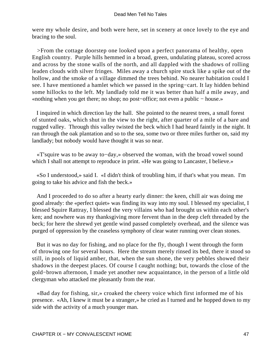were my whole desire, and both were here, set in scenery at once lovely to the eye and bracing to the soul.

 >From the cottage doorstep one looked upon a perfect panorama of healthy, open English country. Purple hills hemmed in a broad, green, undulating plateau, scored across and across by the stone walls of the north, and all dappled with the shadows of rolling leaden clouds with silver fringes. Miles away a church spire stuck like a spike out of the hollow, and the smoke of a village dimmed the trees behind. No nearer habitation could I see. I have mentioned a hamlet which we passed in the spring−cart. It lay hidden behind some hillocks to the left. My landlady told me it was better than half a mile away, and «nothing when you get there; no shop; no post−office; not even a public − house.»

 I inquired in which direction lay the hall. She pointed to the nearest trees, a small forest of stunted oaks, which shut in the view to the right, after quarter of a mile of a bare and rugged valley. Through this valley twisted the beck which I had heard faintly in the night. It ran through the oak plantation and so to the sea, some two or three miles further on, said my landlady; but nobody would have thought it was so near.

 «T'squire was to be away to−day,» observed the woman, with the broad vowel sound which I shall not attempt to reproduce in print. «He was going to Lancaster, I believe.»

 «So I understood,» said I. «I didn't think of troubling him, if that's what you mean. I'm going to take his advice and fish the beck.»

 And I proceeded to do so after a hearty early dinner: the keen, chill air was doing me good already: the «perfect quiet» was finding its way into my soul. I blessed my specialist, I blessed Squire Rattray, I blessed the very villains who had brought us within each other's ken; and nowhere was my thanksgiving more fervent than in the deep cleft threaded by the beck; for here the shrewd yet gentle wind passed completely overhead, and the silence was purged of oppression by the ceaseless symphony of clear water running over clean stones.

 But it was no day for fishing, and no place for the fly, though I went through the form of throwing one for several hours. Here the stream merely rinsed its bed, there it stood so still, in pools of liquid amber, that, when the sun shone, the very pebbles showed their shadows in the deepest places. Of course I caught nothing; but, towards the close of the gold−brown afternoon, I made yet another new acquaintance, in the person of a little old clergyman who attacked me pleasantly from the rear.

 «Bad day for fishing, sir,» croaked the cheery voice which first informed me of his presence. «Ah, I knew it must be a stranger,» he cried as I turned and he hopped down to my side with the activity of a much younger man.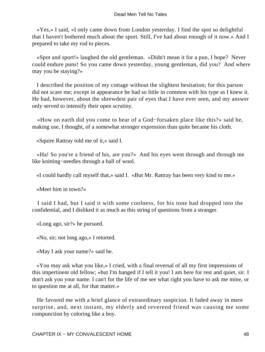«Yes,» I said, «I only came down from London yesterday. I find the spot so delightful that I haven't bothered much about the sport. Still, I've had about enough of it now.» And I prepared to take my rod to pieces.

 «Spot and sport!» laughed the old gentleman. «Didn't mean it for a pun, I hope? Never could endure puns! So you came down yesterday, young gentleman, did you? And where may you be staying?»

 I described the position of my cottage without the slightest hesitation; for this parson did not scare me; except in appearance he had so little in common with his type as I knew it. He had, however, about the shrewdest pair of eyes that I have ever seen, and my answer only served to intensify their open scrutiny.

 «How on earth did you come to hear of a God−forsaken place like this?» said he, making use, I thought, of a somewhat stronger expression than quite became his cloth.

«Squire Rattray told me of it,» said I.

 «Ha! So you're a friend of his, are you?» And his eyes went through and through me like knitting−needles through a ball of wool.

«I could hardly call myself that,» said I. «But Mr. Rattray has been very kind to me.»

«Meet him in town?»

 I said I had, but I said it with some coolness, for his tone had dropped into the confidential, and I disliked it as much as this string of questions from a stranger.

«Long ago, sir?» he pursued.

«No, sir; not long ago,» I retorted.

«May I ask your name?» said he.

 «You may ask what you like,» I cried, with a final reversal of all my first impressions of this impertinent old fellow; «but I'm hanged if I tell it you! I am here for rest and quiet, sir. I don't ask you your name. I can't for the life of me see what right you have to ask me mine, or to question me at all, for that matter.»

 He favored me with a brief glance of extraordinary suspicion. It faded away in mere surprise, and, next instant, my elderly and reverend friend was causing me some compunction by coloring like a boy.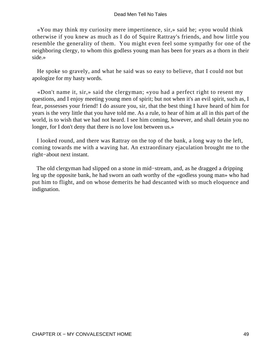«You may think my curiosity mere impertinence, sir,» said he; «you would think otherwise if you knew as much as I do of Squire Rattray's friends, and how little you resemble the generality of them. You might even feel some sympathy for one of the neighboring clergy, to whom this godless young man has been for years as a thorn in their side.»

 He spoke so gravely, and what he said was so easy to believe, that I could not but apologize for my hasty words.

 «Don't name it, sir,» said the clergyman; «you had a perfect right to resent my questions, and I enjoy meeting young men of spirit; but not when it's an evil spirit, such as, I fear, possesses your friend! I do assure you, sir, that the best thing I have heard of him for years is the very little that you have told me. As a rule, to hear of him at all in this part of the world, is to wish that we had not heard. I see him coming, however, and shall detain you no longer, for I don't deny that there is no love lost between us.»

 I looked round, and there was Rattray on the top of the bank, a long way to the left, coming towards me with a waving hat. An extraordinary ejaculation brought me to the right−about next instant.

 The old clergyman had slipped on a stone in mid−stream, and, as he dragged a dripping leg up the opposite bank, he had sworn an oath worthy of the «godless young man» who had put him to flight, and on whose demerits he had descanted with so much eloquence and indignation.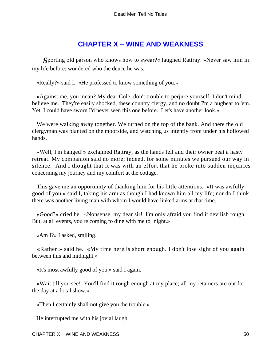# **[CHAPTER X − WINE AND WEAKNESS](#page-131-0)**

*S*porting old parson who knows how to swear?« laughed Rattray. »Never saw him in my life before; wondered who the deuce he was."

«Really?» said I. «He professed to know something of you.»

 «Against me, you mean? My dear Cole, don't trouble to perjure yourself. I don't mind, believe me. They're easily shocked, these country clergy, and no doubt I'm a bugbear to 'em. Yet, I could have sworn I'd never seen this one before. Let's have another look.»

 We were walking away together. We turned on the top of the bank. And there the old clergyman was planted on the moorside, and watching us intently from under his hollowed hands.

 «Well, I'm hanged!» exclaimed Rattray, as the hands fell and their owner beat a hasty retreat. My companion said no more; indeed, for some minutes we pursued our way in silence. And I thought that it was with an effort that he broke into sudden inquiries concerning my journey and my comfort at the cottage.

 This gave me an opportunity of thanking him for his little attentions. «It was awfully good of you,» said I, taking his arm as though I had known him all my life; nor do I think there was another living man with whom I would have linked arms at that time.

 «Good?» cried he. «Nonsense, my dear sir! I'm only afraid you find it devilish rough. But, at all events, you're coming to dine with me to−night.»

«Am I?» I asked, smiling.

 «Rather!» said he. «My time here is short enough. I don't lose sight of you again between this and midnight.»

«It's most awfully good of you,» said I again.

 «Wait till you see! You'll find it rough enough at my place; all my retainers are out for the day at a local show.»

«Then I certainly shall not give you the trouble »

He interrupted me with his jovial laugh.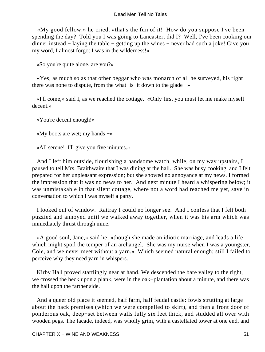«My good fellow,» he cried, «that's the fun of it! How do you suppose I've been spending the day? Told you I was going to Lancaster, did I? Well, I've been cooking our dinner instead − laying the table − getting up the wines − never had such a joke! Give you my word, I almost forgot I was in the wilderness!»

«So you're quite alone, are you?»

 «Yes; as much so as that other beggar who was monarch of all he surveyed, his right there was none to dispute, from the what−is−it down to the glade −»

 «I'll come,» said I, as we reached the cottage. «Only first you must let me make myself decent.»

«You're decent enough!»

«My boots are wet; my hands −»

«All serene! I'll give you five minutes.»

 And I left him outside, flourishing a handsome watch, while, on my way upstairs, I paused to tell Mrs. Braithwaite that I was dining at the hall. She was busy cooking, and I felt prepared for her unpleasant expression; but she showed no annoyance at my news. I formed the impression that it was no news to her. And next minute I heard a whispering below; it was unmistakable in that silent cottage, where not a word had reached me yet, save in conversation to which I was myself a party.

 I looked out of window. Rattray I could no longer see. And I confess that I felt both puzzied and annoyed until we walked away together, when it was his arm which was immediately thrust through mine.

 «A good soul, Jane,» said he; «though she made an idiotic marriage, and leads a life which might spoil the temper of an archangel. She was my nurse when I was a youngster, Cole, and we never meet without a yarn.» Which seemed natural enough; still I failed to perceive why they need yarn in whispers.

 Kirby Hall proved startlingly near at hand. We descended the bare valley to the right, we crossed the beck upon a plank, were in the oak−plantation about a minute, and there was the hall upon the farther side.

 And a queer old place it seemed, half farm, half feudal castle: fowls strutting at large about the back premises (which we were compelled to skirt), and then a front door of ponderous oak, deep−set between walls fully six feet thick, and studded all over with wooden pegs. The facade, indeed, was wholly grim, with a castellated tower at one end, and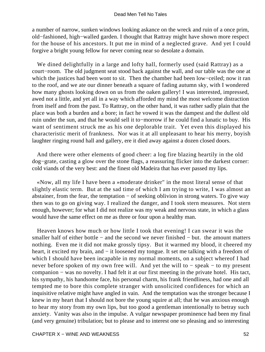a number of narrow, sunken windows looking askance on the wreck and ruin of a once prim, old−fashioned, high−walled garden. I thought that Rattray might have shown more respect for the house of his ancestors. It put me in mind of a neglected grave. And yet I could forgive a bright young fellow for never coming near so desolate a domain.

 We dined delightfully in a large and lofty hall, formerly used (said Rattray) as a court−room. The old judgment seat stood back against the wall, and our table was the one at which the justices had been wont to sit. Then the chamber had been low−ceiled; now it ran to the roof, and we ate our dinner beneath a square of fading autumn sky, with I wondered how many ghosts looking down on us from the oaken gallery! I was interested, impressed, awed not a little, and yet all in a way which afforded my mind the most welcome distraction from itself and from the past. To Rattray, on the other hand, it was rather sadly plain that the place was both a burden and a bore; in fact he vowed it was the dampest and the dullest old ruin under the sun, and that he would sell it to−morrow if he could find a lunatic to buy. His want of sentiment struck me as his one deplorable trait. Yet even this displayed his characteristic merit of frankness. Nor was it at all unpleasant to hear his merry, boyish laughter ringing round hall and gallery, ere it died away against a dozen closed doors.

 And there were other elements of good cheer: a log fire blazing heartily in the old dog−grate, casting a glow over the stone flags, a reassuring flicker into the darkest corner: cold viands of the very best: and the finest old Madeira that has ever passed my lips.

 «Now, all my life I have been a »moderate drinker" in the most literal sense of that slightly elastic term. But at the sad time of which I am trying to write, I was almost an abstainer, from the fear, the temptation − of seeking oblivion in strong waters. To give way then was to go on giving way. I realized the danger, and I took stern measures. Not stern enough, however; for what I did not realize was my weak and nervous state, in which a glass would have the same effect on me as three or four upon a healthy man.

 Heaven knows how much or how little I took that evening! I can swear it was the smaller half of either bottle – and the second we never finished – but. the amount matters nothing. Even me it did not make grossly tipsy. But it warmed my blood, it cheered my heart, it excited my brain, and – it loosened my tongue. It set me talking with a freedom of which I should have been incapable in my normal moments, on a subject whereof I had never before spoken of my own free will. And yet the will to − speak − to my present companion − was no novelty. I had felt it at our first meeting in the private hotel. His tact, his sympathy, his handsome face, his personal charm, his frank friendliness, had one and all tempted me to bore this complete stranger with unsolicited confidences for which an inquisitive relative might have angled in vain. And the temptation was the stronger because I knew in my heart that I should not bore the young squire at all; that he was anxious enough to hear my story from my own lips, but too good a gentleman intentionally to betray such anxiety. Vanity was also in the impulse. A vulgar newspaper prominence had been my final (and very genuine) tribulation; but to please and to interest one so pleasing and so interesting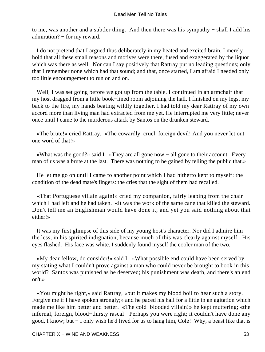to me, was another and a subtler thing. And then there was his sympathy − shall I add his admiration? − for my reward.

 I do not pretend that I argued thus deliberately in my heated and excited brain. I merely hold that all these small reasons and motives were there, fused and exaggerated by the liquor which was there as well. Nor can I say positively that Rattray put no leading questions; only that I remember none which had that sound; and that, once started, I am afraid I needed only too little encouragement to run on and on.

 Well, I was set going before we got up from the table. I continued in an armchair that my host dragged from a little book−lined room adjoining the hall. I finished on my legs, my back to the fire, my hands beating wildly together. I had told my dear Rattray of my own accord more than living man had extracted from me yet. He interrupted me very little; never once until I came to the murderous attack by Santos on the drunken steward.

 «The brute!» cried Rattray. «The cowardly, cruel, foreign devil! And you never let out one word of that!»

 «What was the good?» said I. «They are all gone now − all gone to their account. Every man of us was a brute at the last. There was nothing to be gained by telling the public that.»

 He let me go on until I came to another point which I had hitherto kept to myself: the condition of the dead mate's fingers: the cries that the sight of them had recalled.

 «That Portuguese villain again!» cried my companion, fairly leaping from the chair which I had left and he had taken. «It was the work of the same cane that killed the steward. Don't tell me an Englishman would have done it; and yet you said nothing about that either!»

 It was my first glimpse of this side of my young host's character. Nor did I admire him the less, in his spirited indignation, because much of this was clearly against myself. His eyes flashed. His face was white. I suddenly found myself the cooler man of the two.

 «My dear fellow, do consider!» said I. «What possible end could have been served by my stating what I couldn't prove against a man who could never be brought to book in this world? Santos was punished as he deserved; his punishment was death, and there's an end on't.»

 «You might be right,» said Rattray, «but it makes my blood boil to hear such a story. Forgive me if I have spoken strongly;» and he paced his hall for a little in an agitation which made me like him better and better. «The cold−blooded villain!» he kept muttering; «the infernal, foreign, blood−thirsty rascal! Perhaps you were right; it couldn't have done any good, I know; but − I only wish he'd lived for us to hang him, Cole! Why, a beast like that is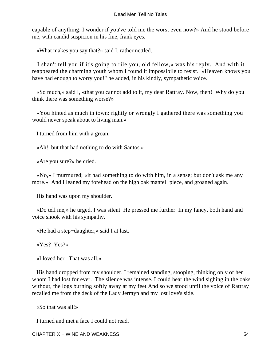capable of anything: I wonder if you've told me the worst even now?» And he stood before me, with candid suspicion in his fine, frank eyes.

«What makes you say that?» said I, rather nettled.

 I shan't tell you if it's going to rile you, old fellow,« was his reply. And with it reappeared the charming youth whom I found it impossibile to resist. »Heaven knows you have had enough to worry you!" he added, in his kindly, sympathetic voice.

 «So much,» said I, «that you cannot add to it, my dear Rattray. Now, then! Why do you think there was something worse?»

 «You hinted as much in town: rightly or wrongly I gathered there was something you would never speak about to living man.»

I turned from him with a groan.

«Ah! but that had nothing to do with Santos.»

«Are you sure?» he cried.

 «No,» I murmured; «it had something to do with him, in a sense; but don't ask me any more.» And I leaned my forehead on the high oak mantel−piece, and groaned again.

His hand was upon my shoulder.

 «Do tell me,» he urged. I was silent. He pressed me further. In my fancy, both hand and voice shook with his sympathy.

«He had a step−daughter,» said I at last.

«Yes? Yes?»

«I loved her. That was all.»

 His hand dropped from my shoulder. I remained standing, stooping, thinking only of her whom I had lost for ever. The silence was intense. I could hear the wind sighing in the oaks without, the logs burning softly away at my feet And so we stood until the voice of Rattray recalled me from the deck of the Lady Jermyn and my lost love's side.

«So that was all!»

I turned and met a face I could not read.

CHAPTER X – WINE AND WEAKNESS 54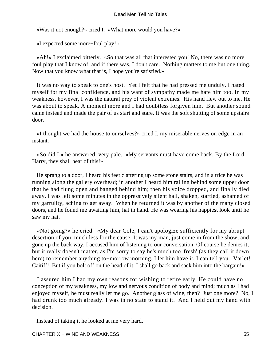«Was it not enough?» cried I. «What more would you have?»

«I expected some more−foul play!»

 «Ah!» I exclaimed bitterly. «So that was all that interested you! No, there was no more foul play that I know of; and if there was, I don't care. Nothing matters to me but one thing. Now that you know what that is, I hope you're satisfied.»

 It was no way to speak to one's host. Yet I felt that he had pressed me unduly. I hated myself for my final confidence, and his want of sympathy made me hate him too. In my weakness, however, I was the natural prey of violent extremes. His hand flew out to me. He was about to speak. A moment more and I had doubtless forgiven him. But another sound came instead and made the pair of us start and stare. It was the soft shutting of some upstairs door.

 «I thought we had the house to ourselves?» cried I, my miserable nerves on edge in an instant.

 «So did I,» he answered, very pale. «My servants must have come back. By the Lord Harry, they shall hear of this!»

 He sprang to a door, I heard his feet clattering up some stone stairs, and in a trice he was running along the gallery overhead; in another I heard him railing behind some upper door that he had flung open and banged behind him; then his voice dropped, and finally died away. I was left some minutes in the oppressively silent hall, shaken, startled, ashamed of my garrulity, aching to get away. When he returned it was by another of the many closed doors, and he found me awaiting him, hat in hand. He was wearing his happiest look until he saw my hat.

 «Not going?» he cried. «My dear Cole, I can't apologize sufficiently for my abrupt desertion of you, much less for the cause. It was my man, just come in from the show, and gone up the back way. I accused him of listening to our conversation. Of course he denies it; but it really doesn't matter, as I'm sorry to say he's much too 'fresh' (as they call it down here) to remember anything to−morrow morning. I let him have it, I can tell you. Varlet! Caitiff! But if you bolt off on the head of it, I shall go back and sack him into the bargain!»

 I assured him I had my own reasons for wishing to retire early. He could have no conception of my weakness, my low and nervous condition of body and mind; much as I had enjoyed myself, he must really let me go. Another glass of wine, then? Just one more? No, I had drunk too much already. I was in no state to stand it. And I held out my hand with decision.

Instead of taking it he looked at me very hard.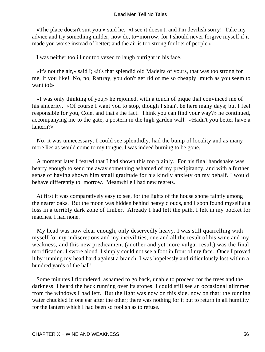«The place doesn't suit you,» said he. «I see it doesn't, and I'm devilish sorry! Take my advice and try something milder; now do, to−morrow; for I should never forgive myself if it made you worse instead of better; and the air is too strong for lots of people.»

I was neither too ill nor too vexed to laugh outright in his face.

 «It's not the air,» said I; «it's that splendid old Madeira of yours, that was too strong for me, if you like! No, no, Rattray, you don't get rid of me so cheaply−much as you seem to want to!»

 «I was only thinking of you,» he rejoined, with a touch of pique that convinced me of his sincerity. «Of course I want you to stop, though I shan't be here many days; but I feel responsible for you, Cole, and that's the fact. Think you can find your way?» he continued, accompanying me to the gate, a postern in the high garden wall. «Hadn't you better have a lantern?»

 No; it was unnecessary. I could see splendidly, had the bump of locality and as many more lies as would come to my tongue. I was indeed burning to be gone.

 A moment later I feared that I had shown this too plainly. For his final handshake was hearty enough to send me away something ashamed of my precipitancy, and with a further sense of having shown him small gratitude for his kindly anxiety on my behalf. I would behave differently to−morrow. Meanwhile I had new regrets.

 At first it was comparatively easy to see, for the lights of the house shone faintly among the nearer oaks. But the moon was hidden behind heavy clouds, and I soon found myself at a loss in a terribly dark zone of timber. Already I had left the path. I felt in my pocket for matches. I had none.

 My head was now clear enough, only deservedly heavy. I was still quarrelling with myself for my indiscretions and my incivilities, one and all the result of his wine and my weakness, and this new predicament (another and yet more vulgar result) was the final mortification. I swore aloud. I simply could not see a foot in front of my face. Once I proved it by running my head hard against a branch. I was hopelessly and ridiculously lost within a hundred yards of the hall!

 Some minutes I floundered, ashamed to go back, unable to proceed for the trees and the darkness. I heard the heck running over its stones. I could still see an occasional glimmer from the windows I had left. But the light was now on this side, now on that; the running water chuckled in one ear after the other; there was nothing for it but to return in all humility for the lantern which I had been so foolish as to refuse.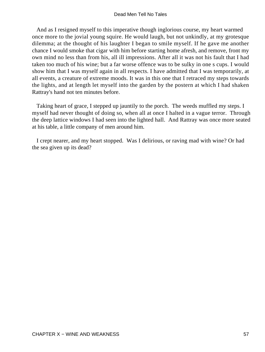And as I resigned myself to this imperative though inglorious course, my heart warmed once more to the jovial young squire. He would laugh, but not unkindly, at my grotesque dilemma; at the thought of his laughter I began to smile myself. If he gave me another chance I would smoke that cigar with him before starting home afresh, and remove, front my own mind no less than from his, all ill impressions. After all it was not his fault that I had taken too much of his wine; but a far worse offence was to be sulky in one s cups. I would show him that I was myself again in all respects. I have admitted that I was temporarily, at all events, a creature of extreme moods. It was in this one that I retraced my steps towards the lights, and at length let myself into the garden by the postern at which I had shaken Rattray's hand not ten minutes before.

 Taking heart of grace, I stepped up jauntily to the porch. The weeds muffled my steps. I myself had never thought of doing so, when all at once I halted in a vague terror. Through the deep lattice windows I had seen into the lighted hall. And Rattray was once more seated at his table, a little company of men around him.

 I crept nearer, and my heart stopped. Was I delirious, or raving mad with wine? Or had the sea given up its dead?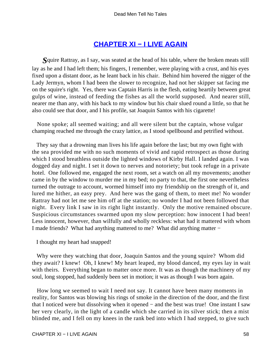# **[CHAPTER XI − I LIVE AGAIN](#page-131-0)**

*S*quire Rattray, as I say, was seated at the head of his table, where the broken meats still lay as he and I had left them; his fingers, I remember, were playing with a crust, and his eyes fixed upon a distant door, as he leant back in his chair. Behind him hovered the nigger of the Lady Jermyn, whom I had been the slower to recognize, had not her skipper sat facing me on the squire's right. Yes, there was Captain Harris in the flesh, eating heartily between great gulps of wine, instead of feeding the fishes as all the world supposed. And nearer still, nearer me than any, with his back to my window but his chair slued round a little, so that he also could see that door, and I his profile, sat Joaquin Santos with his cigarette!

 None spoke; all seemed waiting; and all were silent but the captain, whose vulgar champing reached me through the crazy lattice, as I stood spellbound and petrified without.

 They say that a drowning man lives his life again before the last; but my own fight with the sea provided me with no such moments of vivid and rapid retrospect as those during which I stood breathless outside the lighted windows of Kirby Hall. I landed again. I was dogged day and night. I set it down to nerves and notoriety; but took refuge in a private hotel. One followed me, engaged the next room, set a watch on all my movements; another came in by the window to murder me in my bed; no party to that, the first one nevertheless turned the outrage to account, wormed himself into my friendship on the strength of it, and lured me hither, an easy prey. And here was the gang of them, to meet me! No wonder Rattray had not let me see him off at the station; no wonder I had not been followed that night. Every link I saw in its right light instantly. Only the motive remained obscure. Suspicious circumstances swarmed upon my slow perception: how innocent I had been! Less innocent, however, than wilfully and wholly reckless: what had it mattered with whom I made friends? What had anything mattered to me? What did anything matter −

I thought my heart had snapped!

 Why were they watching that door, Joaquin Santos and the young squire? Whom did they await? I knew! Oh, I knew! My heart leaped, my blood danced, my eyes lay in wait with theirs. Everything began to matter once more. It was as though the machinery of my soul, long stopped, had suddenly been set in motion; it was as though I was born again.

 How long we seemed to wait I need not say. It cannot have been many moments in reality, for Santos was blowing his rings of smoke in the direction of the door, and the first that I noticed were but dissolving when it opened − and the best was true! One instant I saw her very clearly, in the light of a candle which she carried in its silver stick; then a mist blinded me, and I fell on my knees in the rank bed into which I had stepped, to give such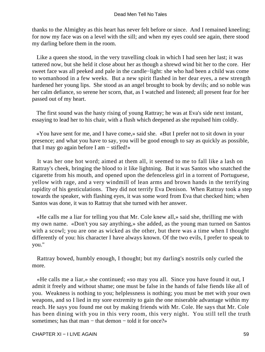thanks to the Almighty as this heart has never felt before or since. And I remained kneeling; for now my face was on a level with the sill; and when my eyes could see again, there stood my darling before them in the room.

 Like a queen she stood, in the very travelling cloak in which I had seen her last; it was tattered now, but she held it close about her as though a shrewd wind bit her to the core. Her sweet face was all peeked and pale in the candle−light: she who had been a child was come to womanhood in a few weeks. But a new spirit flashed in her dear eyes, a new strength hardened her young lips. She stood as an angel brought to book by devils; and so noble was her calm defiance, so serene her scorn, that, as I watched and listened; all present fear for her passed out of my heart.

 The first sound was the hasty rising of young Rattray; he was at Eva's side next instant, essaying to lead her to his chair, with a flush which deepened as she repulsed him coldly.

 «You have sent for me, and I have come,» said she. «But I prefer not to sit down in your presence; and what you have to say, you will be good enough to say as quickly as possible, that I may go again before I am − stifled!»

 It was her one hot word; aimed at them all, it seemed to me to fall like a lash on Rattray's cheek, bringing the blood to it like lightning. But it was Santos who snatched the cigarette from his mouth, and opened upon the defenceless girl in a torrent of Portuguese, yellow with rage, and a very windmill of lean arms and brown hands in the terrifying rapidity of his gesticulations. They did not terrify Eva Denison. When Rattray took a step towards the speaker, with flashing eyes, it was some word from Eva that checked him; when Santos was done, it was to Rattray that she turned with her answer.

 «He calls me a liar for telling you that Mr. Cole knew all,» said she, thrilling me with my own name. «Don't you say anything,» she added, as the young man turned on Santos with a scowl; you are one as wicked as the other, but there was a time when I thought differently of you: his character I have always known. Of the two evils, I prefer to speak to you."

 Rattray bowed, humbly enough, I thought; but my darling's nostrils only curled the more.

 «He calls me a liar,» she continued; «so may you all. Since you have found it out, I admit it freely and without shame; one must be false in the hands of false fiends like all of you. Weakness is nothing to you; helplessness is nothing; you must be met with your own weapons, and so I lied in my sore extremity to gain the one miserable advantage within my reach. He says you found me out by making friends with Mr. Cole. He says that Mr. Cole has been dining with you in this very room, this very night. You still tell the truth sometimes; has that man – that demon – told it for once?»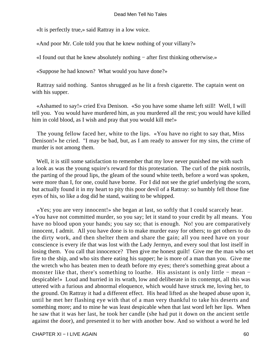«It is perfectly true,» said Rattray in a low voice.

«And poor Mr. Cole told you that he knew nothing of your villany?»

«I found out that he knew absolutely nothing − after first thinking otherwise.»

«Suppose he had known? What would you have done?»

 Rattray said nothing. Santos shrugged as he lit a fresh cigarette. The captain went on with his supper.

 «Ashamed to say!» cried Eva Denison. «So you have some shame left still! Well, I will tell you. You would have murdered him, as you murdered all the rest; you would have killed him in cold blood, as I wish and pray that you would kill me!»

 The young fellow faced her, white to the lips. «You have no right to say that, Miss Denison!» he cried. "I may be bad, but, as I am ready to answer for my sins, the crime of murder is not among them.

Well, it is still some satisfaction to remember that my love never punished me with such a look as was the young squire's reward for this protestation. The curl of the pink nostrils, the parting of the proud lips, the gleam of the sound white teeth, before a word was spoken, were more than I, for one, could have borne. For I did not see the grief underlying the scorn, but actually found it in my heart to pity this poor devil of a Rattray: so humbly fell those fine eyes of his, so like a dog did he stand, waiting to be whipped.

 «Yes; you are very innocent!» she began at last, so softly that I could scarcely hear. «You have not committed murder, so you say; let it stand to your credit by all means. You have no blood upon your hands; you say so; that is enough. No! you are comparatively innocent, I admit. All you have done is to make murder easy for others; to get others to do the dirty work, and then shelter them and share the gain; all you need have on your conscience is every ife that was lost with the Lady Jermyn, and every soul that lost itself in losing them. You call that innocence? Then give me honest guilt! Give me the man who set fire to the ship, and who sits there eating his supper; he is more of a man than you. Give me the wretch who has beaten men to death before my eyes; there's something great about a monster like that, there's something to loathe. His assistant is only little − mean − despicable!» Loud and hurried in its wrath, low and deliberate in its contempt, all this was uttered with a furious and abnormal eloquence, which would have struck me, loving her, to the ground. On Rattray it had a different effect. His head lifted as she heaped abuse upon it, until he met her flashing eye with that of a man very thankful to take his deserts and something more; and to mine he was least despicable when that last word left her lips. When he saw that it was her last, he took her candle (she had put it down on the ancient settle against the door), and presented it to her with another bow. And so without a word he led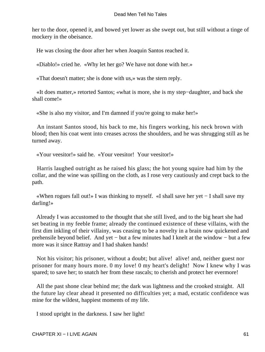her to the door, opened it, and bowed yet lower as she swept out, but still without a tinge of mockery in the obeisance.

He was closing the door after her when Joaquin Santos reached it.

«Diablo!» cried he. «Why let her go? We have not done with her.»

«That doesn't matter; she is done with us,» was the stern reply.

 «It does matter,» retorted Santos; «what is more, she is my step−daughter, and back she shall come!»

«She is also my visitor, and I'm damned if you're going to make her!»

 An instant Santos stood, his back to me, his fingers working, his neck brown with blood; then his coat went into creases across the shoulders, and he was shrugging still as he turned away.

«Your veesitor!» said he. «Your veesitor! Your veesitor!»

 Harris laughed outright as he raised his glass; the hot young squire had him by the collar, and the wine was spilling on the cloth, as I rose very cautiously and crept back to the path.

 «When rogues fall out!» I was thinking to myself. «I shall save her yet − I shall save my darling!»

 Already I was accustomed to the thought that she still lived, and to the big heart she had set beating in my feeble frame; already the continued existence of these villains, with the first dim inkling of their villainy, was ceasing to be a novelty in a brain now quickened and prehensile beyond belief. And yet – but a few minutes had I knelt at the window – but a few more was it since Rattray and I had shaken hands!

 Not his visitor; his prisoner, without a doubt; but alive! alive! and, neither guest nor prisoner for many hours more. 0 my love! 0 my heart's delight! Now I knew why I was spared; to save her; to snatch her from these rascals; to cherish and protect her evermore!

 All the past shone clear behind me; the dark was lightness and the crooked straight. All the future lay clear ahead it presented no difficulties yet; a mad, ecstatic confidence was mine for the wildest, happiest moments of my life.

I stood upright in the darkness. I saw her light!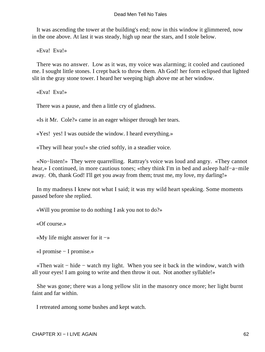It was ascending the tower at the building's end; now in this window it glimmered, now in the one above. At last it was steady, high up near the stars, and I stole below.

«Eva! Eva!»

 There was no answer. Low as it was, my voice was alarming; it cooled and cautioned me. I sought little stones. I crept back to throw them. Ah God! her form eclipsed that lighted slit in the gray stone tower. I heard her weeping high above me at her window.

«Eva! Eva!»

There was a pause, and then a little cry of gladness.

«Is it Mr. Cole?» came in an eager whisper through her tears.

«Yes! yes! I was outside the window. I heard everything.»

«They will hear you!» she cried softly, in a steadier voice.

 «No−listen!» They were quarrelling. Rattray's voice was loud and angry. «They cannot hear,» I continued, in more cautious tones; «they think I'm in bed and asleep half−a−mile away. Oh, thank God! I'll get you away from them; trust me, my love, my darling!»

 In my madness I knew not what I said; it was my wild heart speaking. Some moments passed before she replied.

«Will you promise to do nothing I ask you not to do?»

«Of course.»

«My life might answer for it −»

«I promise − I promise.»

 «Then wait − hide − watch my light. When you see it back in the window, watch with all your eyes! I am going to write and then throw it out. Not another syllable!»

 She was gone; there was a long yellow slit in the masonry once more; her light burnt faint and far within.

I retreated among some bushes and kept watch.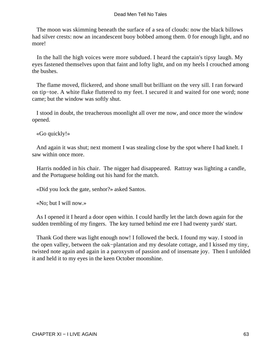The moon was skimming beneath the surface of a sea of clouds: now the black billows had silver crests: now an incandescent buoy bobbed among them. 0 for enough light, and no more!

 In the hall the high voices were more subdued. I heard the captain's tipsy laugh. My eyes fastened themselves upon that faint and lofty light, and on my heels I crouched among the bushes.

 The flame moved, flickered, and shone small but brilliant on the very sill. I ran forward on tip−toe. A white flake fluttered to my feet. I secured it and waited for one word; none came; but the window was softly shut.

 I stood in doubt, the treacherous moonlight all over me now, and once more the window opened.

«Go quickly!»

 And again it was shut; next moment I was stealing close by the spot where I had knelt. I saw within once more.

 Harris nodded in his chair. The nigger had disappeared. Rattray was lighting a candle, and the Portuguese holding out his hand for the match.

«Did you lock the gate, senhor?» asked Santos.

«No; but I will now.»

 As I opened it I heard a door open within. I could hardly let the latch down again for the sudden trembling of my fingers. The key turned behind me ere I had twenty yards' start.

 Thank God there was light enough now! I followed the beck. I found my way. I stood in the open valley, between the oak−plantation and my desolate cottage, and I kissed my tiny, twisted note again and again in a paroxysm of passion and of insensate joy. Then I unfolded it and held it to my eyes in the keen October moonshine.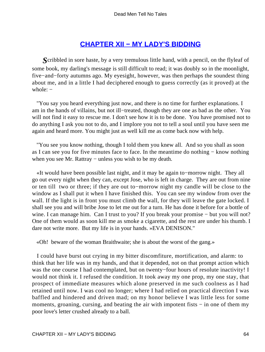# **[CHAPTER XII − MY LADY'S BIDDING](#page-131-0)**

*S*cribbled in sore haste, by a very tremulous little hand, with a pencil, on the flyleaf of some book, my darling's message is still difficult to read; it was doubly so in the moonlight, five−and−forty autumns ago. My eyesight, however, was then perhaps the soundest thing about me, and in a little I had deciphered enough to guess correctly (as it proved) at the whole: –

 "You say you heard everything just now, and there is no time for further explanations. I am in the hands of villains, but not ill−treated, though they are one as bad as the other. You will not find it easy to rescue me. I don't see how it is to be done. You have promised not to do anything I ask you not to do, and I implore you not to tell a soul until you have seen me again and heard more. You might just as well kill me as come back now with help.

 "You see you know nothing, though I told them you knew all. And so you shall as soon as I can see you for five minutes face to face. In the meantime do nothing − know nothing when you see Mr. Rattray – unless you wish to be my death.

 «It would have been possible last night, and it may be again to−morrow night. They all go out every night when they can, except Jose, who is left in charge. They are out from nine or ten till two or three; if they are out to−morrow night my candle will be close to the window as I shall put it when I have finished this. You can see my window from over the wall. If the light is in front you must climb the wall, for they will leave the gate locked. I shall see you and will bribe Jose to let me out for a turn. He has done it before for a bottle of wine. I can manage him. Can I trust to you? If you break your promise − but you will not? One of them would as soon kill me as smoke a cigarette, and the rest are under his thumb. I dare not write more. But my life is in your hands. »EVA DENISON."

«Oh! beware of the woman Braithwaite; she is about the worst of the gang.»

 I could have burst out crying in my bitter discomfiture, mortification, and alarm: to think that her life was in my hands, and that it depended, not on that prompt action which was the one course I had contemplated, but on twenty−four hours of resolute inactivity! I would not think it. I refused the condition. It took away my one prop, my one stay, that prospect of immediate measures which alone preserved in me such coolness as I had retained until now. I was cool no longer; where I had relied on practical direction I was baffled and hindered and driven mad; on my honor believe I was little less for some moments, groaning, cursing, and beating the air with impotent fists – in one of them my poor love's letter crushed already to a ball.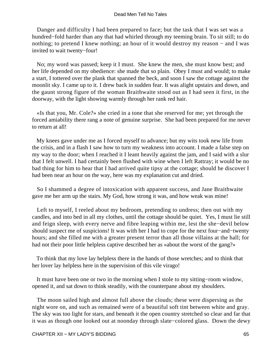Danger and difficulty I had been prepared to face; but the task that I was set was a hundred−fold harder than any that had whirled through my teeming brain. To sit still; to do nothing; to pretend I knew nothing; an hour of it would destroy my reason – and I was invited to wait twenty−four!

 No; my word was passed; keep it I must. She knew the men, she must know best; and her life depended on my obedience: she made that so plain. Obey I must and would; to make a start, I tottered over the plank that spanned the beck, and soon I saw the cottage against the moonlit sky. I came up to it. I drew back in sudden fear. It was alight upstairs and down, and the gaunt strong figure of the woman Braithwaite stood out as I had seen it first, in the doorway, with the light showing warmly through her rank red hair.

 «Is that you, Mr. Cole?» she cried in a tone that she reserved for me; yet through the forced amiability there rang a note of genuine surprise. She had been prepared for me never to return at all!

 My knees gave under me as I forced myself to advance; but my wits took new life from the crisis, and in a flash I saw how to turn my weakness into account. I made a false step on my way to the door; when I reached it I leant heavily against the jam, and I said with a slur that I felt unwell. I had certainly been flushed with wine when I left Rattray; it would be no bad thing for him to hear that I had arrived quite tipsy at the cottage; should he discover I had been near an hour on the way, here was my explanation cut and dried.

 So I shammed a degree of intoxication with apparent success, and Jane Braithwaite gave me her arm up the stairs. My God, how strong it was, and how weak was mine!

 Left to myself, I reeled about my bedroom, pretending to undress; then out with my candles, and into bed in all my clothes, until the cottage should be quiet. Yes, I must lie still and feign sleep, with every nerve and fibre leaping within me, lest the she−devil below should suspect me of suspicions! It was with her I had to cope for the next four−and−twenty hours; and she filled me with a greater present terror than all those villains at the hall; for had not their poor little helpless captive described her as «about the worst of the gang?»

 To think that my love lay helpless there in the hands of those wretches; and to think that her lover lay helpless here in the supervision of this vile virago!

 It must have been one or two in the morning when I stole to my sitting−room window, opened it, and sat down to think steadily, with the counterpane about my shoulders.

 The moon sailed high and almost full above the clouds; these were dispersing as the night wore on, and such as remained were of a beautiful soft tint between white and gray. The sky was too light for stars, and beneath it the open country stretched so clear and far that it was as though one looked out at noonday through slate−colored glass. Down the dewy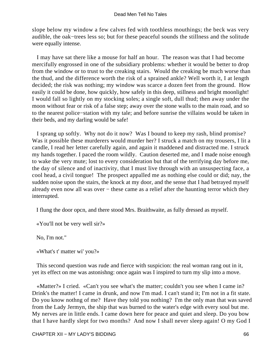slope below my window a few calves fed with toothless mouthings; the beck was very audible, the oak−trees less so; but for these peaceful sounds the stillness and the solitude were equally intense.

 I may have sat there like a mouse for half an hour. The reason was that I had become mercifully engrossed in one of the subsidiary problems: whether it would be better to drop from the window or to trust to the creaking stairs. Would the creaking be much worse than the thud, and the difference worth the risk of a sprained ankle? Well worth it, I at length decided; the risk was nothing; my window was scarce a dozen feet from the ground. How easily it could be done, how quickly, how safely in this deep, stillness and bright moonlight! I would fall so lightly on my stocking soles; a single soft, dull thud; then away under the moon without fear or risk of a false step; away over the stone walls to the main road, and so to the nearest police−station with my tale; and before sunrise the villains would be taken in their beds, and my darling would be safe!

 I sprang up softly. Why not do it now? Was I bound to keep my rash, blind promise? Was it possible these murderers would murder her? I struck a match on my trousers, I lit a candle, I read her letter carefully again, and again it maddened and distracted me. I struck my hands together. I paced the room wildly. Caution deserted me, and I made noise enough to wake the very mute; lost to every consideration but that of the terrifying day before me, the day of silence and of inactivity, that I must live through with an unsuspecting face, a cool head, a civil tongue! The prospect appalled me as nothing else could or did; nay, the sudden noise upon the stairs, the knock at my door, and the sense that I had betrayed myself already even now all was over − these came as a relief after the haunting terror which they interrupted.

I flung the door opcn, and there stood Mrs. Braithwaite, as fully dressed as myself.

«You'll not be very well sir?»

No, I'm not."

«What's t' matter wi' you?»

 This second question was rude and fierce with suspicion: the real woman rang out in it, yet its effect on me was astonishng: once again was I inspired to turn my slip into a move.

 «Matter?» I cried. «Can't you see what's the matter; couldn't you see when I came in? Drink's the matter! I came in drunk, and now I'm mad. I can't stand it; I'm not in a fit state. Do you know nothng of me? Have they told you nothing? I'm the only man that was saved from the Lady Jermyn, the ship that was burned to the water's edge with every soul but me. My nerves are in little ends. I came down here for peace and quiet and sleep. Do you bow that I have hardly slept for two months? And now I shall never sleep again! O my God I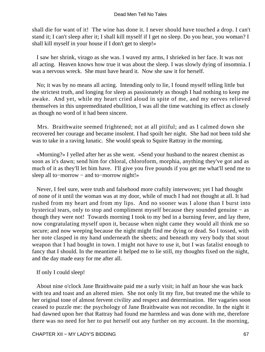shall die for want of it! The wine has done it. I never should have touched a drop. I can't stand it; I can't sleep after it; I shall kill myself if I get no sleep. Do you hear, you woman? I shall kill myself in your house if I don't get to sleep!»

 I saw her shrink, virago as she was. I waved my arms, I shrieked in her face. It was not all acting. Heaven knows how true it was about the sleep. I was slowly dying of insomnia. I was a nervous wreck. She must have heard it. Now she saw it for herself.

 No; it was by no means all acting. Intending only to lie, I found myself telling little but the strictest truth, and longing for sleep as passionately as though I had nothing to keep me awake. And yet, while my heart cried aloud in spite of me, and my nerves relieved themselves in this unpremeditated ebullition, I was all the time watching its effect as closely as though no word of it had been sincere.

 Mrs. Braithwaite seemed frightened; not at all pitiful; and as I calmed down she recovered her courage and became insolent. I had spoilt her night. She had not been told she was to take in a raving lunatic. She would speak to Squire Rattray in the morning.

 «Morning?» I yelled after her as she went. «Send your husband to the nearest chemist as soon as it's dawn; send him for chloral, chloroform, morphia, anything they've got and as much of it as they'll let him have. I'll give you five pounds if you get me what'll send me to sleep all to–morrow – and to–morrow night!»

 Never, I feel sure, were truth and falsehood more craftily interwoven; yet I had thought of none of it until the woman was at my door, while of much I had not thought at all. It had rushed from my heart and from my lips. And no sooner was I alone than I burst into hysterical tears, only to stop and compliment myself because they sounded genuine − as though they were not! Towards morning I took to my bed in a burning fever, and lay there, now congratulating myself upon it, because when night came they would all think me so secure; and now weeping because the night might find me dying or dead. So I tossed, with her note clasped in my hand underneath the sheets; and beneath my very body that stout weapon that I had bought in town. I might not have to use it, but I was fatalist enough to fancy that I should. In the meantime it helped me to lie still, my thoughts fixed on the night, and the day made easy for me after all.

If only I could sleep!

 About nine o'clock Jane Braithwaite paid me a surly visit; in half an hour she was back with tea and toast and an altered mien. She not only lit my fire, but treated me the while to her original tone of almost fervent civility and respect and determination. Her vagaries soon ceased to puzzle me: the psychology of Jane Braithwaite was not recondite. In the night it had dawned upon her that Rattray had found me harmless and was done with me, therefore there was no need for her to put herself out any further on my account. In the morning,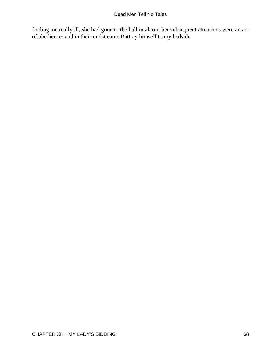finding me really ill, she had gone to the hall in alarm; her subsequent attentions were an act of obedience; and in their midst came Rattray himself to my bedside.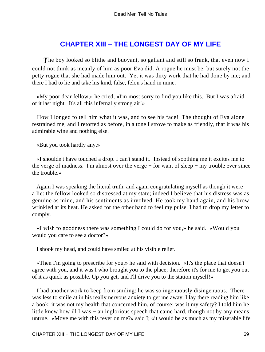# **[CHAPTER XIII − THE LONGEST DAY OF MY LIFE](#page-131-0)**

**The boy looked so blithe and buoyant, so gallant and still so frank, that even now I** could not think as meanly of him as poor Eva did. A rogue he must be, but surely not the petty rogue that she had made him out. Yet it was dirty work that he had done by me; and there I had to lie and take his kind, false, felon's hand in mine.

 «My poor dear fellow,» he cried, «I'm most sorry to find you like this. But I was afraid of it last night. It's all this infernally strong air!»

 How I longed to tell him what it was, and to see his face! The thought of Eva alone restrained me, and I retorted as before, in a tone I strove to make as friendly, that it was his admirable wine and nothing else.

«But you took hardly any.»

 «I shouldn't have touched a drop. I can't stand it. Instead of soothing me it excites me to the verge of madness. I'm almost over the verge − for want of sleep − my trouble ever since the trouble.»

 Again I was speaking the literal truth, and again congratulating myself as though it were a lie: the fellow looked so distressed at my state; indeed I believe that his distress was as genuine as mine, and his sentiments as involved. He took my hand again, and his brow wrinkled at its heat. He asked for the other hand to feel my pulse. I had to drop my letter to comply.

 «I wish to goodness there was something I could do for you,» he said. «Would you − would you care to see a doctor?»

I shook my head, and could have smiled at his visible relief.

 «Then I'm going to prescribe for you,» he said with decision. «It's the place that doesn't agree with you, and it was I who brought you to the place; therefore it's for me to get you out of it as quick as possible. Up you get, and I'll drive you to the station myself!»

 I had another work to keep from smiling: he was so ingenuously disingenuous. There was less to smile at in his really nervous anxiety to get me away. I lay there reading him like a book: it was not my health that concerned him, of course: was it my safety? I told him he little knew how ill I was − an inglorious speech that came hard, though not by any means untrue. «Move me with this fever on me?» said I; «it would be as much as my miserable life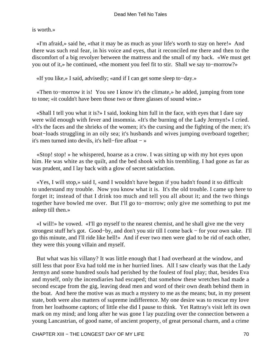is worth.»

 «I'm afraid,» said he, «that it may be as much as your life's worth to stay on here!» And there was such real fear, in his voice and eyes, that it reconciled me there and then to the discomfort of a big revolyer between the mattress and the small of my back. «We must get you out of it,» he continued, «the moment you feel fit to stir. Shall we say to−morrow?»

«If you like,» I said, advisedly; «and if I can get some sleep to−day.»

 «Then to−morrow it is! You see I know it's the climate,» he added, jumping from tone to tone; «it couldn't have been those two or three glasses of sound wine.»

 «Shall I tell you what it is?» I said, looking him full in the face, with eyes that I dare say were wild enough with fever and insomnia. «It's the burning of the Lady Jermyn!» I cried. «It's the faces and the shrieks of the women; it's the cursing and the fighting of the men; it's boat−loads struggling in an oily sea; it's husbands and wives jumping overboard together; it's men turned into devils, it's hell−fire afloat − »

 «Stop! stop! » he whispered, hoarse as a crow. I was sitting up with my hot eyes upon him. He was white as the quilt, and the bed shook with his trembling. I had gone as far as was prudent, and I lay back with a glow of secret satisfaction.

 «Yes, I will stop,» said I, «and I wouldn't have begun if you hadn't found it so difficult to understand my trouble. Now you know what it is. It's the old trouble. I came up here to forget it; instead of that I drink too much and tell you all about it; and the two things together have bowled me over. But I'll go to−morrow; only give me something to put me asleep till then.»

 «I will!» he vowed. «I'll go myself to the nearest chemist, and he shall give me the very strongest stuff he's got. Good−by, and don't you stir till I come back − for your own sake. I'll go this minute, and I'll ride like hell!» And if ever two men were glad to be rid of each other, they were this young villain and myself.

 But what was his villany? It was little enough that I had overheard at the window, and still less that poor Eva had told me in her hurried lines. All I saw clearly was that the Lady Jermyn and some hundred souls had perished by the foulest of foul play; that, besides Eva and myself, only the incendiaries had escaped; that somehow these wretches had made a second escape from the gig, leaving dead men and word of their own death behind them in the boat. And here the motive was as much a mystery to me as the means; but, in my present state, both were also matters of supreme indifference. My one desire was to rescue my love from her loathsome captors; of little else did I pause to think. Yet Rattray's visit left its own mark on my mind; and long after he was gone I lay puzzling over the connection between a young Lancastrian, of good name, of ancient property, of great personal charm, and a crime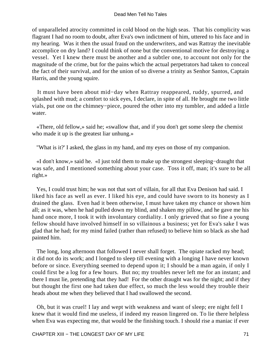of unparalleled atrocity committed in cold blood on the high seas. That his complicity was flagrant I had no room to doubt, after Eva's own indictment of him, uttered to his face and in my hearing. Was it then the usual fraud on the underwriters, and was Rattray the inevitable accomplice on dry land? I could think of none but the conventional motive for destroying a vessel. Yet I knew there must be another and a subtler one, to account not only for the magnitude of the crime, but for the pains which the actual perpetrators had taken to conceal the fact of their survival, and for the union of so diverse a trinity as Senhor Santos, Captain Harris, and the young squire.

 It must have been about mid−day when Rattray reappeared, ruddy, spurred, and splashed with mud; a comfort to sick eyes, I declare, in spite of all. He brought me two little vials, put one on the chimney−piece, poured the other into my tumbler, and added a little water.

 «There, old fellow,» said he; «swallow that, and if you don't get some sleep the chemist who made it up is the greatest liar unhung.»

"What is it?' I asked, the glass in my hand, and my eyes on those of my companion.

 «I don't know,» said he. «I just told them to make up the strongest sleeping−draught that was safe, and I mentioned something about your case. Toss it off, man; it's sure to be all right.»

 Yes, I could trust him; he was not that sort of villain, for all that Eva Denison had said. I liked his face as well as ever. I liked his eye, and could have sworn to its honesty as I drained the glass. Even had it been otherwise, I must have taken my chance or shown him all; as it was, when he had pulled down my blind, and shaken my pillow, and he gave me his hand once more, I took it with involuntary cordiality. I only grieved that so fine a young fellow should have involved himself in so villainous a business; yet for Eva's sake I was glad that he had; for my mind failed (rather than refused) to believe him so black as she had painted him.

 The long, long afternoon that followed I never shall forget. The opiate racked my head; it did not do its work; and I longed to sleep till evening with a longing I have never known before or since. Everything seemed to depend upon it; I should be a man again, if only I could first be a log for a few hours. But no; my troubles never left me for an instant; and there I must lie, pretending that they had! For the other draught was for the night; and if they but thought the first one had taken due effect, so much the less would they trouble their heads about me when they believed that I had swallowed the second.

 Oh, but it was cruel! I lay and wept with weakness and want of sleep; ere night fell I knew that it would find me useless, if indeed my reason lingered on. To lie there helpless when Eva was expecting me, that would be the finishing touch. I should rise a maniac if ever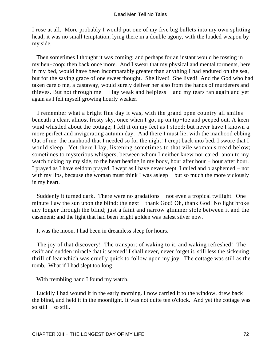I rose at all. More probably I would put one of my five big bullets into my own splitting head; it was no small temptation, lying there in a double agony, with the loaded weapon by my side.

 Then sometimes I thought it was coming; and perhaps for an instant would be tossing in my hen−coop; then back once more. And I swear that my physical and mental torments, here in my bed, would have been incomparably greater than anything I had endured on the sea, but for the saving grace of one sweet thought. She lived! She lived! And the God who had taken care o me, a castaway, would surely deliver her also from the hands of murderers and thieves. But not through me − I lay weak and helpless − and my tears ran again and yet again as I felt myself growing hourly weaker.

 I remember what a bright fine day it was, with the grand open country all smiles beneath a clear, almost frosty sky, once when I got up on tip−toe and peeped out. A keen wind whistled about the cottage; I felt it on my feet as I stood; but never have I known a more perfect and invigorating autumn day. And there I must lie, with the manhood ebbing Out of me, the manhood that I needed so for the night! I crept back into bed. I swore that I would sleep. Yet there I lay, listening sometimes to that vile woman's tread below; sometimes to mysterious whispers, between whom I neither knew nor cared; anon to my watch ticking by my side, to the heart beating in my body, hour after hour − hour after hour. I prayed as I have seldom prayed. I wept as I have never wept. I railed and blasphemed − not with my lips, because the woman must think I was asleep – but so much the more viciously in my heart.

 Suddenly it turned dark. There were no gradations − not even a tropical twilight. One minute I aw the sun upon the blind; the next − thank God! Oh, thank God! No light broke any longer through the blind; just a faint and narrow glimmer stole between it and the casement; and the light that had been bright golden was palest silver now.

It was the moon. I had been in dreamless sleep for hours.

 The joy of that discovery! The transport of waking to it, and waking refreshed! The swift and sudden miracle that it seemed! I shall never, never forget it, still less the sickening thrill of fear which was cruelly quick to follow upon my joy. The cottage was still as the tomb. What if I had slept too long!

With trembling hand I found my watch.

 Luckily I had wound it in the early morning. I now carried it to the window, drew back the blind, and held it in the moonlight. It was not quite ten o'clock. And yet the cottage was so still − so still.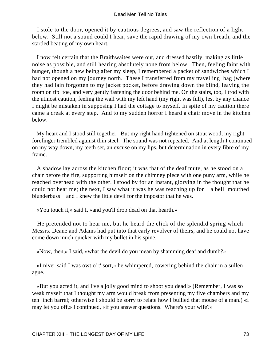I stole to the door, opened it by cautious degrees, and saw the reflection of a light below. Still not a sound could I hear, save the rapid drawing of my own breath, and the startled beating of my own heart.

 I now felt certain that the Braithwaites were out, and dressed hastily, making as little noise as possible, and still hearing absolutely none from below. Then, feeling faint with hunger, though a new being after my sleep, I remembered a packet of sandwiches which I had not opened on my journey north. These I transferred from my travelling−bag (where they had lain forgotten to my jacket pocket, before drawing down the blind, leaving the room on tip−toe, and very gently fastening the door behind me. On the stairs, too, I trod with the utmost caution, feeling the wall with my left hand (my right was full), lest by any chance I might be mistaken in supposing I had the cottage to myself. In spite of my caution there came a creak at every step. And to my sudden horror I heard a chair move in the kitchen below.

 My heart and I stood still together. But my right hand tightened on stout wood, my right forefinger trembled against thin steel. The sound was not repeated. And at length I continued on my way down, my teeth set, an excuse on my lips, but determination in every fibre of my frame.

 A shadow lay across the kitchen floor; it was that of the deaf mute, as he stood on a chair before the fire, supporting himself on the chimney piece with one puny arm, while he reached overhead with the other. I stood by for an instant, glorying in the thought that he could not hear me; the next, I saw what it was he was reaching up for − a bell−mouthed blunderbuss − and I knew the little devil for the impostor that he was.

«You touch it,» said I, «and you'll drop dead on that hearth.»

 He pretended not to hear me, but he heard the click of the splendid spring which Messrs. Deane and Adams had put into that early revolver of theirs, and he could not have come down much quicker with my bullet in his spine.

«Now, then,» I said, «what the devil do you mean by shamming deaf and dumb?»

 «I niver said I was owt o' t' sort,» he whimpered, cowering behind the chair in a sullen ague.

 «But you acted it, and I've a jolly good mind to shoot you dead!» (Remember, I was so weak myself that I thought my arm would break from presenting my five chambers and my ten−inch barrel; otherwise I should be sorry to relate how I bullied that mouse of a man.) «I may let you off,» I continued, «if you answer questions. Where's your wife?»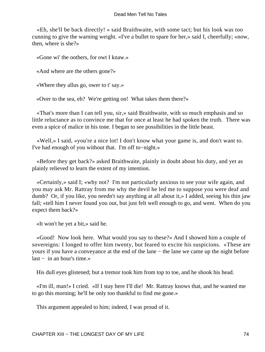«Eh, she'll be back directly! » said Braithwaite, with some tact; but his look was too cunning to give the warning weight. «I've a bullet to spare for her,» said I, cheerfully; «now, then, where is she?»

«Gone wi' the oothers, for owt I knaw.»

«And where are the others gone?»

«Where they allus go, ower to t' say.»

«Over to the sea, eh? We're getting on! What takes them there?»

 «That's more than I can tell you, sir,» said Braithwaite, with so much emphasis and so little reluctance as to convince me that for once at least he had spoken the truth. There was even a spice of malice in his tone. I began to see possibilities in the little beast.

 «Well,» I said, «you're a nice lot! I don't know what your game is, and don't want to. I've had enough of you without that. I'm off to−night.»

 «Before they get back?» asked Braithwaite, plainly in doubt about his duty, and yet as plainly relieved to learn the extent of my intention.

 «Certainly,» said I; «why not? I'm not particularly anxious to see your wife again, and you may ask Mr. Rattray from me why the devil he led me to suppose you were deaf and dumb? Or, if you like, you needn't say anything at all about it,» I added, seeing his thin jaw fall; «tell him I never found you out, but just felt well enough to go, and went. When do you expect them back?»

«It won't be yet a bit,» said he.

 «Good! Now look here. What would you say to these?» And I showed him a couple of sovereigns: I longed to offer him twenty, but feared to excite his suspicions. «These are yours if you have a conveyance at the end of the lane − the lane we came up the night before  $last - in an hour's time.$ 

His dull eyes glistened; but a tremor took him from top to toe, and he shook his head.

 «I'm ill, man!» I cried. «If I stay here I'll die! Mr. Rattray knows that, and he wanted me to go this morning; he'll be only too thankful to find me gone.»

This argument appealed to him; indeed, I was proud of it.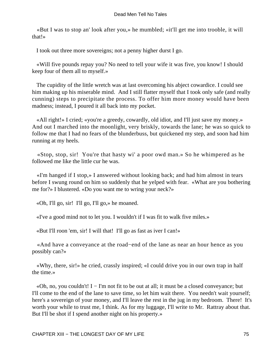«But I was to stop an' look after you,» he mumbled; «it'll get me into trooble, it will that!»

I took out three more sovereigns; not a penny higher durst I go.

 «Will five pounds repay you? No need to tell your wife it was five, you know! I should keep four of them all to myself.»

 The cupidity of the little wretch was at last overcoming his abject cowardice. I could see him making up his miserable mind. And I still flatter myself that I took only safe (and really cunning) steps to precipitate the process. To offer him more money would have been madness; instead, I poured it all back into my pocket.

 «All right!» I cried; «you're a greedy, cowardly, old idiot, and I'll just save my money.» And out I marched into the moonlight, very briskly, towards the lane; he was so quick to follow me that I had no fears of the blunderbuss, but quickened my step, and soon had him running at my heels.

 «Stop, stop, sir! You're that hasty wi' a poor owd man.» So he whimpered as he followed me like the little cur he was.

 «I'm hanged if I stop,» I answered without looking back; and had him almost in tears before I swung round on him so suddenly that he yelped with fear. «What are you bothering me for?» I blustered. «Do you want me to wring your neck?»

«Oh, I'll go, sir! I'll go, I'll go,» he moaned.

«I've a good mind not to let you. I wouldn't if I was fit to walk five miles.»

«But I'll roon 'em, sir! I will that! I'll go as fast as iver I can!»

 «And have a conveyance at the road−end of the lane as near an hour hence as you possibly can?»

 «Why, there, sir!» he cried, crassly inspired; «I could drive you in our own trap in half the time.»

 «Oh, no, you couldn't! I − I'm not fit to be out at all; it must be a closed conveyance; but I'll come to the end of the lane to save time, so let him wait there. You needn't wait yourself; here's a sovereign of your money, and I'll leave the rest in the jug in my bedroom. There! It's worth your while to trust me, I think. As for my luggage, I'll write to Mr. Rattray about that. But I'll be shot if I spend another night on his property.»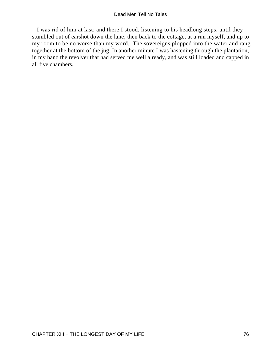I was rid of him at last; and there I stood, listening to his headlong steps, until they stumbled out of earshot down the lane; then back to the cottage, at a run myself, and up to my room to be no worse than my word. The sovereigns plopped into the water and rang together at the bottom of the jug. In another minute I was hastening through the plantation, in my hand the revolver that had served me well already, and was still loaded and capped in all five chambers.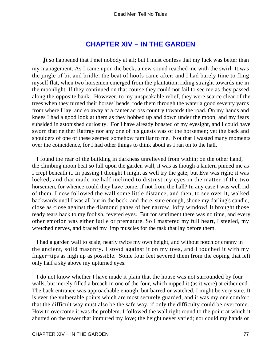# **[CHAPTER XIV − IN THE GARDEN](#page-131-0)**

*I*t so happened that I met nobody at all; but I must confess that my luck was better than my management. As I came upon the beck, a new sound reached me with the swirl. It was the jingle of bit and bridle; the beat of hoofs came after; and I had barely time to fling myself flat, when two horsemen emerged from the plantation, riding straight towards me in the moonlight. If they continued on that course they could not fail to see me as they passed along the opposite bank. However, to my unspeakable relief, they were scarce clear of the trees when they turned their horses' heads, rode them through the water a good seventy yards from where I lay, and so away at a canter across country towards the road. On my hands and knees I had a good look at them as they bobbed up and down under the moon; and my fears subsided in astonished curiosity. For I have already boasted of my eyesight, and I could have sworn that neither Rattray nor any one of his guests was of the horsemen; yet the back and shoulders of one of these seemed somehow familiar to me. Not that I wasted many moments over the coincidence, for I had other things to think about as I ran on to the hall.

 I found the rear of the building in darkness unrelieved from within; on the other hand, the climbing moon beat so full upon the garden wall, it was as though a lantern pinned me as I crept beneath it. In passing I thought I might as well try the gate; but Eva was right; it was locked; and that made me half inclined to distrust my eyes in the matter of the two horsemen, for whence could they have come, if not from the hall? In any case I was well rid of them. I now followed the wall some little distance, and then, to see over it, walked backwards until I was all but in the beck; and there, sure enough, shone my darling's candle, close as close against the diamond panes of her narrow, lofty window! It brought those ready tears back to my foolish, fevered eyes. But for sentiment there was no time, and every other emotion was either futile or premature. So I mastered my full heart, I steeled, my wretched nerves, and braced my limp muscles for the task that lay before them.

 I had a garden wall to scale, nearly twice my own height, and without notch or cranny in the ancient, solid masonry. I stood against it on my toes, and I touched it with my finger−tips as high up as possible. Some four feet severed them from the coping that left only half a sky above my upturned eyes.

 I do not know whether I have made it plain that the house was not surrounded by four walls, but merely filled a breach in one of the four, which nipped it (as it were) at either end. The back entrance was approachable enough, but barred or watched, I might be very sure. It is ever the vulnerable points which are most securely guarded, and it was my one comfort that the difficult way must also be the safe way, if only the difficulty could be overcome. How to overcome it was the problem. I followed the wall right round to the point at which it abutted on the tower that immured my love; the height never varied; nor could my hands or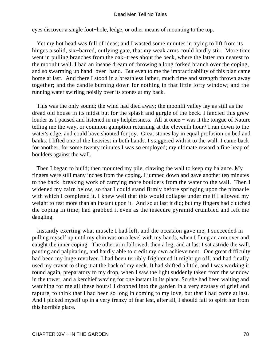eyes discover a single foot−hole, ledge, or other means of mounting to the top.

 Yet my hot head was full of ideas; and I wasted some minutes in trying to lift from its hinges a solid, six−barred, outlying gate, that my weak arms could hardly stir. More time went in pulling branches from the oak−trees about the beck, where the latter ran nearest to the moonlit wall. I had an insane dream of throwing a long forked branch over the coping, and so swarming up hand−over−hand. But even to me the impracticability of this plan came home at last. And there I stood in a breathless lather, much time and strength thrown away together; and the candle burning down for nothing in that little lofty window; and the running water swirling noisily over its stones at my back.

 This was the only sound; the wind had died away; the moonlit valley lay as still as the dread old house in its midst but for the splash and gurgle of the beck. I fancied this grew louder as I paused and listened in my helplessness. All at once − was it the tongue of Nature telling me the way, or common gumption returning at the eleventh hour? I ran down to the water's edge, and could have shouted for joy. Great stones lay in equal profusion on bed and banks. I lifted one of the heaviest in both hands. I staggered with it to the wall. I came back for another; for some twenty minutes I was so employed; my ultimate reward a fine heap of boulders against the wall.

 Then I began to build; then mounted my pile, clawing the wall to keep my balance. My fingers were still many inches from the coping. I jumped down and gave another ten minutes to the back−breaking work of carrying more boulders from the water to the wall. Then I widened my cairn below, so that I could stand firmly before springing upon the pinnacle with which I completed it. I knew well that this would collapse under me if I allowed my weight to rest more than an instant upon it. And so at last it did; but my fingers had clutched the coping in time; had grabbed it even as the insecure pyramid crumbled and left me dangling.

 Instantly exerting what muscle I had left, and the occasion gave me, I succeeded in pulling myself up until my chin was on a level with my hands, when I flung an arm over and caught the inner coping. The other arm followed; then a leg; and at last I sat astride the wall, panting and palpitating, and hardly able to credit my own achievement. One great difficulty had been my huge revolver. I had been terribly frightened it might go off, and had finally used my cravat to sling it at the back of my neck. It had shifted a little, and I was working it round again, preparatory to my drop, when I saw the light suddenly taken from the window in the tower, and a kerchief waving for one instant in its place. So she had been waiting and watching for me all these hours! I dropped into the garden in a very ecstasy of grief and rapture, to think that I had been so long in coming to my love, but that I had come at last. And I picked myself up in a very frenzy of fear lest, after all, I should fail to spirit her from this horrible place.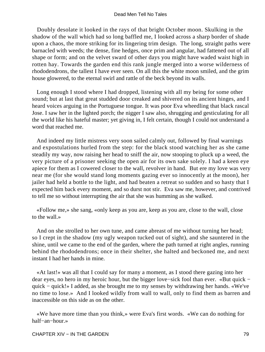Doubly desolate it looked in the rays of that bright October moon. Skulking in the shadow of the wall which had so long baffled me, I looked across a sharp border of shade upon a chaos, the more striking for its lingering trim design. The long, straight paths were barnacled with weeds; the dense, fine hedges, once prim and angular, had fattened out of all shape or form; and on the velvet sward of other days you might have waded waist high in rotten hay. Towards the garden end this rank jungle merged into a worse wilderness of rhododendrons, the tallest I have ever seen. On all this the white moon smiled, and the grim house glowered, to the eternal swirl and rattle of the beck beyond its walls.

 Long enough I stood where I had dropped, listening with all my being for some other sound; but at last that great studded door creaked and shivered on its ancient hinges, and I heard voices arguing in the Portuguese tongue. It was poor Eva wheedling that black rascal Jose. I saw her in the lighted porch; the nigger I saw also, shrugging and gesticulating for all the world like his hateful master; yet giving in, I felt certain, though I could not understand a word that reached me.

 And indeed my little mistress very soon sailed calmly out, followed by final warnings and expostulations hurled from the step: for the black stood watching her as she came steadily my way, now raising her head to sniff the air, now stooping to pluck up a weed, the very picture of a prisoner seeking the open air for its own sake solely. I had a keen eye apiece for them as I cowered closer to the wall, revolver in hand. But ere my love was very near me (for she would stand long moments gazing ever so innocently at the moon), her jailer had held a bottle to the light, and had beaten a retreat so sudden and so hasty that I expected him back every moment, and so durst not stir. Eva saw me, however, and contrived to tell me so without interrupting the air that she was humming as she walked.

 «Follow me,» she sang, «only keep as you are, keep as you are, close to the wall, close to the wall.»

 And on she strolled to her own tune, and came abreast of me without turning her head; so I crept in the shadow (my ugly weapon tucked out of sight), and she sauntered in the shine, until we came to the end of the garden, where the path turned at right angles, running behind the rhododendrons; once in their shelter, she halted and beckoned me, and next instant I had her hands in mine.

 «At last!» was all that I could say for many a moment, as I stood there gazing into her dear eyes, no hero in my heroic hour, but the bigger love−sick fool than ever. «But quick − quick − quick!» I added, as she brought me to my senses by withdrawing her hands. «We've no time to lose.» And I looked wildly from wall to wall, only to find them as barren and inaccessible on this side as on the other.

 «We have more time than you think,» were Eva's first words. «We can do nothing for half−an−hour.»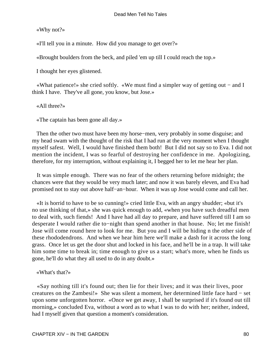«Why not?»

«I'll tell you in a minute. How did you manage to get over?»

«Brought boulders from the beck, and piled 'em up till I could reach the top.»

I thought her eyes glistened.

 «What patience!» she cried softly. «We must find a simpler way of getting out − and I think I have. They've all gone, you know, but Jose.»

«All three?»

«The captain has been gone all day.»

 Then the other two must have been my horse−men, very probably in some disguise; and my head swam with the thought of the risk that I had run at the very moment when I thought myself safest. Well, I would have finished them both! But I did not say so to Eva. I did not mention the incident, I was so fearful of destroying her confidence in me. Apologizing, therefore, for my interruption, without explaining it, I begged her to let me hear her plan.

 It was simple enough. There was no fear of the others returning before midnight; the chances were that they would be very much later; and now it was barely eleven, and Eva had promised not to stay out above half−an−hour. When it was up Jose would come and call her.

 «It is horrid to have to be so cunning!» cried little Eva, with an angry shudder; «but it's no use thinking of that,» she was quick enough to add, «when you have such dreadful men to deal with, such fiends! And I have had all day to prepare, and have suffered till I am so desperate I would rather die to−night than spend another in that house. No; let me finish! Jose will come round here to look for me. But you and I will be hiding n the other side of these rhododendrons. And when we hear him here we'll make a dash for it across the long grass. Once let us get the door shut and locked in his face, and he'll be in a trap. It will take him some time to break in; time enough to give us a start; what's more, when he finds us gone, he'll do what they all used to do in any doubt.»

«What's that?»

 «Say nothing till it's found out; then lie for their lives; and it was their lives, poor creatures on the Zambesi!» She was silent a moment, her determined little face hard − set upon some unforgotten horror. «Once we get away, I shall be surprised if it's found out till morning,» concluded Eva, without a word as to what I was to do with her; neither, indeed, had I myself given that question a moment's consideration.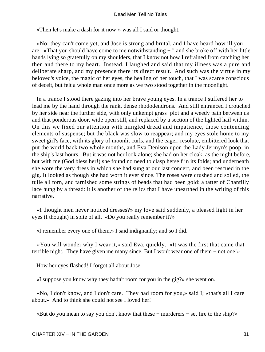«Then let's make a dash for it now!» was all I said or thought.

 «No; they can't come yet, and Jose is strong and brutal, and I have heard how ill you are. »That you should have come to me notwithstanding − " and she broke off with her little hands lying so gratefully on my shoulders, that I know not how I refrained from catching her then and there to my heart. Instead, I laughed and said that my illness was a pure and deliberate sharp, and my presence there its direct result. And such was the virtue in my beloved's voice, the magic of her eyes, the healing of her touch, that I was scarce conscious of deceit, but felt a whole man once more as we two stood together in the moonlight.

 In a trance I stood there gazing into her brave young eyes. In a trance I suffered her to lead me by the hand through the rank, dense rhododendrons. And still entranced I crouched by her side near the further side, with only unkempt grass−plot and a weedy path between us and that ponderous door, wide open still, and replaced by a section of the lighted hail within. On this we fixed our attention with mingled dread and impatience, those contending elements of suspense; but the black was slow to reappear; and my eyes stole home to my sweet girl's face, with its glory of moonlit curls, and the eager, resolute, embittered look that put the world back two whole months, and Eva Denison upon the Lady Jermyn's poop, in the ship's last hours. But it was not her look alone; she had on her cloak, as the night before, but with me (God bless her!) she found no need to clasp herself in its folds; and underneath she wore the very dress in which she had sung at our last concert, and been rescued in the gig. It looked as though she had worn it ever since. The roses were crushed and soiled, the tulle all torn, and tarnished some strings of beads that had been gold: a tatter of Chantilly lace hung by a thread: it is another of the relics that I have unearthed in the writing of this narrative.

 «I thought men never noticed dresses?» my love said suddenly, a pleased light in her eyes (I thought) in spite of all. «Do you really remember it?»

«I remember every one of them,» I said indignantly; and so I did.

 «You will wonder why I wear it,» said Eva, quickly. «It was the first that came that terrible night. They have given me many since. But I won't wear one of them − not one!»

How her eyes flashed! I forgot all about Jose.

«I suppose you know why they hadn't room for you in the gig?» she went on.

 «No, I don't know, and I don't care. They had room for you,» said I; «that's all I care about.» And to think she could not see I loved her!

«But do you mean to say you don't know that these − murderers − set fire to the ship?»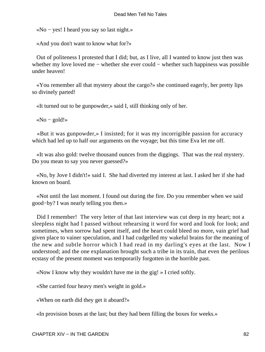«No − yes! I heard you say so last night.»

«And you don't want to know what for?»

 Out of politeness I protested that I did; but, as I live, all I wanted to know just then was whether my love loved me − whether she ever could − whether such happiness was possible under heaven!

 «You remember all that mystery about the cargo?» she continued eagerly, her pretty lips so divinely parted!

«It turned out to be gunpowder,» said I, still thinking only of her.

«No – gold!»

 «But it was gunpowder,» I insisted; for it was my incorrigible passion for accuracy which had led up to half our arguments on the voyage; but this time Eva let me off.

 «It was also gold: twelve thousand ounces from the diggings. That was the real mystery. Do you mean to say you never guessed?»

 «No, by Jove I didn't!» said I. She had diverted my interest at last. I asked her if she had known on board.

 «Not until the last moment. I found out during the fire. Do you remember when we said good−by? I was nearly telling you then.»

Did I remember! The very letter of that last interview was cut deep in my heart; not a sleepless night had I passed without rehearsing it word for word and look for look; and sometimes, when sorrow had spent itself, and the heart could bleed no more, vain grief had given place to vainer speculation, and I had cudgelled my wakeful brains for the meaning of the new and subtle horror which I had read in my darling's eyes at the last. Now I understood; and the one explanation brought such a tribe in its train, that even the perilous ecstasy of the present moment was temporarily forgotten in the horrible past.

«Now I know why they wouldn't have me in the gig! » I cried softly.

«She carried four heavy men's weight in gold.»

«When on earth did they get it aboard?»

«In provision boxes at the last; but they had been filling the boxes for weeks.»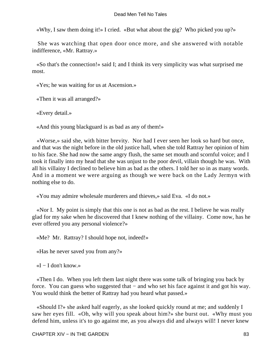«Why, I saw them doing it!» I cried. «But what about the gig? Who picked you up?»

 She was watching that open door once more, and she answered with notable indifference, «Mr. Rattray.»

 «So that's the connection!» said I; and I think its very simplicity was what surprised me most.

«Yes; he was waiting for us at Ascension.»

«Then it was all arranged?»

«Every detail.»

«And this young blackguard is as bad as any of them!»

 «Worse,» said she, with bitter brevity. Nor had I ever seen her look so hard but once, and that was the night before in the old justice hall, when she told Rattray her opinion of him to his face. She had now the same angry flush, the same set mouth and scornful voice; and I took it finally into my head that she was unjust to the poor devil, villain though he was. With all his villainy I declined to believe him as bad as the others. I told her so in as many words. And in a moment we were arguing as though we were back on the Lady Jermyn with nothing else to do.

«You may admire wholesale murderers and thieves,» said Eva. «I do not.»

 «Nor I. My point is simply that this one is not as bad as the rest. I believe he was really glad for my sake when he discovered that I knew nothing of the villainy. Come now, has he ever offered you any personal violence?»

«Me? Mr. Rattray? I should hope not, indeed!»

«Has he never saved you from any?»

 $\ll I - I$  don't know.»

 «Then I do. When you left them last night there was some talk of bringing you back by force. You can guess who suggested that − and who set his face against it and got his way. You would think the better of Rattray had you heard what passed.»

 «Should I?» she asked half eagerly, as she looked quickly round at me; and suddenly I saw her eyes fill. «Oh, why will you speak about him?» she burst out. «Why must you defend him, unless it's to go against me, as you always did and always will! I never knew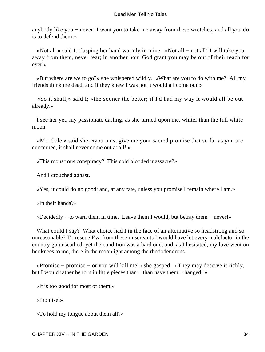anybody like you − never! I want you to take me away from these wretches, and all you do is to defend them!»

 «Not all,» said I, clasping her hand warmly in mine. «Not all − not all! I will take you away from them, never fear; in another hour God grant you may be out of their reach for ever!»

 «But where are we to go?» she whispered wildly. «What are you to do with me? All my friends think me dead, and if they knew I was not it would all come out.»

 «So it shall,» said I; «the sooner the better; if I'd had my way it would all be out already.»

 I see her yet, my passionate darling, as she turned upon me, whiter than the full white moon.

 «Mr. Cole,» said she, «you must give me your sacred promise that so far as you are concerned, it shall never come out at all! »

«This monstrous conspiracy? This cold blooded massacre?»

And I crouched aghast.

«Yes; it could do no good; and, at any rate, unless you promise I remain where I am.»

«In their hands?»

«Decidedly − to warn them in time. Leave them I would, but betray them − never!»

What could I say? What choice had I in the face of an alternative so headstrong and so unreasonable? To rescue Eva from these miscreants I would have let every malefactor in the country go unscathed: yet the condition was a hard one; and, as I hesitated, my love went on her knees to me, there in the moonlight among the rhododendrons.

 «Promise − promise − or you will kill me!» she gasped. «They may deserve it richly, but I would rather be torn in little pieces than − than have them − hanged! »

«It is too good for most of them.»

«Promise!»

«To hold my tongue about them all?»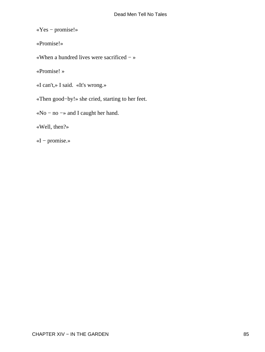«Yes − promise!»

«Promise!»

«When a hundred lives were sacrificed − »

«Promise! »

«I can't,» I said. «It's wrong.»

«Then good−by!» she cried, starting to her feet.

«No − no −» and I caught her hand.

«Well, then?»

«I − promise.»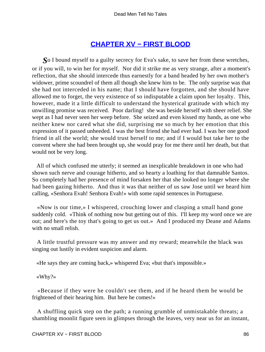# **[CHAPTER XV − FIRST BLOOD](#page-131-0)**

*S*o I bound myself to a guilty secrecy for Eva's sake, to save her from these wretches, or if you will, to win her for myself. Nor did it strike me as very strange, after a moment's reflection, that she should intercede thus earnestly for a band headed by her own mother's widower, prime scoundrel of them all though she knew him to be. The only surprise was that she had not interceded in his name; that I should have forgotten, and she should have allowed me to forget, the very existence of so indisputable a claim upon her loyalty. This, however, made it a little difficult to understand the hysterical gratitude with which my unwilling promise was received. Poor darling! she was beside herself with sheer relief. She wept as I had never seen her weep before. She seized and even kissed my hands, as one who neither knew nor cared what she did, surprising me so much by her emotion that this expression of it passed unheeded. I was the best friend she had ever had. I was her one good friend in all the world; she would trust herself to me; and if I would but take her to the convent where she had been brought up, she would pray for me there until her death, but that would not be very long.

 All of which confused me utterly; it seemed an inexplicable breakdown in one who had shown such nerve and courage hitherto, and so hearty a loathing for that damnable Santos. So completely had her presence of mind forsaken her that she looked no longer where she had been gazing hitherto. And thus it was that neither of us saw Jose until we heard him calling, «Senhora Evah! Senhora Evah!» with some rapid sentences in Portuguese.

 «Now is our time,» I whispered, crouching lower and clasping a small hand gone suddenly cold. «Think of nothing now but getting out of this. I'll keep my word once we are out; and here's the toy that's going to get us out.» And I produced my Deane and Adams with no small relish.

 A little trustful pressure was my answer and my reward; meanwhile the black was singing out lustily in evident suspicion and alarm.

«He says they are coming back,» whispered Eva; «but that's impossible.»

«Why?»

 «Because if they were he couldn't see them, and if he heard them he would be frightened of their hearing him. But here he comes!»

 A shuffling quick step on the path; a running grumble of unmistakable threats; a shambling moonlit figure seen in glimpses through the leaves, very near us for an instant,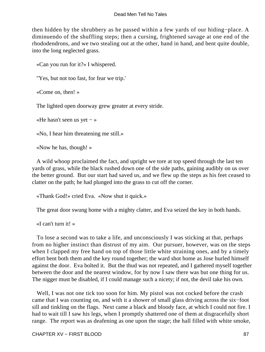then hidden by the shrubbery as he passed within a few yards of our hiding−place. A diminuendo of the shuffling steps; then a cursing, frightened savage at one end of the rhododendrons, and we two stealing out at the other, hand in hand, and bent quite double, into the long neglected grass.

«Can you run for it?» I whispered.

"Yes, but not too fast, for fear we trip.'

«Come on, then! »

The lighted open doorway grew greater at every stride.

«He hasn't seen us yet − »

«No, I hear him threatening me still.»

«Now he has, though! »

 A wild whoop proclaimed the fact, and upright we tore at top speed through the last ten yards of grass, while the black rushed down one of the side paths, gaining audibly on us over the better ground. But our start had saved us, and we flew up the steps as his feet ceased to clatter on the path; he had plunged into the grass to cut off the corner.

«Thank God!» cried Eva. «Now shut it quick.»

The great door swung home with a mighty clatter, and Eva seized the key in both hands.

«I can't turn it! »

 To lose a second was to take a life, and unconsciously I was sticking at that, perhaps from no higher instinct than distrust of my aim. Our pursuer, however, was on the steps when I clapped my free hand on top of those little white straining ones, and by a timely effort bent both them and the key round together; the ward shot home as Jose hurled himself against the door. Eva bolted it. But the thud was not repeated, and I gathered myself together between the door and the nearest window, for by now I saw there was but one thing for us. The nigger must be disabled, if I could manage such a nicety; if not, the devil take his own.

 Well, I was not one tick too soon for him. My pistol was not cocked before the crash came that I was counting on, and with it a shower of small glass driving across the six−foot sill and tinkling on the flags. Next came a black and bloody face, at which I could not fire. I had to wait till I saw his legs, when I promptly shattered one of them at disgracefully short range. The report was as deafening as one upon the stage; the hall filled with white smoke,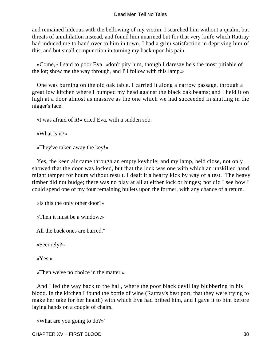and remained hideous with the bellowing of my victim. I searched him without a qualm, but threats of annihilation instead, and found him unarmed but for that very knife which Rattray had induced me to hand over to him in town. I had a grim satisfaction in depriving him of this, and but small compunction in turning my back upon his pain.

 «Come,» I said to poor Eva, «don't pity him, though I daresay he's the most pitiable of the lot; show me the way through, and I'll follow with this lamp.»

 One was burning on the old oak table. I carried it along a narrow passage, through a great low kitchen where I bumped my head against the black oak beams; and I held it on high at a door almost as massive as the one which we had succeeded in shutting in the nigger's face.

«I was afraid of it!» cried Eva, with a sudden sob.

«What is it?»

«They've taken away the key!»

 Yes, the keen air came through an empty keyhole; and my lamp, held close, not only showed that the door was locked, but that the lock was one with which an unskilled hand might tamper for hours without result. I dealt it a hearty kick by way of a test. The heavy timber did not budge; there was no play at all at either lock or hinges; nor did I see how I could spend one of my four remaining bullets upon the former, with any chance of a return.

«Is this the only other door?»

«Then it must be a window.»

All the back ones are barred."

«Securely?»

«Yes.»

«Then we've no choice in the matter.»

 And I led the way back to the hall, where the poor black devil lay blubbering in his blood. In the kitchen I found the bottle of wine (Rattray's best port, that they were trying to make her take for her health) with which Eva had bribed him, and I gave it to him before laying hands on a couple of chairs.

«What are you going to do?»'

CHAPTER XV − FIRST BLOOD 88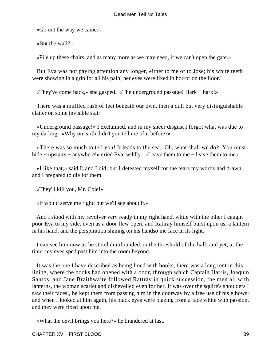«Go out the way we came.»

«But the wall?»

«Pile up these chairs, and as many more as we may need, if we can't open the gate.»

 But Eva was not paying attention any longer, either to me or to Jose; his white teeth were showing in a grin for all his pain; her eyes were fixed in horror on the floor."

«They've come back,» she gasped. «The underground passage! Hark − hark!»

 There was a muffled rush of feet beneath our own, then a dull but very distinguishable clatter on some invisible stair.

 «Underground passage!» I exclaimed, and in my sheer disgust I forgot what was due to my darling. «Why on earth didn't you tell me of it before?»

 «There was so much to tell you! It leads to the sea. Oh, what shall we do? You must hide – upstairs – anywhere!» cried Eva, wildly. «Leave them to me – leave them to me.»

 «I like that,» said I; and I did; but I detested myself for the tears my words had drawn, and I prepared to die for them.

«They'll kill you, Mr. Cole!»

«It would serve me right; but we'll see about it.»

 And I stood with my revolver very ready in my right hand, while with the other I caught poor Eva to my side, even as a door flew open, and Rattray himself burst upon us, a lantern in his hand, and the perspiration shining on his handso me face in its light.

 I can see him now as he stood dumfounded on the threshold of the hall; and yet, at the time, my eyes sped past him into the room beyond.

 It was the one I have described as being lined with books; there was a long rent in this lining, where the books had opened with a door, through which Captain Harris, Joaquin Santos, and Jane Braithwaite followed Rattray in quick succession, the men all with lanterns, the woman scarlet and dishevelled even for her. It was over the squire's shoulders I saw their faces;, he kept them from passing him in the doorway by a free use of his elbows; and when I looked at him again, his black eyes were blazing from a face white with passion, and they were fixed upon me.

«What the devil brings you here?» he thundered at last.

CHAPTER XV – FIRST BLOOD 89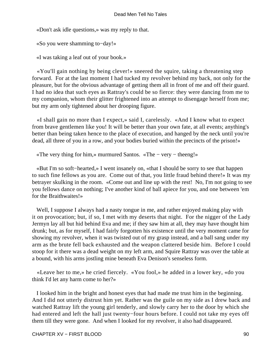«Don't ask idle questions,» was my reply to that.

«So you were shamming to−day!»

«I was taking a leaf out of your book.»

 «You'll gain nothing by being clever!» sneered the squire, taking a threatening step forward. For at the last moment I had tucked my revolver behind my back, not only for the pleasure, but for the obvious advantage of getting them all in front of me and off their guard. I had no idea that such eyes as Rattray's could be so fierce: they were dancing from me to my companion, whom their glitter frightened into an attempt to disengage herself from me; but my arm only tightened about her drooping figure.

 «I shall gain no more than I expect,» said I, carelessly. «And I know what to expect from brave gentlemen like you! It will be better than your own fate, at all events; anything's better than being taken hence to the place of execution, and hanged by the neck until you're dead, all three of you in a row, and your bodies buried within the precincts of the prison!»

«The very thing for him,» murmured Santos. «The − very − theeng!»

 «But I'm so soft−hearted,» I went insanely on, «that I should be sorry to see that happen to such fine fellows as you are. Come out of that, you little fraud behind there!» It was my betrayer skulking in the room. «Come out and line up with the rest! No, I'm not going to see you fellows dance on nothing; I've another kind of ball apiece for you, and one between 'em for the Braithwaites!»

 Well, I suppose I always had a nasty tongue in me, and rather enjoyed making play with it on provocation; but, if so, I met with my deserts that night. For the nigger of the Lady Jermyn lay all but hid behind Eva and me; if they saw him at all, they may have thought him drunk; but, as for myself, I had fairly forgotten his existence until the very moment came for showing my revolver, when it was twisted out of my grasp instead, and a ball sang under my arm as the brute fell back exhausted and the weapon clattered beside him. Before I could stoop for it there was a dead weight on my left arm, and Squire Rattray was over the table at a bound, with his arms jostling mine beneath Eva Denison's senseless form.

 «Leave her to me,» he cried fiercely. «You fool,» he added in a lower key, «do you think I'd let any harm come to her?»

 I looked him in the bright and honest eyes that had made me trust him in the beginning. And I did not utterly distrust him yet. Rather was the guile on my side as I drew back and watched Rattray lift the young girl tenderly, and slowly carry her to the door by which she had entered and left the hall just twenty−four hours before. I could not take my eyes off them till they were gone. And when I looked for my revolver, it also had disappeared.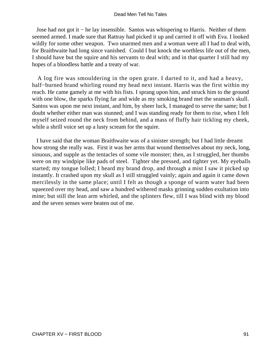Jose had not got it − he lay insensible. Santos was whispering to Harris. Neither of them seemed armed. I made sure that Rattray had picked it up and carried it off with Eva. I looked wildly for some other weapon. Two unarmed men and a woman were all I had to deal with, for Braithwaite had long since vanished. Could I but knock the worthless life out of the men, I should have but the squire and his servants to deal with; and in that quarter I still had my hopes of a bloodless battle and a treaty of war.

 A log fire was smouldering in the open grate. I darted to it, and had a heavy, half−burned brand whirling round my head next instant. Harris was the first within my reach. He came gamely at me with his fists. I sprang upon him, and struck him to the ground with one blow, the sparks flying far and wide as my smoking brand met the seaman's skull. Santos was upon me next instant, and him, by sheer luck, I managed to serve the same; but I doubt whether either man was stunned; and I was standing ready for them to rise, when I felt myself seized round the neck from behind, and a mass of fluffy hair tickling my cheek, while a shrill voice set up a lusty scream for the squire.

 I have said that the woman Braithwaite was of a sinister strength; but I had little dreamt how strong she really was. First it was her arms that wound themselves about my neck, long, sinuous, and supple as the tentacles of some vile monster; then, as I struggled, her thumbs were on my windpipe like pads of steel. Tighter she pressed, and tighter yet. My eyeballs started; my tongue lolled; I heard my brand drop, and through a mist I saw it picked up instantly. It crashed upon my skull as I still struggled vainly; again and again it came down mercilessly in the same place; until I felt as though a sponge of warm water had been squeezed over my head, and saw a hundred withered masks grinning sudden exultation into mine; but still the lean arm whirled, and the splinters flew, till I was blind with my blood and the seven senses were beaten out of me.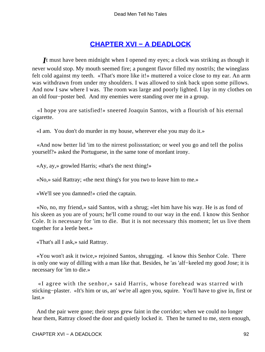# **[CHAPTER XVI − A DEADLOCK](#page-131-0)**

*I*t must have been midnight when I opened my eyes; a clock was striking as though it never would stop. My mouth seemed fire; a pungent flavor filled my nostrils; the wineglass felt cold against my teeth. «That's more like it!» muttered a voice close to my ear. An arm was withdrawn from under my shoulders. I was allowed to sink back upon some pillows. And now I saw where I was. The room was large and poorly lighted. I lay in my clothes on an old four−poster bed. And my enemies were standing over me in a group.

 «I hope you are satisfied!» sneered Joaquin Santos, with a flourish of his eternal cigarette.

«I am. You don't do murder in my house, wherever else you may do it.»

 «And now better lid 'im to the nirrest polissstation; or weel you go and tell the poliss yourself?» asked the Portuguese, in the same tone of mordant irony.

«Ay, ay,» growled Harris; «that's the next thing!»

«No,» said Rattray; «the next thing's for you two to leave him to me.»

«We'll see you damned!» cried the captain.

 «No, no, my friend,» said Santos, with a shrug; «let him have his way. He is as fond of his skeen as you are of yours; he'll come round to our way in the end. I know this Senhor Cole. It is necessary for 'im to die. But it is not necessary this moment; let us live them together for a leetle beet.»

«That's all I ask,» said Rattray.

 «You won't ask it twice,» rejoined Santos, shrugging. «I know this Senhor Cole. There is only one way of dilling with a man like that. Besides, he 'as 'alf−keeled my good Jose; it is necessary for 'im to die.»

 «I agree with the senhor,» said Harris, whose forehead was starred with sticking−plaster. «It's him or us, an' we're all agen you, squire. You'll have to give in, first or last.»

 And the pair were gone; their steps grew faint in the corridor; when we could no longer hear them, Rattray closed the door and quietly locked it. Then he turned to me, stern enough,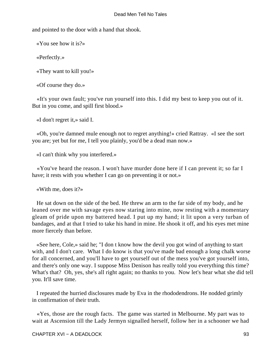and pointed to the door with a hand that shook.

«You see how it is?»

«Perfectly.»

«They want to kill you!»

«Of course they do.»

 «It's your own fault; you've run yourself into this. I did my best to keep you out of it. But in you come, and spill first blood.»

«I don't regret it,» said I.

 «Oh, you're damned mule enough not to regret anything!» cried Rattray. «I see the sort you are; yet but for me, I tell you plainly, you'd be a dead man now.»

«I can't think why you interfered.»

 «You've heard the reason. I won't have murder done here if I can prevent it; so far I have; it rests with you whether I can go on preventing it or not.»

«With me, does it?»

 He sat down on the side of the bed. He threw an arm to the far side of my body, and he leaned over me with savage eyes now staring into mine, now resting with a momentary gleam of pride upon my battered head. I put up my hand; it lit upon a very turban of bandages, and at that I tried to take his hand in mine. He shook it off, and his eyes met mine more fiercely than before.

 «See here, Cole,» said he; "I don t know how the devil you got wind of anything to start with, and I don't care. What I do know is that you've made bad enough a long chalk worse for all concerned, and you'll have to get yourself out of the mess you've got yourself into, and there's only one way. I suppose Miss Denison has really told you everything this time? What's that? Oh, yes, she's all right again; no thanks to you. Now let's hear what she did tell you. It'll save time.

 I repeated the hurried disclosures made by Eva in the rhododendrons. He nodded grimly in confirmation of their truth.

 «Yes, those are the rough facts. The game was started in Melbourne. My part was to wait at Ascension till the Lady Jermyn signalled herself, follow her in a schooner we had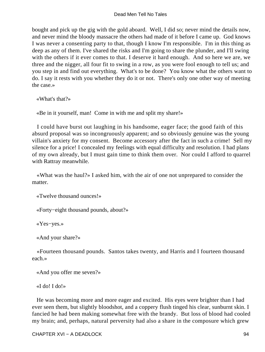bought and pick up the gig with the gold aboard. Well, I did so; never mind the details now, and never mind the bloody massacre the others had made of it before I came up. God knows I was never a consenting party to that, though I know I'm responsible. I'm in this thing as deep as any of them. I've shared the risks and I'm going to share the plunder, and I'll swing with the others if it ever comes to that. I deserve it hard enough. And so here we are, we three and the nigger, all four fit to swing in a row, as you were fool enough to tell us; and you step in and find out everything. What's to be done? You know what the others want to do. I say it rests with you whether they do it or not. There's only one other way of meeting the case.»

«What's that?»

«Be in it yourself, man! Come in with me and split my share!»

 I could have burst out laughing in his handsome, eager face; the good faith of this absurd proposal was so incongruously apparent; and so obviously genuine was the young villain's anxiety for my consent. Become accessory after the fact in such a crime! Sell my silence for a price! I concealed my feelings with equal difficulty and resolution. I had plans of my own already, but I must gain time to think them over. Nor could I afford to quarrel with Rattray meanwhile.

 «What was the haul?» I asked him, with the air of one not unprepared to consider the matter.

«Twelve thousand ounces!»

«Forty−eight thousand pounds, about?»

«Yes−yes.»

«And your share?»

 «Fourteen thousand pounds. Santos takes twenty, and Harris and I fourteen thousand each.»

«And you offer me seven?»

«I do! I do!»

 He was becoming more and more eager and excited. His eyes were brighter than I had ever seen them, but slightly bloodshot, and a coppery flush tinged his clear, sunburnt skin. I fancied he had been making somewhat free with the brandy. But loss of blood had cooled my brain; and, perhaps, natural perversity had also a share in the composure which grew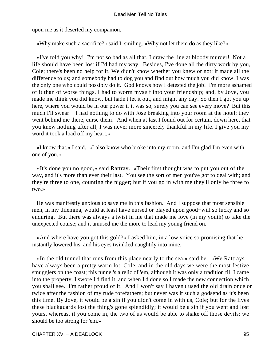upon me as it deserted my companion.

«Why make such a sacrifice?» said I, smiling. «Why not let them do as they like?»

 «I've told you why! I'm not so bad as all that. I draw the line at bloody murder! Not a life should have been lost if I'd had my way. Besides, I've done all the dirty work by you, Cole; there's been no help for it. We didn't know whether you knew or not; it made all the difference to us; and somebody had to dog you and find out how much you did know. I was the only one who could possibly do it. God knows how I detested the job! I'm more ashamed of it than of worse things. I had to worm myself into your friendship; and, by Jove, you made me think you did know, but hadn't let it out, and might any day. So then I got you up here, where you would be in our power if it was so; surely you can see every move? But this much I'll swear − I had nothing to do with Jose breaking into your room at the hotel; they went behind me there, curse them! And when at last I found out for certain, down here, that you knew nothing after all, I was never more sincerely thankful in my life. I give you my word it took a load off my heart.»

 «I know that,» I said. «I also know who broke into my room, and I'm glad I'm even with one of you.»

 «It's done you no good,» said Rattray. «Their first thought was to put you out of the way, and it's more than ever their last. You see the sort of men you've got to deal with; and they're three to one, counting the nigger; but if you go in with me they'll only be three to two.»

 He was manifestly anxious to save me in this fashion. And I suppose that most sensible men, in my dilemma, would at least have nursed or played upon good−will so lucky and so enduring. But there was always a twist in me that made me love (in my youth) to take the unexpected course; and it amused me the more to lead my young friend on.

 «And where have you got this gold?» I asked him, in a low voice so promising that he instantly lowered his, and his eyes twinkled naughtily into mine.

 «In the old tunnel that runs from this place nearly to the sea,» said he. «We Rattrays have always been a pretty warm lot, Cole, and in the old days we were the most festive smugglers on the coast; this tunnel's a relic of 'em, although it was only a tradition till I came into the property. I swore I'd find it, and when I'd done so I made the new connection which you shall see. I'm rather proud of it. And I won't say I haven't used the old drain once or twice after the fashion of my rude forefathers; but never was it such a godsend as it's been this time. By Jove, it would be a sin if you didn't come in with us, Cole; but for the lives these blackguards lost the thing's gone splendidly; it would be a sin if you went and lost yours, whereas, if you come in, the two of us would be able to shake off those devils: we should be too strong for 'em.»

CHAPTER XVI − A DEADLOCK 95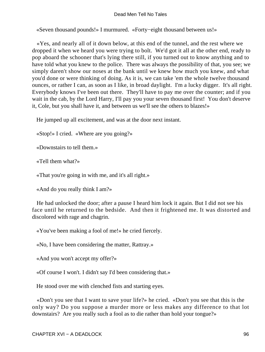«Seven thousand pounds!» I murmured. «Forty−eight thousand between us!»

 «Yes, and nearly all of it down below, at this end of the tunnel, and the rest where we dropped it when we heard you were trying to bolt. We'd got it all at the other end, ready to pop aboard the schooner that's lying there still, if you turned out to know anything and to have told what you knew to the police. There was always the possibility of that, you see; we simply daren't show our noses at the bank until we knew how much you knew, and what you'd done or were thinking of doing. As it is, we can take 'em the whole twelve thousand ounces, or rather I can, as soon as I like, in broad daylight. I'm a lucky digger. It's all right. Everybody knows I've been out there. They'll have to pay me over the counter; and if you wait in the cab, by the Lord Harry, I'll pay you your seven thousand first! You don't deserve it, Cole, but you shall have it, and between us we'll see the others to blazes!»

He jumped up all excitement, and was at the door next instant.

«Stop!» I cried. «Where are you going?»

«Downstairs to tell them.»

«Tell them what?»

«That you're going in with me, and it's all right.»

«And do you really think I am?»

 He had unlocked the door; after a pause I heard him lock it again. But I did not see his face until he returned to the bedside. And then it frightened me. It was distorted and discolored with rage and chagrin.

«You've been making a fool of me!» he cried fiercely.

«No, I have been considering the matter, Rattray.»

«And you won't accept my offer?»

«Of course I won't. I didn't say I'd been considering that.»

He stood over me with clenched fists and starting eyes.

 «Don't you see that I want to save your life?» he cried. «Don't you see that this is the only way? Do you suppose a murder more or less makes any difference to that lot downstairs? Are you really such a fool as to die rather than hold your tongue?»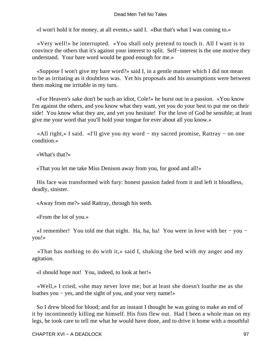«I won't hold it for money, at all events,» said I. «But that's what I was coming to.»

 «Very well!» he interrupted. «You shall only pretend to touch it. All I want is to convince the others that it's against your interest to split. Self−interest is the one motive they understand. Your bare word would be good enough for me.»

 «Suppose I won't give my bare word?» said I, in a gentle manner which I did not mean to be as irritating as it doubtless was. Yet his proposals and his assumptions were between them making me irritable in my turn.

 «For Heaven's sake don't be such an idiot, Cole!» he burst out in a passion. «You know I'm against the others, and you know what they want, yet you do your best to put me on their side! You know what they are, and yet you hesitate! For the love of God be sensible; at least give me your word that you'll hold your tongue for ever about all you know.»

 «All right,» I said. «I'll give you my word − my sacred promise, Rattray − on one condition.»

«What's that?»

«That you let me take Miss Denison away from you, for good and all!»

 His face was transformed with fury: honest passion faded from it and left it bloodless, deadly, sinister.

«Away from me?» said Rattray, through his teeth.

«From the lot of you.»

 «I remember! You told me that night. Ha, ha, ha! You were in love with her − you − you!»

 «That has nothing to do with it,» said I, shaking the bed with my anger and my agitation.

«I should hope not! You, indeed, to look at her!»

 «Well,» I cried, «she may never love me; but at least she doesn't loathe me as she loathes you − yes, and the sight of you, and your very name!»

 So I drew blood for blood; and for an instant I thought he was going to make an end of it by incontinently killing me himself. His fists flew out. Had I been a whole man on my legs, he took care to tell me what he would have done, and to drive it home with a mouthful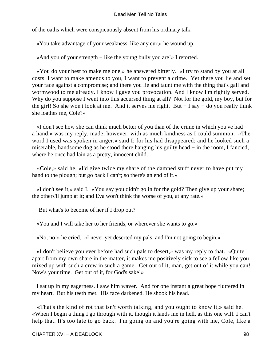of the oaths which were conspicuously absent from his ordinary talk.

«You take advantage of your weakness, like any cur,» he wound up.

«And you of your strength − like the young bully you are!» I retorted.

 «You do your best to make me one,» he answered bitterly. «I try to stand by you at all costs. I want to make amends to you, I want to prevent a crime. Yet there you lie and set your face against a compromise; and there you lie and taunt me with the thing that's gall and wormwood to me already. I know I gave you provocation. And I know I'm rightly served. Why do you suppose I went into this accursed thing at all? Not for the gold, my boy, but for the girl! So she won't look at me. And it serves me right. But − I say − do you really think she loathes me, Cole?»

 «I don't see how she can think much better of you than of the crime in which you've had a hand,» was my reply, made, however, with as much kindness as I could summon. «The word I used was spoken in anger,» said I; for his had disappeared; and he looked such a miserable, handsome dog as he stood there hanging his guilty head − in the room, I fancied, where he once had lain as a pretty, innocent child.

 «Cole,» said he, «I'd give twice my share of the damned stuff never to have put my hand to the plough; but go back I can't; so there's an end of it.»

 «I don't see it,» said I. «You say you didn't go in for the gold? Then give up your share; the others'll jump at it; and Eva won't think the worse of you, at any rate.»

"But what's to become of her if I drop out?

«You and I will take her to her friends, or wherever she wants to go.»

«No, no!» he cried. «I never yet deserted my pals, and I'm not going to begin.»

 «I don't believe you ever before had such pals to desert,» was my reply to that. «Quite apart from my own share in the matter, it makes me positively sick to see a fellow like you mixed up with such a crew in such a game. Get out of it, man, get out of it while you can! Now's your time. Get out of it, for God's sake!»

 I sat up in my eagerness. I saw him waver. And for one instant a great hope fluttered in my heart. But his teeth met. His face darkened. He shook his head.

 «That's the kind of rot that isn't worth talking, and you ought to know it,» said he. «When I begin a thing I go through with it, though it lands me in hell, as this one will. I can't help that. It's too late to go back. I'm going on and you're going with me, Cole, like a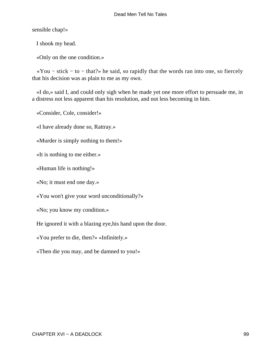sensible chap!»

I shook my head.

«Only on the one condition.»

 «You − stick − to − that?» he said, so rapidly that the words ran into one, so fiercely that his decision was as plain to me as my own.

 «I do,» said I, and could only sigh when he made yet one more effort to persuade me, in a distress not less apparent than his resolution, and not less becoming in him.

«Consider, Cole, consider!»

«I have already done so, Rattray.»

«Murder is simply nothing to them!»

«It is nothing to me either.»

«Human life is nothing!»

«No; it must end one day.»

«You won't give your word unconditionally?»

«No; you know my condition.»

He ignored it with a blazing eye,his hand upon the door.

«You prefer to die, then?» «Infinitely.»

«Then die you may, and be damned to you!»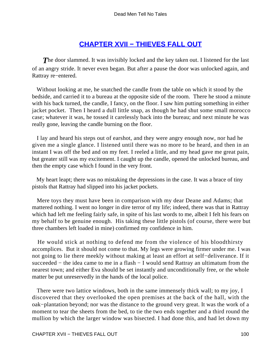# **[CHAPTER XVII − THIEVES FALL OUT](#page-131-0)**

**The door slammed.** It was invisibly locked and the key taken out. I listened for the last of an angry stride. It never even began. But after a pause the door was unlocked again, and Rattray re−entered.

 Without looking at me, he snatched the candle from the table on which it stood by the bedside, and carried it to a bureau at the opposite side of the room. There he stood a minute with his back turned, the candle, I fancy, on the floor. I saw him putting something in either jacket pocket. Then I heard a dull little snap, as though he had shut some small morocco case; whatever it was, he tossed it carelessly back into the bureau; and next minute he was really gone, leaving the candle burning on the floor.

 I lay and heard his steps out of earshot, and they were angry enough now, nor had he given me a single glance. I listened until there was no more to be heard, and then in an instant I was off the bed and on my feet. I reeled a little, and my head gave me great pain, but greater still was my excitement. I caught up the candle, opened the unlocked bureau, and then the empty case which I found in the very front.

 My heart leapt; there was no mistaking the depressions in the case. It was a brace of tiny pistols that Rattray had slipped into his jacket pockets.

 Mere toys they must have been in comparison with my dear Deane and Adams; that mattered nothing. I went no longer in dire terror of my life; indeed, there was that in Rattray which had left me feeling fairly safe, in spite of his last words to me, albeit I felt his fears on my behalf to be genuine enough. His taking these little pistols (of course, there were but three chambers left loaded in mine) confirmed my confidence in him.

 He would stick at nothing to defend me from the violence of his bloodthirsty accomplices. But it should not come to that. My legs were growing firmer under me. I was not going to lie there meekly without making at least an effort at self−deliverance. If it succeeded – the idea came to me in a flash – I would send Rattray an ultimatum from the nearest town; and either Eva should be set instantly and unconditionally free, or the whole matter be put unreservedly in the hands of the local police.

 There were two lattice windows, both in the same immensely thick wall; to my joy, I discovered that they overlooked the open premises at the back of the hall, with the oak−plantation beyond; nor was the distance to the ground very great. It was the work of a moment to tear the sheets from the bed, to tie the two ends together and a third round the mullion by which the larger window was bisected. I had done this, and had let down my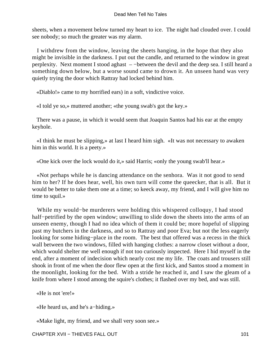sheets, when a movement below turned my heart to ice. The night had clouded over. I could see nobody; so much the greater was my alarm.

 I withdrew from the window, leaving the sheets hanging, in the hope that they also might be invisible in the darkness. I put out the candle, and returned to the window in great perplexity. Next moment I stood aghast – −between the devil and the deep sea. I still heard a something down below, but a worse sound came to drown it. An unseen hand was very quietly trying the door which Rattray had locked behind him.

«Diablo!» came to my horrified ears) in a soft, vindictive voice.

«I told ye so,» muttered another; «the young swab's got the key.»

 There was a pause, in which it would seem that Joaquin Santos had his ear at the empty keyhole.

 «I think he must be slipping,» at last I heard him sigh. «It was not necessary to awaken him in this world. It is a peety.»

«One kick over the lock would do it,» said Harris; «only the young swab'll hear.»

 «Not perhaps while he is dancing attendance on the senhora. Was it not good to send him to her? If he does hear, well, his own turn will come the queecker, that is all. But it would be better to take them one at a time; so keeck away, my friend, and I will give him no time to squil.»

 While my would−be murderers were holding this whispered colloquy, I had stood half−petrified by the open window; unwilling to slide down the sheets into the arms of an unseen enemy, though I had no idea which of them it could be; more hopeful of slipping past my butchers in the darkness, and so to Rattray and poor Eva; but not the less eagerly looking for some hiding−place in the room. The best that offered was a recess in the thick wall between the two windows, filled with hanging clothes: a narrow closet without a door, which would shelter me well enough if not too curiously inspected. Here I hid myself in the end, after a moment of indecision which nearly cost me my life. The coats and trousers still shook in front of me when the door flew open at the first kick, and Santos stood a moment in the moonlight, looking for the bed. With a stride he reached it, and I saw the gleam of a knife from where I stood among the squire's clothes; it flashed over my bed, and was still.

«He is not 'ere!»

«He heard us, and he's a−hiding.»

«Make light, my friend, and we shall very soon see.»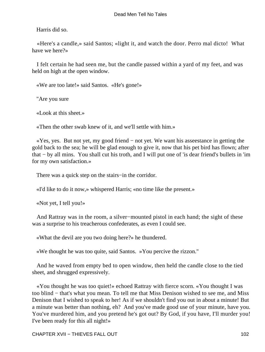Harris did so.

 «Here's a candle,» said Santos; «light it, and watch the door. Perro mal dicto! What have we here?»

 I felt certain he had seen me, but the candle passed within a yard of my feet, and was held on high at the open window.

«We are too late!» said Santos. «He's gone!»

"Are you sure

«Look at this sheet.»

«Then the other swab knew of it, and we'll settle with him.»

 «Yes, yes. But not yet, my good friend − not yet. We want his asseestance in getting the gold back to the sea; he will be glad enough to give it, now that his pet bird has flown; after that − by all mins. You shall cut his troth, and I will put one of 'is dear friend's bullets in 'im for my own satisfaction.»

There was a quick step on the stairs−in the corridor.

«I'd like to do it now,» whispered Harris; «no time like the present.»

«Not yet, I tell you!»

 And Rattray was in the room, a silver−mounted pistol in each hand; the sight of these was a surprise to his treacherous confederates, as even I could see.

«What the devil are you two doing here?» he thundered.

«We thought he was too quite, said Santos. »You percive the rizzon."

 And he waved from empty bed to open window, then held the candle close to the tied sheet, and shrugged expressively.

 «You thought he was too quiet!» echoed Rattray with fierce scorn. «You thought I was too blind − that's what you mean. To tell me that Miss Denison wished to see me, and Miss Denison that I wished to speak to her! As if we shouldn't find you out in about a minute! But a minute was better than nothing, eh? And you've made good use of your minute, have you. You've murdered him, and you pretend he's got out? By God, if you have, I'll murder you! I've been ready for this all night!»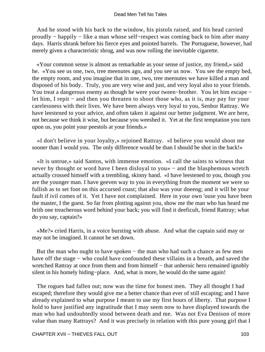And he stood with his back to the window, his pistols raised, and his head carried proudly − happily − like a man whose self−respect was coming back to him after many days. Harris shrank before his fierce eyes and pointed barrels. The Portuguese, however, had merely given a characteristic shrug, and was now rolling the inevitable cigarette.

 «Your common sense is almost as remarkable as your sense of justice, my friend,» said he. «You see us one, two, tree meenutes ago, and you see us now. You see the empty bed, the empty room, and you imagine that in one, two, tree meenutes we have killed a man and disposed of his body. Truly, you are very wise and just, and very loyal also to your friends. You treat a dangerous enemy as though he were your tween−brother. You let him escape − let him, I repit − and then you threaten to shoot those who, as it is, may pay for your carelessness with their lives. We have been always very loyal to you, Senhor Rattray. We have leestened to your advice, and often taken it against our better judgment. We are here, not because we think it wise, but because you weeshed it. Yet at the first temptation you turn upon us, you point your peestols at your friends.»

 «I don't believe in your loyalty,» rejoined Rattray. «I believe you would shoot me sooner than I would you. The only difference would be than I should be shot in the back!»

 «It is untrue,» said Santos, with immense emotion. «I call the saints to witness that never by thought or word have I been disloyal to you» − and the blasphemous wretch actually crossed himself with a trembling, skinny hand. «I have leestened to you, though you are the younger man. I have geeven way to you in everything from the moment we were so fullish as to set foot on this accursed coast; that also was your doeeng; and it will be your fault if ivil comes of it. Yet I have not complained. Here in your own 'ouse you have been the master, I the guest. So far from plotting against you, show me the man who has heard me brith one treacherous word behind your back; you will find it deeficult, friend Rattray; what do you say, captain?»

 «Me?» cried Harris, in a voice bursting with abuse. And what the captain said may or may not be imagined. It cannot be set down.

 But the man who ought to have spoken − the man who had such a chance as few men have off the stage − who could have confounded these villains in a breath, and saved the wretched Rattray at once from them and from himself – that unheroic hero remained ignobly silent in his homely hiding−place. And, what is more, he would do the same again!

 The rogues had fallen out; now was the time for honest men. They all thought I had escaped; therefore they would give me a better chance than ever of still escaping; and I have already explained to what purpose I meant to use my first hours of liberty. That purpose I hold to have justified any ingratitude that I may seem now to have displayed towards the man who had undoubtedly stood between death and me. Was not Eva Denison of more value than many Rattrays? And it was precisely in relation with this pure young girl that I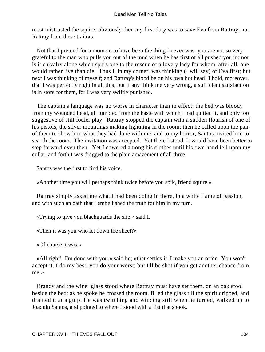most mistrusted the squire: obviously then my first duty was to save Eva from Rattray, not Rattray from these traitors.

 Not that I pretend for a moment to have been the thing I never was: you are not so very grateful to the man who pulls you out of the mud when he has first of all pushed you in; nor is it chivalry alone which spurs one to the rescue of a lovely lady for whom, after all, one would rather live than die. Thus I, in my corner, was thinking (I will say) of Eva first; but next I was thinking of myself; and Rattray's blood be on his own hot head! I hold, moreover, that I was perfectly right in all this; but if any think me very wrong, a sufficient satisfaction is in store for them, for I was very swiftly punished.

 The captain's language was no worse in character than in effect: the bed was bloody from my wounded head, all tumbled from the haste with which I had quitted it, and only too suggestive of still fouler play. Rattray stopped the captain with a sudden flourish of one of his pistols, the silver mountings making lightning in the room; then he called upon the pair of them to show him what they had done with me; and to my horror, Santos invited him to search the room. The invitation was accepted. Yet there I stood. It would have been better to step forward even then. Yet I cowered among his clothes until his own hand fell upon my collar, and forth I was dragged to the plain amazement of all three.

Santos was the first to find his voice.

«Another time you will perhaps think twice before you spik, friend squire.»

 Rattray simply asked me what I had been doing in there, in a white flame of passion, and with such an oath that I embellished the truth for him in my turn.

«Trying to give you blackguards the slip,» said I.

«Then it was you who let down the sheet?»

«Of course it was.»

 «All right! I'm done with you,» said he; «that settles it. I make you an offer. You won't accept it. I do my best; you do your worst; but I'll be shot if you get another chance from me!»

 Brandy and the wine−glass stood where Rattray must have set them, on an oak stool beside the bed; as he spoke he crossed the room, filled the glass till the spirit dripped, and drained it at a gulp. He was twitching and wincing still when he turned, walked up to Joaquin Santos, and pointed to where I stood with a fist that shook.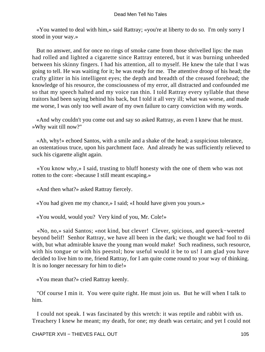«You wanted to deal with him,» said Rattray; «you're at liberty to do so. I'm only sorry I stood in your way.»

 But no answer, and for once no rings of smoke came from those shrivelled lips: the man had rolled and lighted a cigarette since Rattray entered, but it was burning unheeded between his skinny fingers. I had his attention, all to myself. He knew the tale that I was going to tell. He was waiting for it; he was ready for me. The attentive droop of his head; the crafty glitter in his intelligent eyes; the depth and breadth of the creased forehead; the knowledge of his resource, the consciousness of my error, all distracted and confounded me so that my speech halted and my voice ran thin. I told Rattray every syllable that these traitors had been saying behind his back, but I told it all very ill; what was worse, and made me worse, I was only too well aware of my own failure to carry conviction with my words.

 «And why couldn't you come out and say so asked Rattray, as even I knew that he must. »Why wait till now?"

 «Ah, why!» echoed Santos, with a smile and a shake of the head; a suspicious tolerance, an ostentatious truce, upon his parchment face. And already he was sufficiently relieved to suck his cigarette alight again.

 «You know why,» I said, trusting to bluff honesty with the one of them who was not rotten to the core: «because I still meant escaping.»

«And then what?» asked Rattray fiercely.

«You had given me my chance,» I said; «I hould have given you yours.»

«You would, would you? Very kind of you, Mr. Cole!»

 «No, no,» said Santos; «not kind, but clever! Clever, spicious, and queeck−weeted beyond belif! Senhor Rattray, we have all been in the dark; we thought we had fool to dii with, but what admirable knave the young man would make! Such readiness, such resource, with his tongue or with his peestol; how useful would it be to us! I am glad you have decided to live him to me, friend Rattray, for I am quite come round to your way of thinking. It is no longer necessary for him to die!»

«You mean that?» cried Rattray keenly.

 "Of course I min it. You were quite right. He must join us. But he will when I talk to him.

 I could not speak. I was fascinated by this wretch: it was reptile and rabbit with us. Treachery I knew he meant; my death, for one; my death was certain; and yet I could not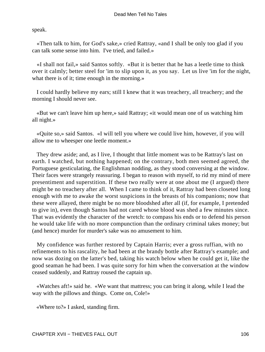speak.

 «Then talk to him, for God's sake,» cried Rattray, «and I shall be only too glad if you can talk some sense into him. I've tried, and failed.»

 «I shall not fail,» said Santos softly. «But it is better that he has a leetle time to think over it calmly; better steel for 'im to slip upon it, as you say. Let us live 'im for the night, what there is of it; time enough in the morning.»

 I could hardly believe my ears; still I knew that it was treachery, all treachery; and the morning I should never see.

 «But we can't leave him up here,» said Rattray; «it would mean one of us watching him all night.»

 «Quite so,» said Santos. «I will tell you where we could live him, however, if you will allow me to wheesper one leetle moment.»

 They drew aside; and, as I live, I thought that little moment was to be Rattray's last on earth. I watched, but nothing happened; on the contrary, both men seemed agreed, the Portuguese gesticulating, the Englishman nodding, as they stood conversing at the window. Their faces were strangely reassuring. I began to reason with myself, to rid my mind of mere presentiment and superstition. If these two really were at one about me (I argued) there might be no treachery after all. When I came to think of it, Rattray had been closeted long enough with me to awake the worst suspicions in the breasts of his companions; now that these were allayed, there might be no more bloodshed after all (if, for example, I pretended to give in), even though Santos had not cared whose blood was shed a few minutes since. That was evidently the character of the wretch: to compass his ends or to defend his person he would take life with no more compunction than the ordinary criminal takes money; but (and hence) murder for murder's sake was no amusement to him.

 My confidence was further restored by Captain Harris; ever a gross ruffian, with no refinements to his rascality, he had been at the brandy bottle after Rattray's example; and now was dozing on the latter's bed, taking his watch below when he could get it, like the good seaman he had been. I was quite sorry for him when the conversation at the window ceased suddenly, and Rattray roused the captain up.

 «Watches aft!» said he. «We want that mattress; you can bring it along, while I lead the way with the pillows and things. Come on, Cole!»

«Where to?» I asked, standing firm.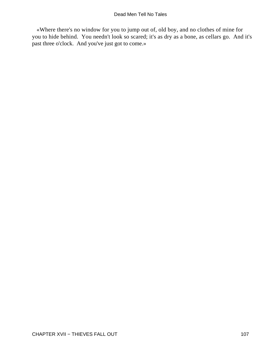«Where there's no window for you to jump out of, old boy, and no clothes of mine for you to hide behind. You needn't look so scared; it's as dry as a bone, as cellars go. And it's past three o'clock. And you've just got to come.»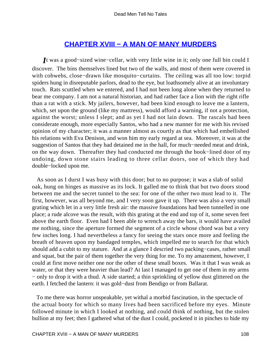### **[CHAPTER XVIII − A MAN OF MANY MURDERS](#page-131-0)**

<span id="page-108-0"></span>*I*t was a good−sized wine−cellar, with very little wine in it; only one full bin could I discover. The bins themselves lined but two of the walls, and most of them were covered in with cobwebs, close−drawn like mosquito−curtains. The ceiling was all too low: torpid spiders hung in disreputable parlors, dead to the eye, but loathsomely alive at an involuntary touch. Rats scuttled when we entered, and I had not been long alone when they returned to bear me company. I am not a natural historian, and had rather face a lion with the right rifle than a rat with a stick. My jailers, however, had been kind enough to leave me a lantern, which, set upon the ground (like my mattress), would afford a warning, if not a protection, against the worst; unless I slept; and as yet I had not lain down. The rascals had been considerate enough, more especially Santos, who had a new manner for me with his revised opinion of my character; it was a manner almost as courtly as that which had embellished his relations with Eva Denison, and won him my early regard at sea. Moreover, it was at the suggestion of Santos that they had detained me in the hall, for much−needed meat and drink, on the way down. Thereafter they had conducted me through the book−lined door of my undoing, down stone stairs leading to three cellar doors, one of which they had double−locked upon me.

 As soon as I durst I was busy with this door; but to no purpose; it was a slab of solid oak, hung on hinges as massive as its lock. It galled me to think that but two doors stood between me and the secret tunnel to the sea: for one of the other two must lead to it. The first, however, was all beyond me, and I very soon gave it up. There was also a very small grating which let in a very little fresh air: the massive foundations had been tunnelled in one place; a rude alcove was the result, with this grating at the end and top of it, some seven feet above the earth floor. Even had I been able to wrench away the bars, it would have availed me nothing, since the aperture formed the segment of a circle whose chord was but a very few inches long. I had nevertheless a fancy for seeing the stars once more and feeling the breath of heaven upon my bandaged temples, which impelled me to search for that which should add a cubit to my stature. And at a glance I descried two packing−cases, rather small and squat, but the pair of them together the very thing for me. To my amazement, however, I could at first move neither one nor the other of these small boxes. Was it that I was weak as water, or that they were heavier than lead? At last I managed to get one of them in my arms − only to drop it with a thud. A side started; a thin sprinkling of yellow dust glittered on the earth. I fetched the lantern: it was gold−dust from Bendigo or from Ballarat.

 To me there was horror unspeakable, yet withal a morbid fascination, in the spectacle of the actual booty for which so many lives had been sacrificed before my eyes. Minute followed minute in which I looked at nothing, and could think of nothing, but the stolen bullion at my feet; then I gathered what of the dust I could, pocketed it in pinches to hide my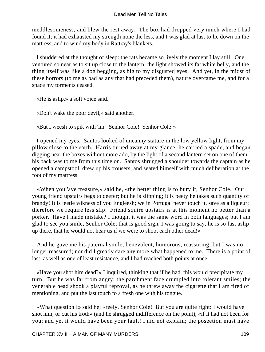meddlesomeness, and blew the rest away. The box had dropped very much where I had found it; it had exhausted my strength none the less, and I was glad at last to lie down on the mattress, and to wind my body in Rattray's blankets.

 I shuddered at the thought of sleep: the rats became so lively the moment I lay still. One ventured so near as to sit up close to the lantern; the light showed its fat white belly, and the thing itself was like a dog begging, as big to my disgusted eyes. And yet, in the midst of these horrors (to me as bad as any that had preceded them), nature overcame me, and for a space my torments ceased.

«He is aslip,» a soft voice said.

«Don't wake the poor devil,» said another.

«But I weesh to spik with 'im. Senhor Cole! Senhor Cole!»

 I opened my eyes. Santos looked of uncanny stature in the low yellow light, from my pillow close to the earth. Harris turned away at my glance; he carried a spade, and began digging near the boxes without more ado, by the light of a second lantern set on one of them: his back was to me from this time on. Santos shrugged a shoulder towards the captain as he opened a campstool, drew up his trousers, and seated himself with much deliberation at the foot of my mattress.

 «When you 'ave treasure,» said he, «the better thing is to bury it, Senhor Cole. Our young friend upstairs begs to deefer; but he is slipping; it is peety he takes such quantity of brandy! It is leetle wikness of you Engleesh; we in Portugal never touch it, save as a liqueur; therefore we require less slip. Friend squire upstairs is at this moment no better than a porker. Have I made mistake? I thought it was the same word in both languages; but I am glad to see you smile, Senhor Cole; that is good sign. I was going to say, he is so fast aslip up there, that he would not hear us if we were to shoot each other dead!»

 And he gave me his paternal smile, benevolent, humorous, reassuring; but I was no longer reassured; nor did I greatly care any more what happened to me. There is a point of last, as well as one of least resistance, and I had reached both points at once.

 «Have you shot him dead?» I inquired, thinking that if he had, this would precipitate my turn. But he was far from angry; the parchment face crumpled into tolerant smiles; the venerable head shook a playful reproval, as he threw away the cigarette that I am tired of mentioning, and put the last touch to a fresh one with his tongue.

 «What question I» said he; «reely, Senhor Cole! But you are quite right: I would have shot him, or cut his troth» (and he shrugged indifference on the point), «if it had not been for you; and yet it would have been your fault! I nid not explain; the poseetion must have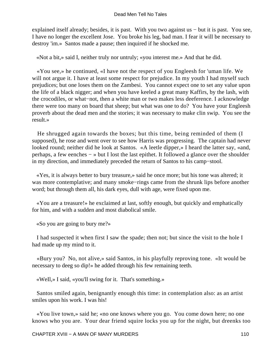explained itself already; besides, it is past. With you two against us − but it is past. You see, I have no longer the excellent Jose. You broke his leg, bad man. I fear it will be necessary to destroy 'im.» Santos made a pause; then inquired if he shocked me.

«Not a bit,» said I, neither truly nor untruly; «you interest me.» And that he did.

 «You see,» he continued, «I have not the respect of you Engleesh for 'uman life. We will not argue it. I have at least some respect for prejudice. In my youth I had myself such prejudices; but one loses them on the Zambesi. You cannot expect one to set any value upon the life of a black nigger; and when you have keeled a great many Kaffirs, by the lash, with the crocodiles, or what−not, then a white man or two makes less deeference. I acknowledge there were too many on board that sheep; but what was one to do? You have your Engleesh proverb about the dead men and the stories; it was necessary to make clin swip. You see the result.»

 He shrugged again towards the boxes; but this time, being reminded of them (I supposed), he rose and went over to see how Harris was progressing. The captain had never looked round; neither did he look at Santos. «A leetle dipper,» I heard the latter say, «and, perhaps, a few eenches − » but I lost the last epithet. It followed a glance over the shoulder in my direction, and immediately preceded the return of Santos to his camp−stool.

 «Yes, it is always better to bury treasure,» said he once more; but his tone was altered; it was more contemplative; and many smoke−rings came from the shrunk lips before another word; but through them all, his dark eyes, dull with age, were fixed upon me.

 «You are a treasure!» he exclaimed at last, softly enough, but quickly and emphatically for him, and with a sudden and most diabolical smile.

«So you are going to bury me?»

 I had suspected it when first I saw the spade; then not; but since the visit to the hole I had made up my mind to it.

 «Bury you? No, not alive,» said Santos, in his playfully reproving tone. «It would be necessary to deeg so dip!» he added through his few remaining teeth.

«WeIl,» I said, «you'll swing for it. That's something.»

 Santos smiled again, benignantly enough this time: in contemplation also: as an artist smiles upon his work. I was his!

 «You live town,» said he; «no one knows where you go. You come down here; no one knows who you are. Your dear friend squire locks you up for the night, but dreenks too

CHAPTER XVIII – A MAN OF MANY MURDERS 110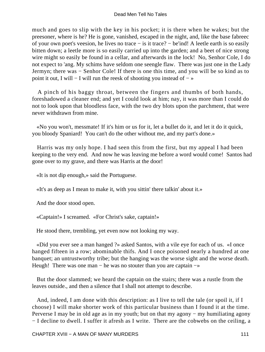much and goes to slip with the key in his pocket; it is there when he wakes; but the preesoner, where is he? He is gone, vanished, escaped in the night, and, like the base fabreec of your own poet's veesion, he lives no trace − is it trace? − be'ind! A leetle earth is so easily bitten down; a leetle more is so easily carried up into the garden; and a beet of nice strong wire might so easily be found in a cellar, and afterwards in the lock! No, Senhor Cole, I do not expect to 'ang. My schims have seldom one seengle flaw. There was just one in the Lady Jermyn; there was − Senhor Cole! If there is one this time, and you will be so kind as to point it out, I will − I will run the reesk of shooting you instead of  $-\infty$ 

 A pinch of his baggy throat, between the fingers and thumbs of both hands, foreshadowed a cleaner end; and yet I could look at him; nay, it was more than I could do not to look upon that bloodless face, with the two dry blots upon the parchment, that were never withdrawn from mine.

 «No you won't, messmate! If it's him or us for it, let a bullet do it, and let it do it quick, you bloody Spaniard! You can't do the other without me, and my part's done.»

 Harris was my only hope. I had seen this from the first, but my appeal I had been keeping to the very end. And now he was leaving me before a word would come! Santos had gone over to my grave, and there was Harris at the door!

«It is not dip enough,» said the Portuguese.

«It's as deep as I mean to make it, with you sittin' there talkin' about it.»

And the door stood open.

«Captain!» I screamed. «For Christ's sake, captain!»

He stood there, trembling, yet even now not looking my way.

 «Did you ever see a man hanged ?» asked Santos, with a vile eye for each of us. «I once hanged fifteen in a row; abominable thifs. And I once poisoned nearly a hundred at one banquet; an untrustworthy tribe; but the hanging was the worse sight and the worse death. Heugh! There was one man – he was no stouter than you are captain –»

 But the door slammed; we heard the captain on the stairs; there was a rustle from the leaves outside., and then a silence that I shall not attempt to describe.

 And, indeed, I am done with this description: as I live to tell the tale (or spoil it, if I choose) I will make shorter work of this particular business than I found it at the time. Perverse I may be in old age as in my youth; but on that my agony − my humiliating agony − I decline to dwell. I suffer it afresh as I write. There are the cobwebs on the ceiling, a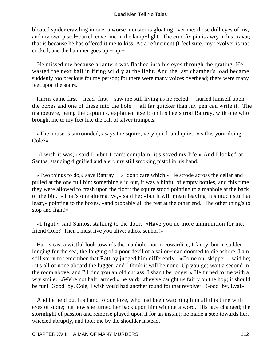bloated spider crawling in one: a worse monster is gloating over me: those dull eyes of his, and my own pistol−barrel, cover me in the lamp−light. The crucifix pin is awry in his cravat; that is because he has offered it me to kiss. As a refinement (I feel sure) my revolver is not cocked; and the hammer goes up − up −

 He missed me because a lantern was flashed into his eyes through the grating. He wasted the next ball in firing wildly at the light. And the last chamber's load became suddenly too precious for my person; for there were many voices overhead; there were many feet upon the stairs.

 Harris came first − head−first − saw me still living as he reeled − hurled himself upon the boxes and one of these into the hole − all far quicker than my pen can write it. The manoeuvre, being the captain's, explained itself: on his heels trod Rattray, with one who brought me to my feet like the call of silver trumpets.

 «The house is surrounded,» says the squire, very quick and quiet; «is this your doing, Cole?»

 «I wish it was,» said I; «but I can't complain; it's saved my life.» And I looked at Santos, standing dignified and alert, my still smoking pistol in his hand.

 «Two things to do,» says Rattray − «I don't care which.» He strode across the cellar and pulled at the one full bin; something slid out, it was a binful of empty bottles, and this time they were allowed to crash upon the floor; the squire stood pointing to a manhole at the back of the bin. «That's one alternative,» said he; «but it will mean leaving this much stuff at least,» pointing to the boxes, «and probably all the rest at the other end. The other thing's to stop and fight!»

 «I fight,» said Santos, stalking to the door. «Have you no more ammunition for me, friend Cole? Then I must live you alive; adios, senhor!»

 Harris cast a wistful look towards the manhole, not in cowardice, I fancy, but in sudden longing for the sea, the longing of a poor devil of a sailor−man doomed to die ashore. I am still sorry to remember that Rattray judged him differently. «Come on, skipper,» said he; «it's all or none aboard the lugger, and I think it will be none. Up you go; wait a second in the room above, and I'll find you an old cutlass. I shan't be longer.» He turned to me with a wry smile. «We're not half−armed,» he said; «they've caught us fairly on the hop; it should be fun! Good−by, Cole; I wish you'd had another round for that revolver. Good−by, Eva!»

 And he held out his hand to our love, who had been watching him all this time with eyes of stone; but now she turned her back upon him without a word. His face changed; the stormlight of passion and remorse played upon it for an instant; he made a step towards her, wheeled abruptly, and took me by the shoulder instead.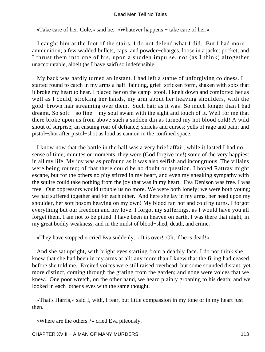«Take care of her, Cole,» said he. «Whatever happens − take care of her.»

 I caught him at the foot of the stairs. I do not defend what I did. But I had more ammunition; a few wadded bullets, caps, and powder−charges, loose in a jacket pocket; and I thrust them into one of his, upon a sudden impulse, not (as I think) altogether unaccountable, albeit (as I have said) so indefensible.

 My back was hardly turned an instant. I had left a statue of unforgiving coldness. I started round to catch in my arms a half−fainting, grief−stricken form, shaken with sobs that it broke my heart to hear. I placed her on the camp−stool. I knelt down and comforted her as well as I could, stroking her hands, my arm about her heaving shoulders, with the gold−brown hair streaming over them. Such hair as it was! So much longer than I had dreamt. So soft − so fine − my soul swam with the sight and touch of it. Well for me that there broke upon us from above such a sudden din as turned my hot blood cold! A wild shout of surprise; an ensuing roar of defiance; shrieks and curses; yells of rage and pain; and pistol−shot after pistol−shot as loud as cannon in the confined space.

 I know now that the battle in the hall was a very brief affair; while it lasted I had no sense of time; minutes or moments, they were (God forgive me!) some of the very happiest in all my life. My joy was as profound as it was also selfish and incongruous. The villains were being routed; of that there could be no doubt or question. I hoped Rattray might escape, but for the others no pity stirred in my heart, and even my sneaking sympathy with the squire could take nothing from the joy that was in my heart. Eva Denison was free. I was free. Our oppressors would trouble us no more. We were both lonely; we were both young; we had suffered together and for each other. And here she lay in my arms, her head upon my shoulder, her soft bosom heaving on my own! My blood ran hot and cold by turns. I forgot everything but our freedom and my love. I forgot my sufferings, as I would have you all forget them. I am not to be pitied. I have been in heaven on earth. I was there that night, in my great bodily weakness, and in the midst of blood−shed, death, and crime.

«They have stopped!» cried Eva suddenly. «It is over! Oh, if he is dead!»

 And she sat upright, with bright eyes starting from a deathly face. I do not think she knew that she had been in my arms at all: any more than I knew that the firing had ceased before she told me. Excited voices were still raised overhead; but some sounded distant, yet more distinct, coming through the grating from the garden; and none were voices that we knew. One poor wretch, on the other hand, we heard plainly groaning to his death; and we looked in each other's eyes with the same thought.

 «That's Harris,» said I, with, I fear, but little compassion in my tone or in my heart just then.

«Where are the others ?» cried Eva piteously.

CHAPTER XVIII – A MAN OF MANY MURDERS 113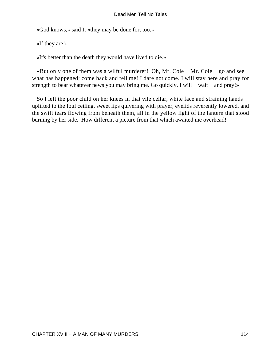«God knows,» said I; «they may be done for, too.»

«If they are!»

«It's better than the death they would have lived to die.»

 «But only one of them was a wilful murderer! Oh, Mr. Cole − Mr. Cole − go and see what has happened; come back and tell me! I dare not come. I will stay here and pray for strength to bear whatever news you may bring me. Go quickly. I will – wait – and pray!»

 So I left the poor child on her knees in that vile cellar, white face and straining hands uplifted to the foul ceiling, sweet lips quivering with prayer, eyelids reverently lowered, and the swift tears flowing from beneath them, all in the yellow light of the lantern that stood burning by her side. How different a picture from that which awaited me overhead!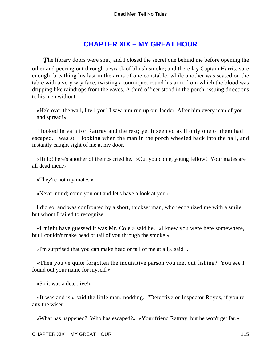## **[CHAPTER XIX − MY GREAT HOUR](#page-131-0)**

<span id="page-115-0"></span>**The library doors were shut, and I closed the secret one behind me before opening the** other and peering out through a wrack of bluish smoke; and there lay Captain Harris, sure enough, breathing his last in the arms of one constable, while another was seated on the table with a very wry face, twisting a tourniquet round his arm, from which the blood was dripping like raindrops from the eaves. A third officer stood in the porch, issuing directions to his men without.

 «He's over the wall, I tell you! I saw him run up our ladder. After him every man of you − and spread!»

 I looked in vain for Rattray and the rest; yet it seemed as if only one of them had escaped. I was still looking when the man in the porch wheeled back into the hall, and instantly caught sight of me at my door.

 «Hillo! here's another of them,» cried he. «Out you come, young fellow! Your mates are all dead men.»

«They're not my mates.»

«Never mind; come you out and let's have a look at you.»

 I did so, and was confronted by a short, thickset man, who recognized me with a smile, but whom I failed to recognize.

 «I might have guessed it was Mr. Cole,» said he. «I knew you were here somewhere, but I couldn't make head or tail of you through the smoke.»

«I'm surprised that you can make head or tail of me at all,» said I.

 «Then you've quite forgotten the inquisitive parson you met out fishing? You see I found out your name for myself!»

«So it was a detective!»

 «It was and is,» said the little man, nodding. "Detective or Inspector Royds, if you're any the wiser.

«What has happened? Who has escaped?» «Your friend Rattray; but he won't get far.»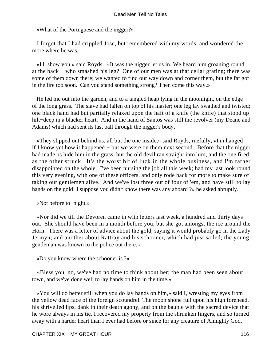«What of the Portuguese and the nigger?»

 I forgot that I had crippled Jose, but remembered with my words, and wondered the more where he was.

 «I'll show you,» said Royds. «It was the nigger let us in. We heard him groaning round at the back − who smashed his leg? One of our men was at that cellar grating; there was some of them down there; we wanted to find our way down and corner them, but the fat got in the fire too soon. Can you stand something strong? Then come this way.»

 He led me out into the garden, and to a tangled heap lying in the moonlight, on the edge of the long grass. The slave had fallen on top of his master; one leg lay swathed and twisted; one black hand had but partially relaxed upon the haft of a knife (the knife) that stood up hilt−deep in a blacker heart. And in the hand of Santos was still the revolver (my Deane and Adams) which had sent its last ball through the nigger's body.

 «They slipped out behind us, all but the one inside,» said Royds, ruefully; «I'm hanged if I know yet how it happened − but we were on them next second. Before that the nigger had made us hide him in the grass, but the old devil ran straight into him, and the one fired as the other struck. It's the worst bit of luck in the whole business, and I'm rather disappointed on the whole. I've been nursing the job all this week; had my last look round this very evening, with one of these officers, and only rode back for more to make sure of taking our gentlemen alive. And we've lost three out of four of 'em, and have still to lay hands on the gold! I suppose you didn't know there was any aboard ?» he asked abruptly.

«Not before to−night.»

 «Nor did we till the Devoren came in with letters last week, a hundred and thirty days out. She should have been in a month before you, but she got amongst the ice around the Horn. There was a letter of advice about the gold, saying it would probably go in the Lady Jermyn; and another about Rattray and his schooner, which had just sailed; the young gentleman was known to the police out there.»

«Do you know where the schooner is ?»

 «Bless you, no, we've had no time to think about her; the man had been seen about town, and we've done well to lay hands on him in the time.»

 «You will do better still when you do lay hands on him,» said I, wresting my eyes from the yellow dead face of the foreign scoundrel. The moon shone full upon his high forehead, his shrivelled lips, dank in their death agony, and on the bauble with the sacred device that he wore always in his tie. I recovered my property from the shrunken fingers, and so turned away with a harder heart than I ever had before or since for any creature of Almighty God.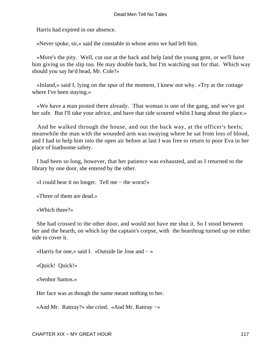Harris had expired in our absence.

«Never spoke, sir,» said the constable in whose arms we had left him.

 «More's the pity. Well, cut out at the back and help land the young gent, or we'll have him giving us the slip too. He may double back, but I'm watching out for that. Which way should you say he'd head, Mr. Cole?»

 «Inland,» said I, lying on the spur of the moment, I knew not why. «Try at the cottage where I've been staying.»

 «We have a man posted there already. That woman is one of the gang, and we've got her safe. But I'll take your advice, and have that side scoured whilst I hang about the place.»

 And he walked through the house, and out the back way, at the officer's heels; meanwhile the man with the wounded arm was swaying where he sat from loss of blood, and I had to help him into the open air before at last I was free to return to poor Eva in her place of loathsome safety.

 I had been so long, however, that her patience was exhausted, and as I returned to the library by one door, she entered by the other.

«I could bear it no longer. Tell me − the worst!»

«Three of them are dead.»

«Which three?»

 She had crossed to the other door, and would not have me shut it. So I stood between her and the hearth, on which lay the captain's corpse, with the hearthrug turned up on either side to cover it.

«Harris for one,» said I. «Outside lie Jose and − »

«Quick! Quick!»

«Senhor Santos.»

Her face was as though the name meant nothing to her.

«And Mr. Rattray?» she cried. «And Mr. Rattray −»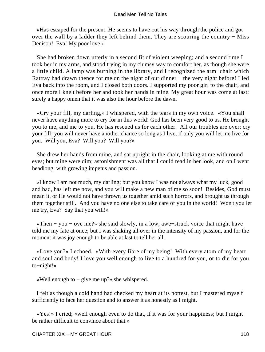«Has escaped for the present. He seems to have cut his way through the police and got over the wall by a ladder they left behind them. They are scouring the country − Miss Denison! Eva! My poor love!»

 She had broken down utterly in a second fit of violent weeping; and a second time I took her in my arms, and stood trying in my clumsy way to comfort her, as though she were a little child. A lamp was burning in the library, and I recognized the arm−chair which Rattray had drawn thence for me on the night of our dinner − the very night before! I led Eva back into the room, and I closed both doors. I supported my poor girl to the chair, and once more I knelt before her and took her hands in mine. My great hour was come at last: surely a happy omen that it was also the hour before the dawn.

 «Cry your fill, my darling,» I whispered, with the tears in my own voice. «You shall never have anything more to cry for in this world! God has been very good to us. He brought you to me, and me to you. He has rescued us for each other. All our troubles are over; cry your fill; you will never have another chance so long as I live, if only you will let me live for you. Will you, Eva? Will you? Will you?»

 She drew her hands from mine, and sat upright in the chair, looking at me with round eyes; but mine were dim; astonishment was all that I could read in her look, and on I went headlong, with growing impetus and passion.

 «I know I am not much, my darling; but you know I was not always what my luck, good and bad, has left me now, and you will make a new man of me so soon! Besides, God must mean it, or He would not have thrown us together amid such horrors, and brought us through them together still. And you have no one else to take care of you in the world! Won't you let me try, Eva? Say that you will!»

 «Then − you − ove me?» she said slowly, in a low, awe−struck voice that might have told me my fate at once; but I was shaking all over in the intensity of my passion, and for the moment it was joy enough to be able at last to tell her all.

 «Love you?» I echoed. «With every fibre of my being! With every atom of my heart and soul and body! I love you well enough to live to a hundred for you, or to die for you to−night!»

«Well enough to − give me up?» she whispered.

 I felt as though a cold hand had checked my heart at its hottest, but I mastered myself sufficiently to face her question and to answer it as honestly as I might.

 «Yes!» I cried; «well enough even to do that, if it was for your happiness; but I might be rather difficult to convince about that.»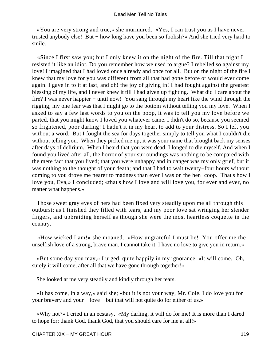«You are very strong and true,» she murmured. «Yes, I can trust you as I have never trusted anybody else! But − how long have you been so foolish?» And she tried very hard to smile.

 «Since I first saw you; but I only knew it on the night of the fire. Till that night I resisted it like an idiot. Do you remember how we used to argue? I rebelled so against my love! I imagined that I had loved once already and once for all. But on the night of the fire I knew that my love for you was different from all that had gone before or would ever come again. I gave in to it at last, and oh! the joy of giving in! I had fought against the greatest blessing of my life, and I never knew it till I had given up fighting. What did I care about the fire? I was never happier – until now! You sang through my heart like the wind through the rigging; my one fear was that I might go to the bottom without telling you my love. When I asked to say a few last words to you on the poop, it was to tell you my love before we parted, that you might know I loved you whatever came. I didn't do so, because you seemed so frightened, poor darling! I hadn't it in my heart to add to your distress. So I left you without a word. But I fought the sea for days together simply to tell you what I couldn't die without telling you. When they picked me up, it was your name that brought back my senses after days of delirium. When I heard that you were dead, I longed to die myself. And when I found you lived after all, the horror of your surroundings was nothing to be compared with the mere fact that you lived; that you were unhappy and in danger was my only grief, but it was nothing to the thought of your death; and that I had to wait twenty−four hours without coming to you drove me nearer to madness than ever I was on the hen−coop. That's how I love you, Eva,» I concluded; «that's how I love and will love you, for ever and ever, no matter what happens.»

 Those sweet gray eyes of hers had been fixed very steadily upon me all through this outburst; as I finished they filled with tears, and my poor love sat wringing her slender fingers, and upbraiding herself as though she were the most heartless coquette in the country.

 «How wicked I am!» she moaned. «How ungrateful I must be! You offer me the unselfish love of a strong, brave man. I cannot take it. I have no love to give you in return.»

 «But some day you may,» I urged, quite happily in my ignorance. «It will come. Oh, surely it will come, after all that we have gone through together!»

She looked at me very steadily and kindly through her tears.

 «It has come, in a way,» said she; «but it is not your way, Mr. Cole. I do love you for your bravery and your − love − but that will not quite do for either of us.»

 «Why not?» I cried in an ecstasy. «My darling, it will do for me! It is more than I dared to hope for; thank God, thank God, that you should care for me at all!»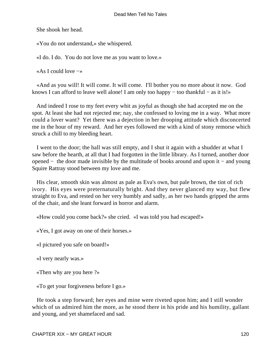She shook her head.

«You do not understand,» she whispered.

«I do. I do. You do not love me as you want to love.»

«As I could love −»

 «And as you will! It will come. It will come. I'll bother you no more about it now. God knows I can afford to leave well alone! I am only too happy − too thankful − as it is!»

 And indeed I rose to my feet every whit as joyful as though she had accepted me on the spot. At least she had not rejected me; nay, she confessed to loving me in a way. What more could a lover want? Yet there was a dejection in her drooping attitude which disconcerted me in the hour of my reward. And her eyes followed me with a kind of stony remorse which struck a chill to my bleeding heart.

 I went to the door; the hall was still empty, and I shut it again with a shudder at what I saw before the hearth, at all that I had forgotten in the little library. As I turned, another door opened − the door made invisible by the multitude of books around and upon it − and young Squire Rattray stood between my love and me.

 His clear, smooth skin was almost as pale as Eva's own, but pale brown, the tint of rich ivory. His eyes were preternaturally bright. And they never glanced my way, but flew straight to Eva, and rested on her very humbly and sadly, as her two hands gripped the arms of the chair, and she leant forward in horror and alarm.

«How could you come back?» she cried. «I was told you had escaped!»

«Yes, I got away on one of their horses.»

«I pictured you safe on board!»

«I very nearly was.»

«Then why are you here ?»

«To get your forgiveness before I go.»

 He took a step forward; her eyes and mine were riveted upon him; and I still wonder which of us admired him the more, as he stood there in his pride and his humility, gallant and young, and yet shamefaced and sad.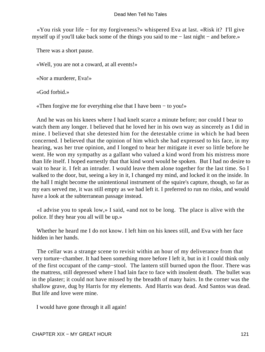«You risk your life − for my forgiveness?» whispered Eva at last. «Risk it? I'll give myself up if you'll take back some of the things you said to me − last night − and before.»

There was a short pause.

«Well, you are not a coward, at all events!»

«Nor a murderer, Eva!»

«God forbid.»

«Then forgive me for everything else that I have been − to you!»

 And he was on his knees where I had knelt scarce a minute before; nor could I bear to watch them any longer. I believed that he loved her in his own way as sincerely as I did in mine. I believed that she detested him for the detestable crime in which he had been concerned. I believed that the opinion of him which she had expressed to his face, in my hearing, was her true opinion, and I longed to hear her mitigate it ever so little before he went. He won my sympathy as a gallant who valued a kind word from his mistress more than life itself. I hoped earnestly that that kind word would be spoken. But I had no desire to wait to hear it. I felt an intruder. I would leave them alone together for the last time. So I walked to the door, but, seeing a key in it, I changed my mind, and locked it on the inside. In the hall I might become the unintentional instrument of the squire's capture, though, so far as my ears served me, it was still empty as we had left it. I preferred to run no risks, and would have a look at the subterranean passage instead.

 «I advise you to speak low,» I said, «and not to be long. The place is alive with the police. If they hear you all will be up.»

 Whether he heard me I do not know. I left him on his knees still, and Eva with her face hidden in her hands.

 The cellar was a strange scene to revisit within an hour of my deliverance from that very torture−chamber. It had been something more before I left it, but in it I could think only of the first occupant of the camp−stool. The lantern still burned upon the floor. There was the mattress, still depressed where I had lain face to face with insolent death. The bullet was in the plaster; it could not have missed by the breadth of many hairs. In the corner was the shallow grave, dug by Harris for my elements. And Harris was dead. And Santos was dead. But life and love were mine.

I would have gone through it all again!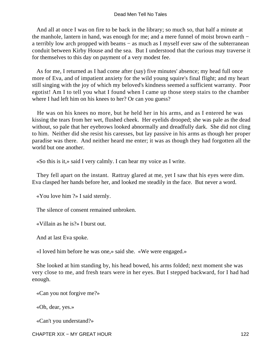And all at once I was on fire to be back in the library; so much so, that half a minute at the manhole, lantern in hand, was enough for me; and a mere funnel of moist brown earth − a terribly low arch propped with beams − as much as I myself ever saw of the subterranean conduit between Kirby House and the sea. But I understood that the curious may traverse it for themselves to this day on payment of a very modest fee.

 As for me, I returned as I had come after (say) five minutes' absence; my head full once more of Eva, and of impatient anxiety for the wild young squire's final flight; and my heart still singing with the joy of which my beloved's kindness seemed a sufficient warranty. Poor egotist! Am I to tell you what I found when I came up those steep stairs to the chamber where I had left him on his knees to her? Or can you guess?

 He was on his knees no more, but he held her in his arms, and as I entered he was kissing the tears from her wet, flushed cheek. Her eyelids drooped; she was pale as the dead without, so pale that her eyebrows looked abnormally and dreadfully dark. She did not cling to him. Neither did she resist his caresses, but lay passive in his arms as though her proper paradise was there. And neither heard me enter; it was as though they had forgotten all the world but one another.

«So this is it,» said I very calmly. I can hear my voice as I write.

 They fell apart on the instant. Rattray glared at me, yet I saw that his eyes were dim. Eva clasped her hands before her, and looked me steadily in the face. But never a word.

«You love him ?» I said sternly.

The silence of consent remained unbroken.

«Villain as he is?» I burst out.

And at last Eva spoke.

«I loved him before he was one,» said she. «We were engaged.»

 She looked at him standing by, his head bowed, his arms folded; next moment she was very close to me, and fresh tears were in her eyes. But I stepped backward, for I had had enough.

«Can you not forgive me?»

«Oh, dear, yes.»

«Can't you understand?»

CHAPTER XIX – MY GREAT HOUR 122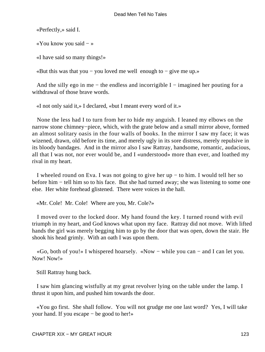«Perfectly,» said I.

«You know you said − »

«I have said so many things!»

«But this was that you − you loved me well enough to − give me up.»

And the silly ego in me – the endless and incorrigible I – imagined her pouting for a withdrawal of those brave words.

«I not only said it,» I declared, «but I meant every word of it.»

 None the less had I to turn from her to hide my anguish. I leaned my elbows on the narrow stone chimney−piece, which, with the grate below and a small mirror above, formed an almost solitary oasis in the four walls of books. In the mirror I saw my face; it was wizened, drawn, old before its time, and merely ugly in its sore distress, merely repulsive in its bloody bandages. And in the mirror also I saw Rattray, handsome, romantic, audacious, all that I was not, nor ever would be, and I «understood» more than ever, and loathed my rival in my heart.

 I wheeled round on Eva. I was not going to give her up − to him. I would tell her so before him − tell him so to his face. But she had turned away; she was listening to some one else. Her white forehead glistened. There were voices in the hall.

«Mr. Cole! Mr. Cole! Where are you, Mr. Cole?»

 I moved over to the locked door. My hand found the key. I turned round with evil triumph in my heart, and God knows what upon my face. Rattray did not move. With lifted hands the girl was merely begging him to go by the door that was open, down the stair. He shook his head grimly. With an oath I was upon them.

 «Go, both of you!» I whispered hoarsely. «Now − while you can − and I can let you. Now! Now!»

Still Rattray hung back.

 I saw him glancing wistfully at my great revolver lying on the table under the lamp. I thrust it upon him, and pushed him towards the door.

 «You go first. She shall follow. You will not grudge me one last word? Yes, I will take your hand. If you escape − be good to her!»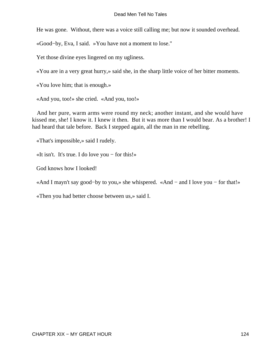He was gone. Without, there was a voice still calling me; but now it sounded overhead.

«Good−by, Eva, I said. »You have not a moment to lose."

Yet those divine eyes lingered on my ugliness.

«You are in a very great hurry,» said she, in the sharp little voice of her bitter moments.

«You love him; that is enough.»

«And you, too!» she cried. «And you, too!»

 And her pure, warm arms were round my neck; another instant, and she would have kissed me, she! I know it. I knew it then. But it was more than I would bear. As a brother! I had heard that tale before. Back I stepped again, all the man in me rebelling.

«That's impossible,» said I rudely.

«It isn't. It's true. I do love you − for this!»

God knows how I looked!

«And I mayn't say good−by to you,» she whispered. «And − and I love you − for that!»

«Then you had better choose between us,» said I.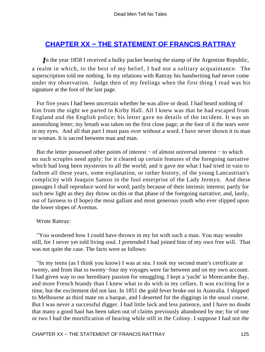### <span id="page-125-0"></span>**[CHAPTER XX − THE STATEMENT OF FRANCIS RATTRAY](#page-131-0)**

*I*n the year 1858 I received a bulky packet bearing the stamp of the Argentine Republic, a realm in which, to the best of my belief, I had not a solitary acquaintance. The superscription told me nothing. In my relations with Rattray his handwriting had never come under my observation. Judge then of my feelings when the first thing I read was his signature at the foot of the last page.

 For five years I had been uncertain whether he was alive or dead. I had heard nothing of him from the night we parted in Kirby Hall. All I knew was that he had escaped from England and the English police; his letter gave no details of the incident. It was an astonishing letter; my breath was taken on the first close page; at the foot of it the tears were in my eyes. And all that part I must pass over without a word. I have never shown it to man or woman. It is sacred between man and man.

 But the letter possessed other points of interest − of almost universal interest − to which no such scruples need apply; for it cleared up certain features of the foregoing narrative which had long been mysteries to all the world; and it gave me what I had tried in vain to fathom all these years, some explanation, or rather history, of the young Lancastrian's complicity with Joaquin Santos in the foul enterprise of the Lady Jermyn. And these passages I shall reproduce word for word; partly because of their intrinsic interest; partly for such new light as they day throw on this or that phase of the foregoing narrative; and, lastly, out of fairness to (I hope) the most gallant and most generous youth who ever slipped upon the lower slopes of Avemus.

#### Wrote Rattray:

 "You wondered how I could have thrown in my lot with such a man. You may wonder still, for I never yet told living soul. I pretended I had joined him of my own free will. That was not quite the case. The facts were as follows:

 "In my teens (as I think you know) I was at sea. I took my second mate's certificate at twenty, and from that to twenty−four my voyages were far between and on my own account. I had given way to our hereditary passion for smuggling. I kept a 'yacht' in Morecambe Bay, and more French brandy than I knew what to do with in my cellars. It was exciting for a time, but the excitement did not last. In 1851 the gold fever broke out in Australia. I shipped to Melbourne as third mate on a barque, and I deserted for the diggings in the usual course. But I was never a successful digger. I had little luck and less patience, and I have no doubt that many a good haul has been taken out of claims previously abandoned by me; for of one or two I had the mortification of hearing while still in the Colony. I suppose I had not the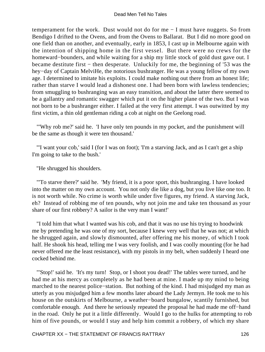temperament for the work. Dust would not do for me − I must have nuggets. So from Bendigo I drifted to the Ovens, and from the Ovens to Ballarat. But I did no more good on one field than on another, and eventually, early in 1853, I cast up in Melbourne again with the intention of shipping home in the first vessel. But there were no crews for the homeward−bounders, and while waiting for a ship my little stock of gold dust gave out. I became destitute first − then desperate. Unluckily for me, the beginning of '53 was the hey−day of Captain MelviHe, the notorious bushranger. He was a young fellow of my own age. I determined to imitate his exploits. I could make nothing out there from an honest life; rather than starve I would lead a dishonest one. I had been born with lawless tendencies; from smuggling to bushranging was an easy transition, and about the latter there seemed to be a gallantry and romantic swagger which put it on the higher plane of the two. But I was not born to be a bushranger either. I failed at the very first attempt. I was outwitted by my first victim, a thin old gentleman riding a cob at night on the Geelong road.

 "'Why rob me?' said he. 'I have only ten pounds in my pocket, and the punishment will be the same as though it were ten thousand.'

 "'I want your cob,' said I (for I was on foot); 'I'm a starving Jack, and as I can't get a ship I'm going to take to the bush.'

"He shrugged his shoulders.

 "'To starve there?' said he. 'My friend, it is a poor sport, this bushranging. I have looked into the matter on my own account. You not only die like a dog, but you live like one too. It is not worth while. No crime is worth while under five figures, my friend. A starving Jack, eh? Instead of robbing me of ten pounds, why not join me and take ten thousand as your share of our first robbery? A sailor is the very man I want!'

 "I told him that what I wanted was his cob, and that it was no use his trying to hoodwink me by pretending he was one of my sort, because I knew very well that he was not; at which he shrugged again, and slowly dismounted, after offering me his money, of which I took half. He shook his head, telling me I was very foolish, and I was coolly mounting (for he had never offered me the least resistance), with my pistols in my belt, when suddenly I heard one cocked behind me.

 "'Stop!' said he. 'It's my turn! Stop, or I shoot you dead!' The tables were turned, and he had me at his mercy as completely as he had been at mine. I made up my mind to being marched to the nearest police−station. But nothing of the kind. I had misjudged my man as utterly as you misjudged him a few months later aboard the Lady Jermyn. He took me to his house on the outskirts of Melbourne, a weather−board bungalow, scantily furnished, but comfortable enough. And there he seriously repeated the proposal he had made me off−hand in the road. Only he put it a little differently. Would I go to the hulks for attempting to rob him of five pounds, or would I stay and help him commit a robbery, of which my share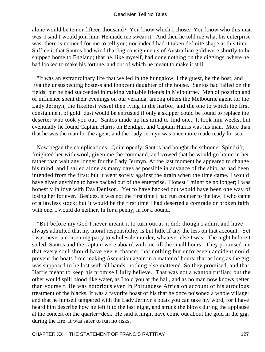alone would be ten or fifteen thousand? You know which I chose. You know who this man was. I said I would join him. He made me swear it. And then he told me what his enterprise was: there is no need for me to tell you; nor indeed had it taken definite shape at this time. Suffice it that Santos had wind that big consignments of Austrailian gold were shortly to be shipped home to England; that he, like myself, had done nothing on the diggings, where he had looked to make his fortune, and out of which he meant to make it still.

 "It was an extraordinary life that we led in the bungalow, I the guest, he the host, and Eva the unsuspecting hostess and innocent daughter of the house. Santos had failed on the fields, but he had succeeded in making valuable friends in Melbourne. Men of position and of influence spent their evenings on our veranda, among others the Melbourne agent for the Lady Jermyn, the likeliest vessel then lying in the harbor, and the one to which the first consignment of gold−dust would be entrusted if only a skipper could be found to replace the deserter who took you out. Santos made up his mind to find one., It took him weeks, but eventually he found Captain Harris on Bendigo, and Captain Harris was his man. More than that he was the man for the agent; and the Lady Jermyn was once more made ready for sea.

 Now began the complications. Quite openly, Santos had bought the schooner Spindrift, freighted her with wool, given me the command, and vowed that he would go home in her rather than wait any longer for the Lady Jermyn. At the last moment he appeared to change his mind, and I sailed alone as many days as possible in advance of the ship, as had been intended from the first; but it went sorely against the grain when the time came. I would have given anything to have backed out of the enterprise. Honest I might be no longer; I was honestly in love with Eva Denison. Yet to have backed out would have been one way of losing her for ever. Besides, it was not the first time I had run counter to the law, I who came of a lawless stock; but it would be the first time I had deserted a comrade or broken faith with one. I would do neither. In for a penny, in for a pound.

 "But before my God I never meant it to turn out as it did; though I admit and have always admitted that my moral responsibility is but little if any the less on that account. Yet I was never a consenting party to wholesale murder, whatever else I was. The night before I sailed, Santos and the captain were aboard with me till the small hours. They promised me that every soul should have every chance; that nothing but unforeseen accident could prevent the boats from making Ascension again in a matter of hours; that as long as the gig was supposed to be lost with all hands, nothing else mattered. So they promised, and that Harris meant to keep his promise I fully believe. That was not a wanton ruffian; but the other would spill blood like water, as I told you at the hall, and as no man now knows better than yourself. He was notorious even in Portuguese Africa on account of his atrocious treatment of the blacks. It was a favorite boast of his that he once poisoned a whole village; and that he himself tampered with the Lady Jermyn's boats you can take my word, for I have heard him describe how he left it to the last night, and struck the blows during the applause at the concert on the quarter−deck. He said it might have come out about the gold in the gig, during the fire. It was safer to run no risks.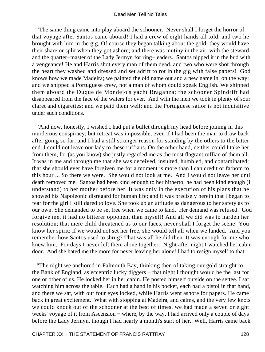"The same thing came into play aboard the schooner. Never shall I forget the horror of that voyage after Santos came aboard! I had a crew of eight hands all told, and two he brought with him in the gig. Of course they began talking about the gold; they would have their share or split when they got ashore; and there was mutiny in the air, with the steward and the quarter−master of the Lady Jermyn for ring−leaders. Santos nipped it in the bud with a vengeance! He and Harris shot every man of them dead, and two who were shot through the heart they washed and dressed and set adrift to rot in the gig with false papers! God knows how we made Madeira; we painted the old name out and a new name in, on the way; and we shipped a Portuguese crew, not a man of whom could speak English. We shipped them aboard the Duque de Mondejo's yacht Braganza; the schooner Spindrift had disappeared from the face of the waters for ever. And with the men we took in plenty of sour claret and cigarettes; and we paid them well; and the Portuguese sailor is not inquisitive under such conditions.

 "And now, honestly, I wished I had put a bullet through my head before joining in this murderous conspiracy; but retreat was impossible, even if I had been the man to draw back after going so far; and I had a still stronger reason for standing by the others to the bitter end. I could not leave our lady to these ruffians. On the other hand, neither could I take her from them, for (as you know) she justly regarded me as the most flagrant ruffian of them all. It was in me and through me that she was deceived, insulted, humbled, and contaminated; that she should ever have forgiven me for a moment is more than I can credit or fathom to this hour ... So there we were. She would not look at me. And I would not leave her until death removed me. Santos had been kind enough to her hitherto; he had been kind enough (I understand) to her mother before her. It was only in the execution of his plans that he showed his Napoleonic disregard for human life; and it was precisely herein that I began to fear for the girl I still dared to love. She took up an attitude as dangerous to her safety as to our own. She demanded to be set free when we came to land. Her demand was refused. God forgive me, it had no bitterer opponent than myself! And all we did was to harden her resolution; that mere child threatened us to our faces, never shall I forget the scene! You know her spirit: if we would not set her free, she would tell all when we landed. And you remember how Santos used to shrug? That was all he did then. It was enough for me who knew him. For days I never left them alone together. Night after night I watched her cabin door. And she hated me the more for never leaving her alone! I had to resign myself to that.

 "The night we anchored in Falmouth Bay, thinking then of taking our gold straight to the Bank of England, as eccentric lucky diggers − that night I thought would be the last for one or other of us. He locked her in her cabin. He posted himself outside on the settee. I sat watching him across the table. Each had a hand in his pocket, each had a pistol in that hand, and there we sat, with our four eyes locked, while Harris went ashore for papers. He came back in great excitement. What with stopping at Madeira, and calms, and the very few knots we could knock out of the schooner at the best of times, we had made a seven or eight weeks' voyage of it from Ascension – where, by the way, I had arrived only a couple of days before the Lady Jermyn, though I had nearly a month's start of her. Well, Harris came back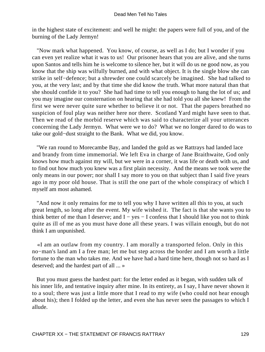in the highest state of excitement: and well he might: the papers were full of you, and of the burning of the Lady Jermyn!

 "Now mark what happened. You know, of course, as well as I do; but I wonder if you can even yet realize what it was to us! Our prisoner hears that you are alive, and she turns upon Santos and tells him he is welcome to silence her, but it will do us ne good now, as you know that the ship was wilfully burned, and with what object. It is the single blow she can strike in self−defence; but a shrewder one could scarcely be imagined. She had talked to you, at the very last; and by that time she did know the truth. What more natural than that she should confide it to you? She had had time to tell you enough to hang the lot of us; and you may imagine our consternation on hearing that she had told you all she knew! From the first we were never quite sure whether to believe it or not. That the papers breathed no suspicion of foul play was neither here nor there. Scotland Yard might have seen to that. Then we read of the morbid reserve which was said to characterize all your utterances concerning the Lady Jermyn. What were we to do? What we no longer dared to do was to take our gold−dust straight to the Bank. What we did, you know.

 "We ran round to Morecambe Bay, and landed the gold as we Rattrays had landed lace and brandy from time immemorial. We left Eva in charge of Jane Braithwaite, God only knows how much against my will, but we were in a corner, it was life or death with us, and to find out how much you knew was a first plain necessity. And the means we took were the only means in our power; nor shall I say more to you on that subject than I said five years ago in my poor old house. That is still the one part of the whole conspiracy of which I myself am most ashamed.

 "And now it only remains for me to tell you why I have written all this to you, at such great length, so long after the event. My wife wished it. The fact is that she wants you to think better of me than I deserve; and  $I - yes - I$  confess that I should like you not to think quite as ill of me as you must have done all these years. I was villain enough, but do not think I am unpunished.

 «I am an outlaw from my country. I am morally a transported felon. Only in this no−man's land am I a free man; let me but step across the border and I am worth a little fortune to the man who takes me. And we have had a hard time here, though not so hard as I deserved; and the hardest part of all ... »

 But you must guess the hardest part: for the letter ended as it began, with sudden talk of his inner life, and tentative inquiry after mine. In its entirety, as I say, I have never shown it to a soul; there was just a little more that I read to my wife (who could not hear enough about his); then I folded up the letter, and even she has never seen the passages to which I allude.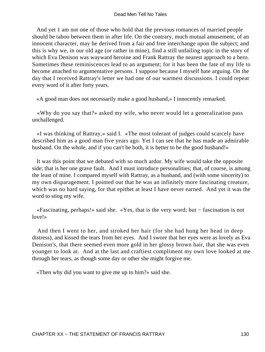And yet 1 am not one of those who hold that the previous romances of married people should be taboo between them in after life. On the contrary, much mutual amusement, of an innocent character, may be derived from a fair and free interchange upon the subject; and this is why we, in our old age (or rather in mine), find a still unfailing topic in the story of which Eva Denison was wayward heroine and Frank Rattray the nearest approach to a hero. Sometimes these reminiscences lead to an argument; for it has been the fate of my life to become attached to argumentative persons. I suppose because I myself hate arguing. On the day that I received Rattray's letter we had one of our warmest discussions. I could repeat every word of it after forty years.

«A good man does not necessarily make a good husband,» I innocently remarked.

 «Why do you say that?» asked my wife, who never would let a generalization pass unchallenged.

 «I was thinking of Rattray,» said I. «The most tolerant of judges could scarcely have described him as a good man five years ago. Yet I can see that he has made an admirable husband. On the whole, and if you can't be both, it is better to be the good husband!»

 It was this point that we debated with so much ardor. My wife would take the opposite side; that is her one grave fault. And I must introduce personalities; that, of course, is among the least of mine. I compared myself with Rattray, as a husband, and (with some sincerity) to my own disparagement. I pointed out that he was an infinitely more fascinating creature, which was no hard saying, for that epithet at least I have never earned. And yet it was the word to sting my wife.

 «Fascinating, perhaps!» said she. «Yes, that is the very word; but − fascination is not love!»

 And then I went to her, and stroked her hair (for she had hung her head in deep distress), and kissed the tears from her eyes. And I swore that her eyes were as lovely as Eva Denison's, that there seemed even more gold in her glossy brown hair, that she was even younger to look at. And at the last and craftiest compliment my own love looked at me through her tears, as though some day or other she might forgive me.

«Then why did you want to give me up to him?» said she.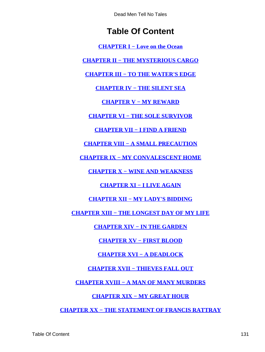# **Table Of Content**

**[CHAPTER I − Love on the Ocean](#page-3-0)**

<span id="page-131-0"></span>**[CHAPTER II − THE MYSTERIOUS CARGO](#page-9-0)**

**[CHAPTER III − TO THE WATER'S EDGE](#page-17-0)**

**[CHAPTER IV − THE SILENT SEA](#page-21-0)**

**[CHAPTER V − MY REWARD](#page-25-0)**

**[CHAPTER VI − THE SOLE SURVIVOR](#page-31-0)**

**[CHAPTER VII − I FIND A FRIEND](#page-34-0)**

**[CHAPTER VIII − A SMALL PRECAUTION](#page-41-0)**

**[CHAPTER IX − MY CONVALESCENT HOME](#page-45-0)**

**[CHAPTER X − WINE AND WEAKNESS](#page-50-0)**

**[CHAPTER XI − I LIVE AGAIN](#page-58-0)**

**[CHAPTER XII − MY LADY'S BIDDING](#page-64-0)**

**[CHAPTER XIII − THE LONGEST DAY OF MY LIFE](#page-69-0)**

**[CHAPTER XIV − IN THE GARDEN](#page-77-0)**

**[CHAPTER XV − FIRST BLOOD](#page-86-0)**

**[CHAPTER XVI − A DEADLOCK](#page-92-0)**

**[CHAPTER XVII − THIEVES FALL OUT](#page-100-0)**

**[CHAPTER XVIII − A MAN OF MANY MURDERS](#page-108-0)**

**[CHAPTER XIX − MY GREAT HOUR](#page-115-0)**

**[CHAPTER XX − THE STATEMENT OF FRANCIS RATTRAY](#page-125-0)**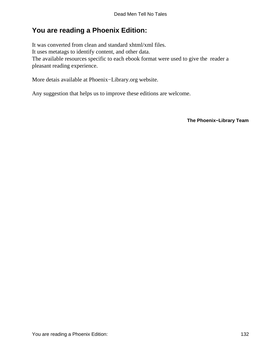## **You are reading a Phoenix Edition:**

It was converted from clean and standard xhtml/xml files. It uses metatags to identify content, and other data. The available resources specific to each ebook format were used to give the reader a pleasant reading experience.

More detais available at Phoenix−Library.org website.

Any suggestion that helps us to improve these editions are welcome.

**The Phoenix−Library Team**